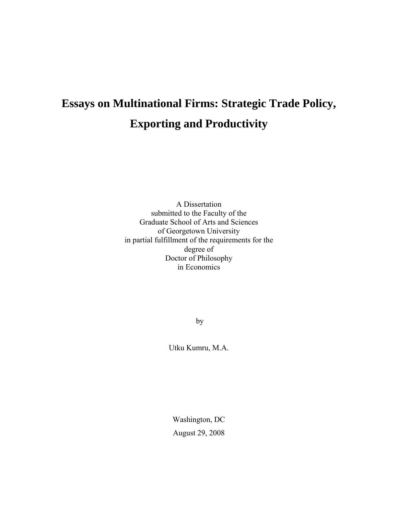# **Essays on Multinational Firms: Strategic Trade Policy, Exporting and Productivity**

A Dissertation submitted to the Faculty of the Graduate School of Arts and Sciences of Georgetown University in partial fulfillment of the requirements for the degree of Doctor of Philosophy in Economics

by

Utku Kumru, M.A.

Washington, DC August 29, 2008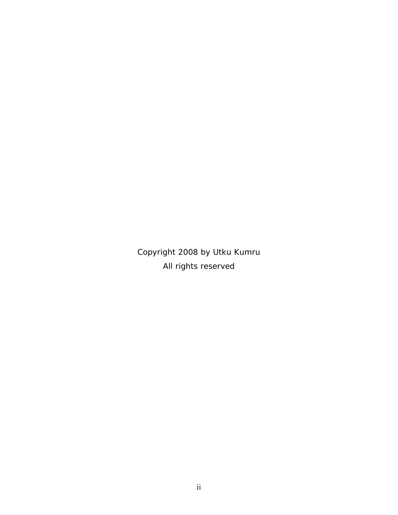Copyright 2008 by Utku Kumru All rights reserved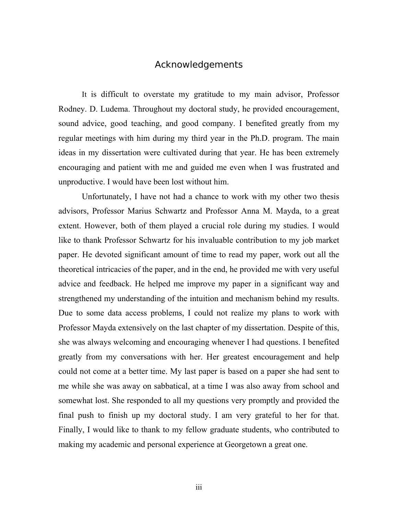#### Acknowledgements

It is difficult to overstate my gratitude to my main advisor, Professor Rodney. D. Ludema. Throughout my doctoral study, he provided encouragement, sound advice, good teaching, and good company. I benefited greatly from my regular meetings with him during my third year in the Ph.D. program. The main ideas in my dissertation were cultivated during that year. He has been extremely encouraging and patient with me and guided me even when I was frustrated and unproductive. I would have been lost without him.

 Unfortunately, I have not had a chance to work with my other two thesis advisors, Professor Marius Schwartz and Professor Anna M. Mayda, to a great extent. However, both of them played a crucial role during my studies. I would like to thank Professor Schwartz for his invaluable contribution to my job market paper. He devoted significant amount of time to read my paper, work out all the theoretical intricacies of the paper, and in the end, he provided me with very useful advice and feedback. He helped me improve my paper in a significant way and strengthened my understanding of the intuition and mechanism behind my results. Due to some data access problems, I could not realize my plans to work with Professor Mayda extensively on the last chapter of my dissertation. Despite of this, she was always welcoming and encouraging whenever I had questions. I benefited greatly from my conversations with her. Her greatest encouragement and help could not come at a better time. My last paper is based on a paper she had sent to me while she was away on sabbatical, at a time I was also away from school and somewhat lost. She responded to all my questions very promptly and provided the final push to finish up my doctoral study. I am very grateful to her for that. Finally, I would like to thank to my fellow graduate students, who contributed to making my academic and personal experience at Georgetown a great one.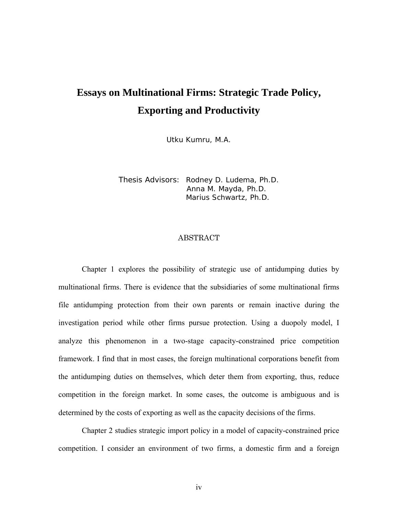# **Essays on Multinational Firms: Strategic Trade Policy, Exporting and Productivity**

Utku Kumru, M.A.

Thesis Advisors: Rodney D. Ludema, Ph.D. Anna M. Mayda, Ph.D. Marius Schwartz, Ph.D.

### ABSTRACT

Chapter 1 explores the possibility of strategic use of antidumping duties by multinational firms. There is evidence that the subsidiaries of some multinational firms file antidumping protection from their own parents or remain inactive during the investigation period while other firms pursue protection. Using a duopoly model, I analyze this phenomenon in a two-stage capacity-constrained price competition framework. I find that in most cases, the foreign multinational corporations benefit from the antidumping duties on themselves, which deter them from exporting, thus, reduce competition in the foreign market. In some cases, the outcome is ambiguous and is determined by the costs of exporting as well as the capacity decisions of the firms.

Chapter 2 studies strategic import policy in a model of capacity-constrained price competition. I consider an environment of two firms, a domestic firm and a foreign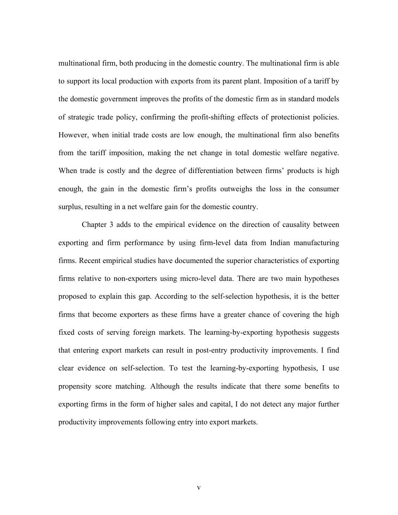multinational firm, both producing in the domestic country. The multinational firm is able to support its local production with exports from its parent plant. Imposition of a tariff by the domestic government improves the profits of the domestic firm as in standard models of strategic trade policy, confirming the profit-shifting effects of protectionist policies. However, when initial trade costs are low enough, the multinational firm also benefits from the tariff imposition, making the net change in total domestic welfare negative. When trade is costly and the degree of differentiation between firms' products is high enough, the gain in the domestic firm's profits outweighs the loss in the consumer surplus, resulting in a net welfare gain for the domestic country.

Chapter 3 adds to the empirical evidence on the direction of causality between exporting and firm performance by using firm-level data from Indian manufacturing firms. Recent empirical studies have documented the superior characteristics of exporting firms relative to non-exporters using micro-level data. There are two main hypotheses proposed to explain this gap. According to the self-selection hypothesis, it is the better firms that become exporters as these firms have a greater chance of covering the high fixed costs of serving foreign markets. The learning-by-exporting hypothesis suggests that entering export markets can result in post-entry productivity improvements. I find clear evidence on self-selection. To test the learning-by-exporting hypothesis, I use propensity score matching. Although the results indicate that there some benefits to exporting firms in the form of higher sales and capital, I do not detect any major further productivity improvements following entry into export markets.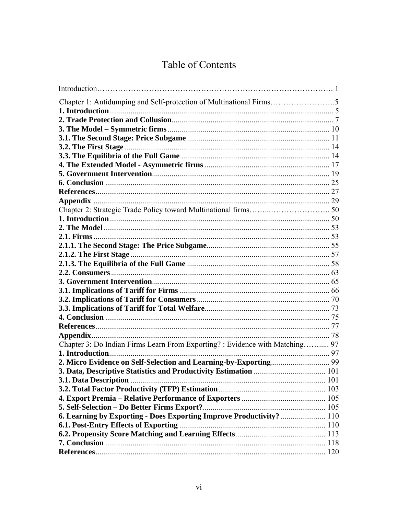# Table of Contents

| Chapter 3: Do Indian Firms Learn From Exporting? : Evidence with Matching 97 |  |
|------------------------------------------------------------------------------|--|
|                                                                              |  |
|                                                                              |  |
|                                                                              |  |
|                                                                              |  |
|                                                                              |  |
|                                                                              |  |
|                                                                              |  |
| 6. Learning by Exporting - Does Exporting Improve Productivity?  110         |  |
|                                                                              |  |
|                                                                              |  |
|                                                                              |  |
|                                                                              |  |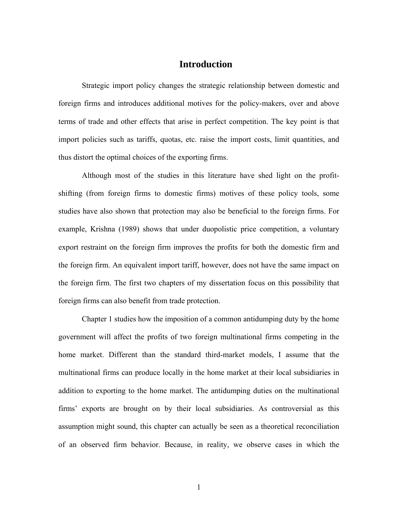# **Introduction**

Strategic import policy changes the strategic relationship between domestic and foreign firms and introduces additional motives for the policy-makers, over and above terms of trade and other effects that arise in perfect competition. The key point is that import policies such as tariffs, quotas, etc. raise the import costs, limit quantities, and thus distort the optimal choices of the exporting firms.

Although most of the studies in this literature have shed light on the profitshifting (from foreign firms to domestic firms) motives of these policy tools, some studies have also shown that protection may also be beneficial to the foreign firms. For example, Krishna (1989) shows that under duopolistic price competition, a voluntary export restraint on the foreign firm improves the profits for both the domestic firm and the foreign firm. An equivalent import tariff, however, does not have the same impact on the foreign firm. The first two chapters of my dissertation focus on this possibility that foreign firms can also benefit from trade protection.

Chapter 1 studies how the imposition of a common antidumping duty by the home government will affect the profits of two foreign multinational firms competing in the home market. Different than the standard third-market models, I assume that the multinational firms can produce locally in the home market at their local subsidiaries in addition to exporting to the home market. The antidumping duties on the multinational firms' exports are brought on by their local subsidiaries. As controversial as this assumption might sound, this chapter can actually be seen as a theoretical reconciliation of an observed firm behavior. Because, in reality, we observe cases in which the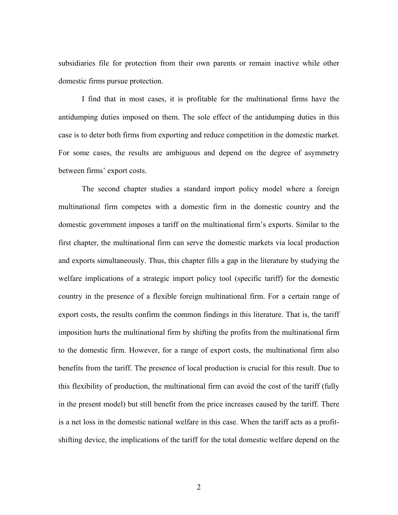subsidiaries file for protection from their own parents or remain inactive while other domestic firms pursue protection.

I find that in most cases, it is profitable for the multinational firms have the antidumping duties imposed on them. The sole effect of the antidumping duties in this case is to deter both firms from exporting and reduce competition in the domestic market. For some cases, the results are ambiguous and depend on the degree of asymmetry between firms' export costs.

The second chapter studies a standard import policy model where a foreign multinational firm competes with a domestic firm in the domestic country and the domestic government imposes a tariff on the multinational firm's exports. Similar to the first chapter, the multinational firm can serve the domestic markets via local production and exports simultaneously. Thus, this chapter fills a gap in the literature by studying the welfare implications of a strategic import policy tool (specific tariff) for the domestic country in the presence of a flexible foreign multinational firm. For a certain range of export costs, the results confirm the common findings in this literature. That is, the tariff imposition hurts the multinational firm by shifting the profits from the multinational firm to the domestic firm. However, for a range of export costs, the multinational firm also benefits from the tariff. The presence of local production is crucial for this result. Due to this flexibility of production, the multinational firm can avoid the cost of the tariff (fully in the present model) but still benefit from the price increases caused by the tariff. There is a net loss in the domestic national welfare in this case. When the tariff acts as a profitshifting device, the implications of the tariff for the total domestic welfare depend on the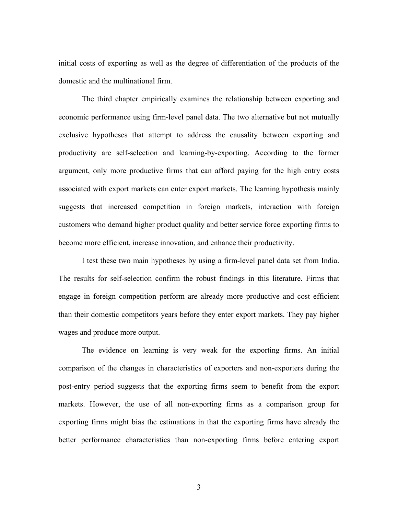initial costs of exporting as well as the degree of differentiation of the products of the domestic and the multinational firm.

The third chapter empirically examines the relationship between exporting and economic performance using firm-level panel data. The two alternative but not mutually exclusive hypotheses that attempt to address the causality between exporting and productivity are self-selection and learning-by-exporting. According to the former argument, only more productive firms that can afford paying for the high entry costs associated with export markets can enter export markets. The learning hypothesis mainly suggests that increased competition in foreign markets, interaction with foreign customers who demand higher product quality and better service force exporting firms to become more efficient, increase innovation, and enhance their productivity.

I test these two main hypotheses by using a firm-level panel data set from India. The results for self-selection confirm the robust findings in this literature. Firms that engage in foreign competition perform are already more productive and cost efficient than their domestic competitors years before they enter export markets. They pay higher wages and produce more output.

The evidence on learning is very weak for the exporting firms. An initial comparison of the changes in characteristics of exporters and non-exporters during the post-entry period suggests that the exporting firms seem to benefit from the export markets. However, the use of all non-exporting firms as a comparison group for exporting firms might bias the estimations in that the exporting firms have already the better performance characteristics than non-exporting firms before entering export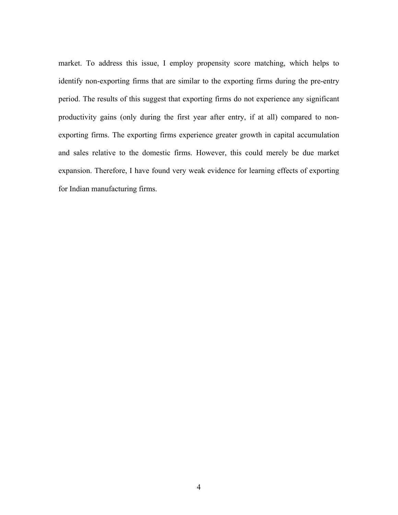market. To address this issue, I employ propensity score matching, which helps to identify non-exporting firms that are similar to the exporting firms during the pre-entry period. The results of this suggest that exporting firms do not experience any significant productivity gains (only during the first year after entry, if at all) compared to nonexporting firms. The exporting firms experience greater growth in capital accumulation and sales relative to the domestic firms. However, this could merely be due market expansion. Therefore, I have found very weak evidence for learning effects of exporting for Indian manufacturing firms.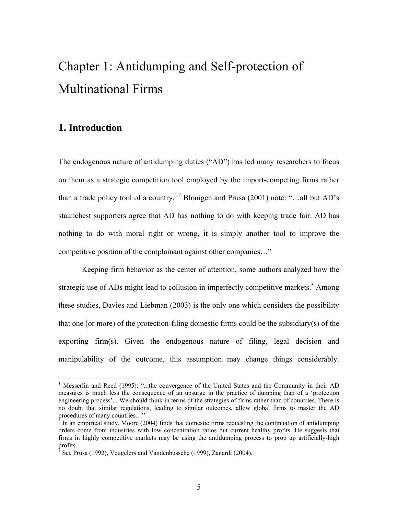# Chapter 1: Antidumping and Self-protection of Multinational Firms

# **1. Introduction**

 $\overline{a}$ 

The endogenous nature of antidumping duties ("AD") has led many researchers to focus on them as a strategic competition tool employed by the import-competing firms rather than a trade policy tool of a country.<sup>1,2</sup> Blonigen and Prusa (2001) note: "...all but AD's staunchest supporters agree that AD has nothing to do with keeping trade fair. AD has nothing to do with moral right or wrong, it is simply another tool to improve the competitive position of the complainant against other companies…"

Keeping firm behavior as the center of attention, some authors analyzed how the strategic use of ADs might lead to collusion in imperfectly competitive markets.<sup>3</sup> Among these studies, Davies and Liebman (2003) is the only one which considers the possibility that one (or more) of the protection-filing domestic firms could be the subsidiary(s) of the exporting firm(s). Given the endogenous nature of filing, legal decision and manipulability of the outcome, this assumption may change things considerably.

<sup>&</sup>lt;sup>1</sup> Messerlin and Reed (1995): "...the convergence of the United States and the Community in their AD measures is much less the consequence of an upsurge in the practice of dumping than of a 'protection engineering process'... We should think in terms of the strategies of firms rather than of countries. There is no doubt that similar regulations, leading to similar outcomes, allow global firms to master the AD procedures of many countries…"

 $2$  In an empirical study, Moore (2004) finds that domestic firms requesting the continuation of antidumping orders come from industries with low concentration ratios but current healthy profits. He suggests that firms in highly competitive markets may be using the antidumping process to prop up artificially-high profits.

 $3$  See Prusa (1992), Veugelers and Vandenbussche (1999), Zanardi (2004).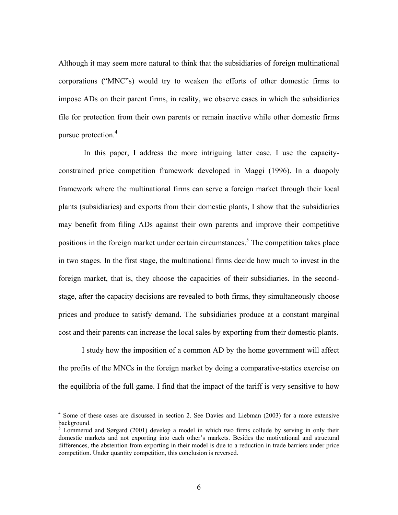Although it may seem more natural to think that the subsidiaries of foreign multinational corporations ("MNC"s) would try to weaken the efforts of other domestic firms to impose ADs on their parent firms, in reality, we observe cases in which the subsidiaries file for protection from their own parents or remain inactive while other domestic firms pursue protection.<sup>4</sup>

 In this paper, I address the more intriguing latter case. I use the capacityconstrained price competition framework developed in Maggi (1996). In a duopoly framework where the multinational firms can serve a foreign market through their local plants (subsidiaries) and exports from their domestic plants, I show that the subsidiaries may benefit from filing ADs against their own parents and improve their competitive positions in the foreign market under certain circumstances.<sup>5</sup> The competition takes place in two stages. In the first stage, the multinational firms decide how much to invest in the foreign market, that is, they choose the capacities of their subsidiaries. In the secondstage, after the capacity decisions are revealed to both firms, they simultaneously choose prices and produce to satisfy demand. The subsidiaries produce at a constant marginal cost and their parents can increase the local sales by exporting from their domestic plants.

I study how the imposition of a common AD by the home government will affect the profits of the MNCs in the foreign market by doing a comparative-statics exercise on the equilibria of the full game. I find that the impact of the tariff is very sensitive to how

 $\overline{a}$ 

<sup>&</sup>lt;sup>4</sup> Some of these cases are discussed in section 2. See Davies and Liebman (2003) for a more extensive background.

<sup>&</sup>lt;sup>5</sup> Lommerud and Sørgard (2001) develop a model in which two firms collude by serving in only their domestic markets and not exporting into each other's markets. Besides the motivational and structural differences, the abstention from exporting in their model is due to a reduction in trade barriers under price competition. Under quantity competition, this conclusion is reversed.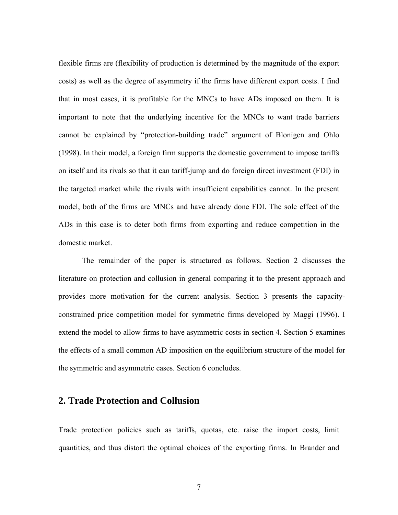flexible firms are (flexibility of production is determined by the magnitude of the export costs) as well as the degree of asymmetry if the firms have different export costs. I find that in most cases, it is profitable for the MNCs to have ADs imposed on them. It is important to note that the underlying incentive for the MNCs to want trade barriers cannot be explained by "protection-building trade" argument of Blonigen and Ohlo (1998). In their model, a foreign firm supports the domestic government to impose tariffs on itself and its rivals so that it can tariff**-**jump and do foreign direct investment (FDI) in the targeted market while the rivals with insufficient capabilities cannot. In the present model, both of the firms are MNCs and have already done FDI. The sole effect of the ADs in this case is to deter both firms from exporting and reduce competition in the domestic market.

The remainder of the paper is structured as follows. Section 2 discusses the literature on protection and collusion in general comparing it to the present approach and provides more motivation for the current analysis. Section 3 presents the capacityconstrained price competition model for symmetric firms developed by Maggi (1996). I extend the model to allow firms to have asymmetric costs in section 4. Section 5 examines the effects of a small common AD imposition on the equilibrium structure of the model for the symmetric and asymmetric cases. Section 6 concludes.

# **2. Trade Protection and Collusion**

Trade protection policies such as tariffs, quotas, etc. raise the import costs, limit quantities, and thus distort the optimal choices of the exporting firms. In Brander and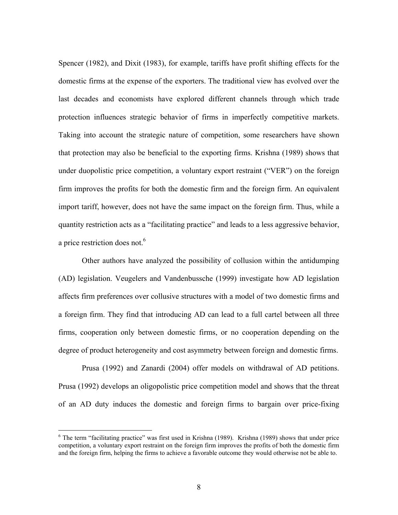Spencer (1982), and Dixit (1983), for example, tariffs have profit shifting effects for the domestic firms at the expense of the exporters. The traditional view has evolved over the last decades and economists have explored different channels through which trade protection influences strategic behavior of firms in imperfectly competitive markets. Taking into account the strategic nature of competition, some researchers have shown that protection may also be beneficial to the exporting firms. Krishna (1989) shows that under duopolistic price competition, a voluntary export restraint ("VER") on the foreign firm improves the profits for both the domestic firm and the foreign firm. An equivalent import tariff, however, does not have the same impact on the foreign firm. Thus, while a quantity restriction acts as a "facilitating practice" and leads to a less aggressive behavior, a price restriction does not.<sup>6</sup>

Other authors have analyzed the possibility of collusion within the antidumping (AD) legislation. Veugelers and Vandenbussche (1999) investigate how AD legislation affects firm preferences over collusive structures with a model of two domestic firms and a foreign firm. They find that introducing AD can lead to a full cartel between all three firms, cooperation only between domestic firms, or no cooperation depending on the degree of product heterogeneity and cost asymmetry between foreign and domestic firms.

Prusa (1992) and Zanardi (2004) offer models on withdrawal of AD petitions. Prusa (1992) develops an oligopolistic price competition model and shows that the threat of an AD duty induces the domestic and foreign firms to bargain over price-fixing

 $\overline{a}$ 

<sup>&</sup>lt;sup>6</sup> The term "facilitating practice" was first used in Krishna (1989). Krishna (1989) shows that under price competition, a voluntary export restraint on the foreign firm improves the profits of both the domestic firm and the foreign firm, helping the firms to achieve a favorable outcome they would otherwise not be able to.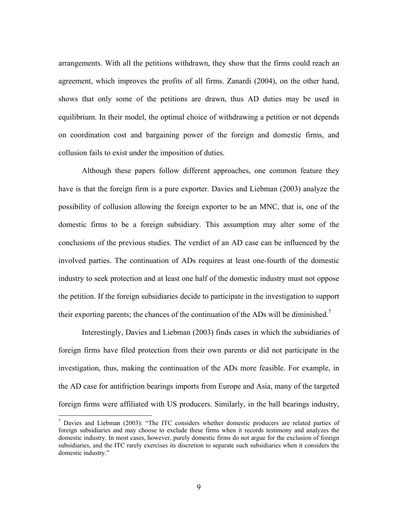arrangements. With all the petitions withdrawn, they show that the firms could reach an agreement, which improves the profits of all firms. Zanardi (2004), on the other hand, shows that only some of the petitions are drawn, thus AD duties may be used in equilibrium. In their model, the optimal choice of withdrawing a petition or not depends on coordination cost and bargaining power of the foreign and domestic firms, and collusion fails to exist under the imposition of duties.

Although these papers follow different approaches, one common feature they have is that the foreign firm is a pure exporter. Davies and Liebman (2003) analyze the possibility of collusion allowing the foreign exporter to be an MNC, that is, one of the domestic firms to be a foreign subsidiary. This assumption may alter some of the conclusions of the previous studies. The verdict of an AD case can be influenced by the involved parties. The continuation of ADs requires at least one-fourth of the domestic industry to seek protection and at least one half of the domestic industry must not oppose the petition. If the foreign subsidiaries decide to participate in the investigation to support their exporting parents; the chances of the continuation of the ADs will be diminished.<sup>7</sup>

Interestingly, Davies and Liebman (2003) finds cases in which the subsidiaries of foreign firms have filed protection from their own parents or did not participate in the investigation, thus, making the continuation of the ADs more feasible. For example, in the AD case for antifriction bearings imports from Europe and Asia, many of the targeted foreign firms were affiliated with US producers. Similarly, in the ball bearings industry,

 $\overline{a}$ 

<sup>&</sup>lt;sup>7</sup> Davies and Liebman (2003): "The ITC considers whether domestic producers are related parties of foreign subsidiaries and may choose to exclude these firms when it records testimony and analyzes the domestic industry. In most cases, however, purely domestic firms do not argue for the exclusion of foreign subsidiaries, and the ITC rarely exercises its discretion to separate such subsidiaries when it considers the domestic industry."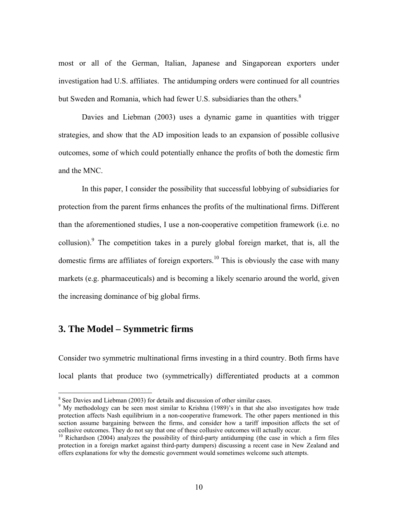most or all of the German, Italian, Japanese and Singaporean exporters under investigation had U.S. affiliates. The antidumping orders were continued for all countries but Sweden and Romania, which had fewer U.S. subsidiaries than the others. $8$ 

Davies and Liebman (2003) uses a dynamic game in quantities with trigger strategies, and show that the AD imposition leads to an expansion of possible collusive outcomes, some of which could potentially enhance the profits of both the domestic firm and the MNC.

In this paper, I consider the possibility that successful lobbying of subsidiaries for protection from the parent firms enhances the profits of the multinational firms. Different than the aforementioned studies, I use a non-cooperative competition framework (i.e. no collusion). <sup>9</sup> The competition takes in a purely global foreign market, that is, all the domestic firms are affiliates of foreign exporters.<sup>10</sup> This is obviously the case with many markets (e.g. pharmaceuticals) and is becoming a likely scenario around the world, given the increasing dominance of big global firms.

# **3. The Model – Symmetric firms**

 $\overline{a}$ 

Consider two symmetric multinational firms investing in a third country. Both firms have local plants that produce two (symmetrically) differentiated products at a common

<sup>&</sup>lt;sup>8</sup> See Davies and Liebman (2003) for details and discussion of other similar cases.

<sup>&</sup>lt;sup>9</sup> My methodology can be seen most similar to Krishna (1989)'s in that she also investigates how trade protection affects Nash equilibrium in a non-cooperative framework. The other papers mentioned in this section assume bargaining between the firms, and consider how a tariff imposition affects the set of collusive outcomes. They do not say that one of these collusive outcomes will actually occur.

<sup>&</sup>lt;sup>10</sup> Richardson (2004) analyzes the possibility of third-party antidumping (the case in which a firm files protection in a foreign market against third-party dumpers) discussing a recent case in New Zealand and offers explanations for why the domestic government would sometimes welcome such attempts.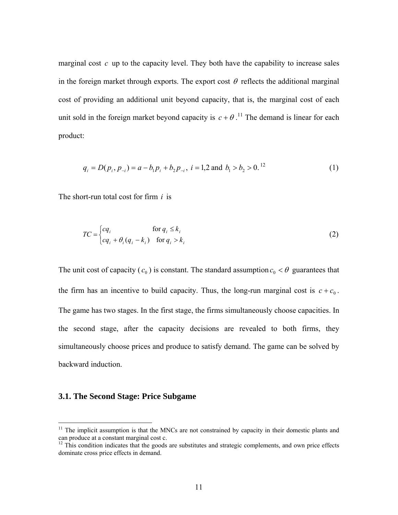marginal cost *c* up to the capacity level. They both have the capability to increase sales in the foreign market through exports. The export cost  $\theta$  reflects the additional marginal cost of providing an additional unit beyond capacity, that is, the marginal cost of each unit sold in the foreign market beyond capacity is  $c + \theta$ .<sup>11</sup> The demand is linear for each product:

$$
q_i = D(p_i, p_{-i}) = a - b_1 p_i + b_2 p_{-i}, \ i = 1, 2 \text{ and } b_1 > b_2 > 0.
$$
<sup>12</sup> (1)

The short-run total cost for firm *i* is

$$
TC = \begin{cases} cq_i & \text{for } q_i \le k_i \\ cq_i + \theta_i (q_i - k_i) & \text{for } q_i > k_i \end{cases}
$$
 (2)

The unit cost of capacity  $(c_0)$  is constant. The standard assumption  $c_0 < \theta$  guarantees that the firm has an incentive to build capacity. Thus, the long-run marginal cost is  $c + c_0$ . The game has two stages. In the first stage, the firms simultaneously choose capacities. In the second stage, after the capacity decisions are revealed to both firms, they simultaneously choose prices and produce to satisfy demand. The game can be solved by backward induction.

#### **3.1. The Second Stage: Price Subgame**

 $\overline{a}$ 

 $11$  The implicit assumption is that the MNCs are not constrained by capacity in their domestic plants and can produce at a constant marginal cost c.

 $12$  This condition indicates that the goods are substitutes and strategic complements, and own price effects dominate cross price effects in demand.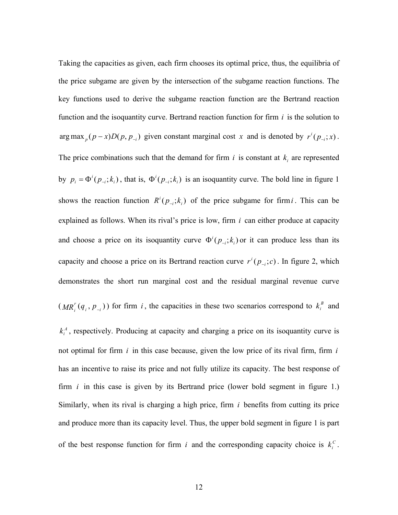Taking the capacities as given, each firm chooses its optimal price, thus, the equilibria of the price subgame are given by the intersection of the subgame reaction functions. The key functions used to derive the subgame reaction function are the Bertrand reaction function and the isoquantity curve. Bertrand reaction function for firm *i* is the solution to arg max  $_p(p-x)D(p, p_{-i})$  given constant marginal cost *x* and is denoted by  $r^{i}(p_{-i}; x)$ . The price combinations such that the demand for firm  $i$  is constant at  $k_i$  are represented by  $p_i = \Phi^i(p_{-i}; k_i)$ , that is,  $\Phi^i(p_{-i}; k_i)$  is an isoquantity curve. The bold line in figure 1 shows the reaction function  $R^i(p_{-i}; k_i)$  of the price subgame for firm *i*. This can be explained as follows. When its rival's price is low, firm *i* can either produce at capacity and choose a price on its isoquantity curve  $\Phi^i(p_{-i}; k_i)$  or it can produce less than its capacity and choose a price on its Bertrand reaction curve  $r^{i}(p_{i}, c)$ . In figure 2, which demonstrates the short run marginal cost and the residual marginal revenue curve  $(MR_i^r(q_i, p_{-i}))$  for firm *i*, the capacities in these two scenarios correspond to  $k_i^B$  and  $k_i^A$ , respectively. Producing at capacity and charging a price on its isoquantity curve is not optimal for firm *i* in this case because, given the low price of its rival firm, firm *i* has an incentive to raise its price and not fully utilize its capacity. The best response of firm *i* in this case is given by its Bertrand price (lower bold segment in figure 1.) Similarly, when its rival is charging a high price, firm *i* benefits from cutting its price and produce more than its capacity level. Thus, the upper bold segment in figure 1 is part of the best response function for firm *i* and the corresponding capacity choice is  $k_i^c$ .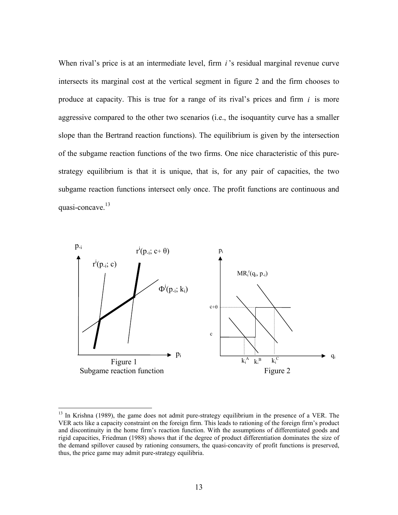When rival's price is at an intermediate level, firm *i*'s residual marginal revenue curve intersects its marginal cost at the vertical segment in figure 2 and the firm chooses to produce at capacity. This is true for a range of its rival's prices and firm *i* is more aggressive compared to the other two scenarios (i.e., the isoquantity curve has a smaller slope than the Bertrand reaction functions). The equilibrium is given by the intersection of the subgame reaction functions of the two firms. One nice characteristic of this purestrategy equilibrium is that it is unique, that is, for any pair of capacities, the two subgame reaction functions intersect only once. The profit functions are continuous and quasi-concave.<sup>13</sup>



 $\overline{a}$ 

<sup>&</sup>lt;sup>13</sup> In Krishna (1989), the game does not admit pure-strategy equilibrium in the presence of a VER. The VER acts like a capacity constraint on the foreign firm. This leads to rationing of the foreign firm's product and discontinuity in the home firm's reaction function. With the assumptions of differentiated goods and rigid capacities, Friedman (1988) shows that if the degree of product differentiation dominates the size of the demand spillover caused by rationing consumers, the quasi-concavity of profit functions is preserved, thus, the price game may admit pure-strategy equilibria.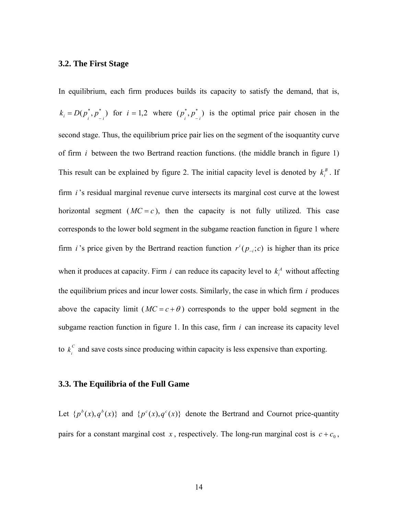#### **3.2. The First Stage**

In equilibrium, each firm produces builds its capacity to satisfy the demand, that is,  $k_i = D(p_i^*, p_{-i}^*)$  for  $i = 1, 2$  where  $(p_i^*, p_{-i}^*)$  is the optimal price pair chosen in the second stage. Thus, the equilibrium price pair lies on the segment of the isoquantity curve of firm *i* between the two Bertrand reaction functions. (the middle branch in figure 1) This result can be explained by figure 2. The initial capacity level is denoted by  $k_i^B$ . If firm *i* 's residual marginal revenue curve intersects its marginal cost curve at the lowest horizontal segment  $(MC = c)$ , then the capacity is not fully utilized. This case corresponds to the lower bold segment in the subgame reaction function in figure 1 where firm *i* 's price given by the Bertrand reaction function  $r^{i}(p_{-i}, c)$  is higher than its price when it produces at capacity. Firm *i* can reduce its capacity level to  $k_i^A$  without affecting the equilibrium prices and incur lower costs. Similarly, the case in which firm *i* produces above the capacity limit ( $MC = c + \theta$ ) corresponds to the upper bold segment in the subgame reaction function in figure 1. In this case, firm *i* can increase its capacity level to  $k_i^c$  and save costs since producing within capacity is less expensive than exporting.

#### **3.3. The Equilibria of the Full Game**

Let  ${p^{b}(x), q^{b}(x)}$  and  ${p^{c}(x), q^{c}(x)}$  denote the Bertrand and Cournot price-quantity pairs for a constant marginal cost *x*, respectively. The long-run marginal cost is  $c + c_0$ ,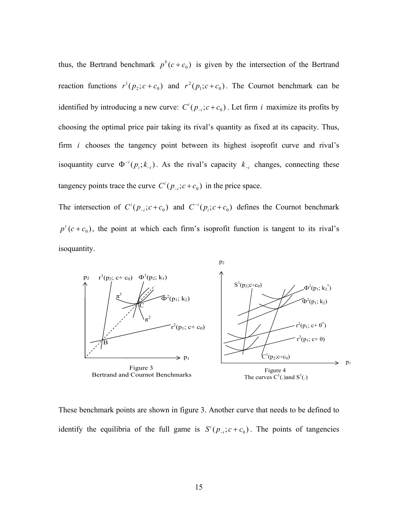thus, the Bertrand benchmark  $p^b(c+c_0)$  is given by the intersection of the Bertrand reaction functions  $r^1(p_2; c + c_0)$  and  $r^2(p_1; c + c_0)$ . The Cournot benchmark can be identified by introducing a new curve:  $C^i(p_{-i}; c + c_0)$ . Let firm *i* maximize its profits by choosing the optimal price pair taking its rival's quantity as fixed at its capacity. Thus, firm *i* chooses the tangency point between its highest isoprofit curve and rival's isoquantity curve  $\Phi^{-i}(p_i; k_{-i})$ . As the rival's capacity  $k_{-i}$  changes, connecting these tangency points trace the curve  $C^i(p_{-i}; c + c_0)$  in the price space.

The intersection of  $C^{i}(p_{i}; c+c_{0})$  and  $C^{-i}(p_{i}; c+c_{0})$  defines the Cournot benchmark  $p^{c}(c+c_0)$ , the point at which each firm's isoprofit function is tangent to its rival's isoquantity.



These benchmark points are shown in figure 3. Another curve that needs to be defined to identify the equilibria of the full game is  $S^i(p_{-i}; c + c_0)$ . The points of tangencies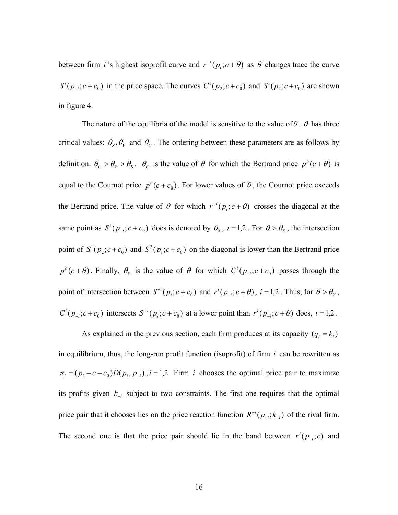between firm *i* 's highest isoprofit curve and  $r^{-i}(p_i; c + \theta)$  as  $\theta$  changes trace the curve  $S^{i}(p_{i}; c+c_{0})$  in the price space. The curves  $C^{1}(p_{i}; c+c_{0})$  and  $S^{1}(p_{i}; c+c_{0})$  are shown in figure 4.

The nature of the equilibria of the model is sensitive to the value of  $\theta$ .  $\theta$  has three critical values:  $\theta_s$ ,  $\theta_V$  and  $\theta_C$ . The ordering between these parameters are as follows by definition:  $\theta_c > \theta_V > \theta_s$ .  $\theta_c$  is the value of  $\theta$  for which the Bertrand price  $p^b(c+\theta)$  is equal to the Cournot price  $p^{c}$  ( $c + c_0$ ). For lower values of  $\theta$ , the Cournot price exceeds the Bertrand price. The value of  $\theta$  for which  $r^{-i}(p_i; c + \theta)$  crosses the diagonal at the same point as  $S^i(p_{-i}; c + c_0)$  does is denoted by  $\theta_s$ ,  $i = 1,2$ . For  $\theta > \theta_s$ , the intersection point of  $S^1(p_2; c+c_0)$  and  $S^2(p_1; c+c_0)$  on the diagonal is lower than the Bertrand price  $p^{b}(c + \theta)$ . Finally,  $\theta_{v}$  is the value of  $\theta$  for which  $C^{i}(p_{i}, c + c_{0})$  passes through the point of intersection between  $S^{-i}(p_i; c + c_0)$  and  $r^i(p_{-i}; c + \theta)$ ,  $i = 1, 2$ . Thus, for  $\theta > \theta_V$ ,  $C^i(p_{-i}; c+c_0)$  intersects  $S^{-i}(p_i; c+c_0)$  at a lower point than  $r^i(p_{-i}; c+\theta)$  does,  $i=1,2$ .

As explained in the previous section, each firm produces at its capacity  $(q_i = k_i)$ in equilibrium, thus, the long-run profit function (isoprofit) of firm *i* can be rewritten as  $\pi_i = (p_i - c - c_0)D(p_i, p_{-i})$ ,  $i = 1, 2$ . Firm *i* chooses the optimal price pair to maximize its profits given  $k_{-i}$  subject to two constraints. The first one requires that the optimal price pair that it chooses lies on the price reaction function  $R^{-i}(p_{-i}; k_{-i})$  of the rival firm. The second one is that the price pair should lie in the band between  $r^{i}(p_{i};c)$  and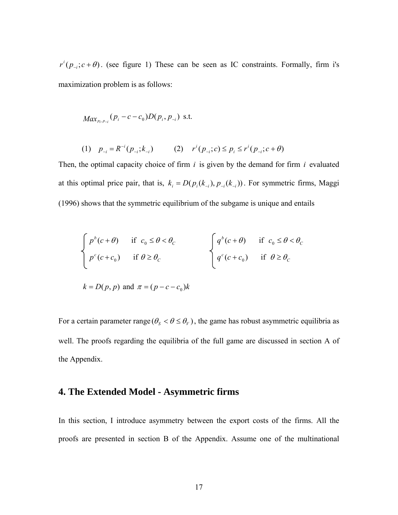$r^{i}(p_{i}, r + \theta)$ . (see figure 1) These can be seen as IC constraints. Formally, firm i's maximization problem is as follows:

$$
Max_{p_i, p_{-i}}(p_i-c-c_0)D(p_i, p_{-i})
$$
 s.t.

(1) 
$$
p_{-i} = R^{-i}(p_{-i}; k_{-i})
$$
 (2)  $r^{i}(p_{-i}; c) \le p_i \le r^{i}(p_{-i}; c + \theta)$ 

Then, the optimal capacity choice of firm *i* is given by the demand for firm *i* evaluated at this optimal price pair, that is,  $k_i = D(p_i(k_{-i}), p_{-i}(k_{-i}))$ . For symmetric firms, Maggi (1996) shows that the symmetric equilibrium of the subgame is unique and entails

$$
\begin{cases}\n p^b(c+\theta) & \text{if } c_0 \leq \theta < \theta_c \\
p^c(c+c_0) & \text{if } \theta \geq \theta_c\n\end{cases}\n\qquad \qquad\n\begin{cases}\n q^b(c+\theta) & \text{if } c_0 \leq \theta < \theta_c \\
q^c(c+c_0) & \text{if } \theta \geq \theta_c\n\end{cases}
$$
\n
$$
k = D(p, p) \text{ and } \pi = (p-c-c_0)k
$$

For a certain parameter range  $(\theta_s < \theta \leq \theta_V)$ , the game has robust asymmetric equilibria as well. The proofs regarding the equilibria of the full game are discussed in section A of the Appendix.

# **4. The Extended Model - Asymmetric firms**

In this section, I introduce asymmetry between the export costs of the firms. All the proofs are presented in section B of the Appendix. Assume one of the multinational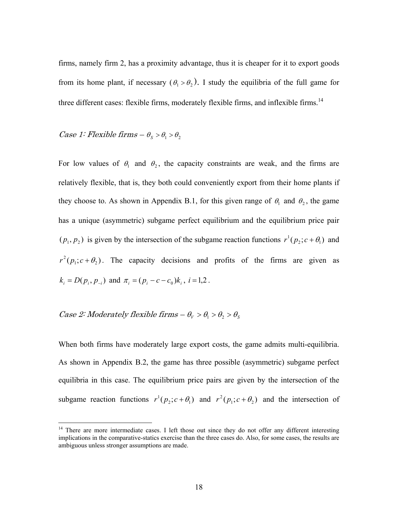firms, namely firm 2, has a proximity advantage, thus it is cheaper for it to export goods from its home plant, if necessary  $(\theta_1 > \theta_2)$ . I study the equilibria of the full game for three different cases: flexible firms, moderately flexible firms, and inflexible firms.<sup>14</sup>

#### Case 1: Flexible firms  $-\theta_s > \theta_1 > \theta_2$

For low values of  $\theta_1$  and  $\theta_2$ , the capacity constraints are weak, and the firms are relatively flexible, that is, they both could conveniently export from their home plants if they choose to. As shown in Appendix B.1, for this given range of  $\theta_1$  and  $\theta_2$ , the game has a unique (asymmetric) subgame perfect equilibrium and the equilibrium price pair  $(p_1, p_2)$  is given by the intersection of the subgame reaction functions  $r^1(p_2; c + \theta_1)$  and  $r^2(p_1; c + \theta_2)$ . The capacity decisions and profits of the firms are given as  $k_i = D(p_i, p_{-i})$  and  $\pi_i = (p_i - c - c_0)k_i$ ,  $i = 1, 2$ .

# *Case 2: Moderately flexible firms –*  $\theta_V > \theta_1 > \theta_2 > \theta_S$

<u>.</u>

When both firms have moderately large export costs, the game admits multi-equilibria. As shown in Appendix B.2, the game has three possible (asymmetric) subgame perfect equilibria in this case. The equilibrium price pairs are given by the intersection of the subgame reaction functions  $r^1(p_2; c + \theta_1)$  and  $r^2(p_1; c + \theta_2)$  and the intersection of

<sup>&</sup>lt;sup>14</sup> There are more intermediate cases. I left those out since they do not offer any different interesting implications in the comparative-statics exercise than the three cases do. Also, for some cases, the results are ambiguous unless stronger assumptions are made.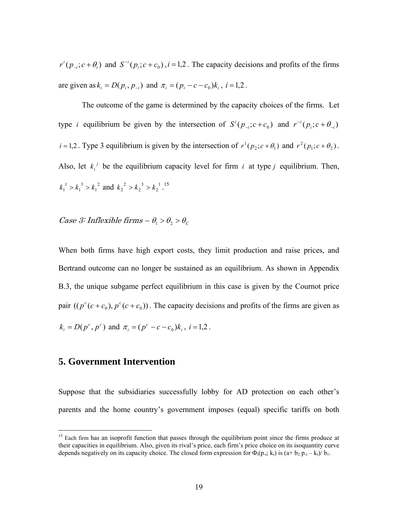$r^{i}(p_{-i}; c + \theta_i)$  and  $S^{-i}(p_i; c + c_0)$ ,  $i = 1, 2$ . The capacity decisions and profits of the firms are given as  $k_i = D(p_i, p_{-i})$  and  $\pi_i = (p_i - c - c_0)k_i$ ,  $i = 1,2$ .

The outcome of the game is determined by the capacity choices of the firms. Let type *i* equilibrium be given by the intersection of  $S^{i}(p_{-i}; c+c_0)$  and  $r^{-i}(p_i; c+\theta_{-i})$  $i = 1, 2$ . Type 3 equilibrium is given by the intersection of  $r^1(p_2; c + \theta_1)$  and  $r^2(p_1; c + \theta_2)$ . Also, let  $k_i^j$  be the equilibrium capacity level for firm *i* at type *j* equilibrium. Then, 2 1 3 1  $k_1^1 > k_1^3 > k_1^2$  and  $k_2^2 > k_2^3 > k_2^1$ 3 2  $k_2^2 > k_2^3 > k_2^1$ .<sup>15</sup>

# *Case 3:* Inflexible firms  $-\theta_1 > \theta_2 > \theta_c$

When both firms have high export costs, they limit production and raise prices, and Bertrand outcome can no longer be sustained as an equilibrium. As shown in Appendix B.3, the unique subgame perfect equilibrium in this case is given by the Cournot price pair  $(( p<sup>c</sup> (c + c<sub>0</sub>), p<sup>c</sup> (c + c<sub>0</sub>))$ . The capacity decisions and profits of the firms are given as  $k_i = D(p^c, p^c)$  and  $\pi_i = (p^c - c - c_0)k_i$ ,  $i = 1, 2$ .

# **5. Government Intervention**

 $\overline{a}$ 

Suppose that the subsidiaries successfully lobby for AD protection on each other's parents and the home country's government imposes (equal) specific tariffs on both

<sup>&</sup>lt;sup>15</sup> Each firm has an isoprofit function that passes through the equilibrium point since the firms produce at their capacities in equilibrium. Also, given its rival's price, each firm's price choice on its isoquantity curve depends negatively on its capacity choice. The closed form expression for  $\Phi_i(p_{-i}; k_i)$  is  $(a + b_2 p_{-i} - k_i)/b_1$ .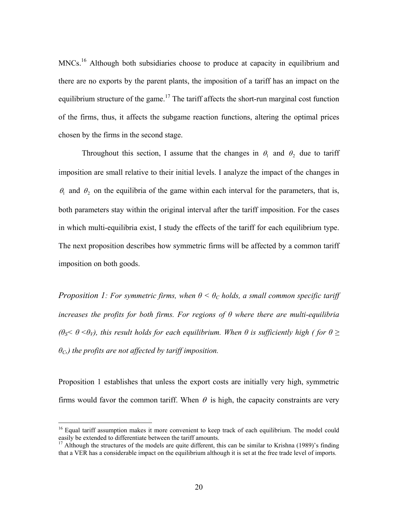MNCs.<sup>16</sup> Although both subsidiaries choose to produce at capacity in equilibrium and there are no exports by the parent plants, the imposition of a tariff has an impact on the equilibrium structure of the game.<sup>17</sup> The tariff affects the short-run marginal cost function of the firms, thus, it affects the subgame reaction functions, altering the optimal prices chosen by the firms in the second stage.

Throughout this section, I assume that the changes in  $\theta_1$  and  $\theta_2$  due to tariff imposition are small relative to their initial levels. I analyze the impact of the changes in  $\theta_1$  and  $\theta_2$  on the equilibria of the game within each interval for the parameters, that is, both parameters stay within the original interval after the tariff imposition. For the cases in which multi-equilibria exist, I study the effects of the tariff for each equilibrium type. The next proposition describes how symmetric firms will be affected by a common tariff imposition on both goods.

*Proposition 1: For symmetric firms, when*  $\theta \leq \theta_c$  holds, a small common specific tariff *increases the profits for both firms. For regions of θ where there are multi-equilibria (* $\theta$ <sup>*S*</sub>  $\theta$  *<* $\theta$ *<sub><i>V*</sub>), this result holds for each equilibrium. When  $\theta$  is sufficiently high ( for  $\theta$  ≥</sup> *θC,) the profits are not affected by tariff imposition.*

Proposition 1 establishes that unless the export costs are initially very high, symmetric firms would favor the common tariff. When  $\theta$  is high, the capacity constraints are very

 $\overline{a}$ 

<sup>&</sup>lt;sup>16</sup> Equal tariff assumption makes it more convenient to keep track of each equilibrium. The model could easily be extended to differentiate between the tariff amounts. 17 Although the structures of the models are quite different, this can be similar to Krishna (1989)'s finding

that a VER has a considerable impact on the equilibrium although it is set at the free trade level of imports.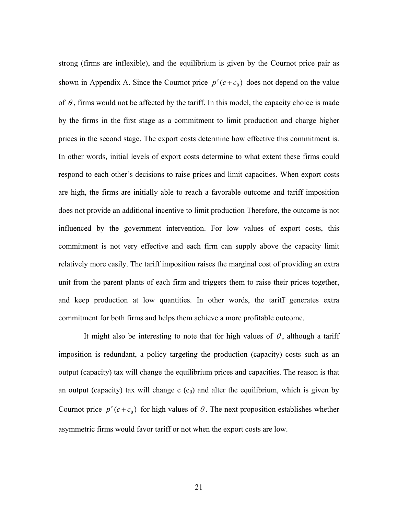strong (firms are inflexible), and the equilibrium is given by the Cournot price pair as shown in Appendix A. Since the Cournot price  $p^{c}(c+c_0)$  does not depend on the value of  $\theta$ , firms would not be affected by the tariff. In this model, the capacity choice is made by the firms in the first stage as a commitment to limit production and charge higher prices in the second stage. The export costs determine how effective this commitment is. In other words, initial levels of export costs determine to what extent these firms could respond to each other's decisions to raise prices and limit capacities. When export costs are high, the firms are initially able to reach a favorable outcome and tariff imposition does not provide an additional incentive to limit production Therefore, the outcome is not influenced by the government intervention. For low values of export costs, this commitment is not very effective and each firm can supply above the capacity limit relatively more easily. The tariff imposition raises the marginal cost of providing an extra unit from the parent plants of each firm and triggers them to raise their prices together, and keep production at low quantities. In other words, the tariff generates extra commitment for both firms and helps them achieve a more profitable outcome.

It might also be interesting to note that for high values of  $\theta$ , although a tariff imposition is redundant, a policy targeting the production (capacity) costs such as an output (capacity) tax will change the equilibrium prices and capacities. The reason is that an output (capacity) tax will change c  $(c_0)$  and alter the equilibrium, which is given by Cournot price  $p^{c}(c+c_0)$  for high values of  $\theta$ . The next proposition establishes whether asymmetric firms would favor tariff or not when the export costs are low.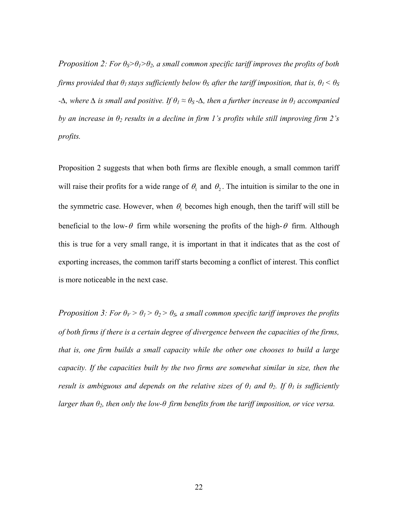*Proposition 2: For*  $\theta_s$ *>* $\theta_1$ *>* $\theta_2$ *, a small common specific tariff improves the profits of both firms provided that*  $\theta$ *<sup>1</sup> stays sufficiently below*  $\theta$ *<sup>S</sup> after the tariff imposition, that is,*  $\theta$ *<sup>1</sup> <*  $\theta$ *<sup>S</sup> -∆, where ∆ is small and positive. If θ<sup>1</sup> ≈ θS -∆, then a further increase in θ1 accompanied by an increase in θ2 results in a decline in firm 1's profits while still improving firm 2's profits.* 

Proposition 2 suggests that when both firms are flexible enough, a small common tariff will raise their profits for a wide range of  $\theta_1$  and  $\theta_2$ . The intuition is similar to the one in the symmetric case. However, when  $\theta_1$  becomes high enough, then the tariff will still be beneficial to the low- $\theta$  firm while worsening the profits of the high- $\theta$  firm. Although this is true for a very small range, it is important in that it indicates that as the cost of exporting increases, the common tariff starts becoming a conflict of interest. This conflict is more noticeable in the next case.

*Proposition 3: For*  $\theta_V > \theta_1 > \theta_2 > \theta_S$ *, a small common specific tariff improves the profits of both firms if there is a certain degree of divergence between the capacities of the firms, that is, one firm builds a small capacity while the other one chooses to build a large capacity. If the capacities built by the two firms are somewhat similar in size, then the result is ambiguous and depends on the relative sizes of*  $\theta$ *<sup>1</sup> and*  $\theta$ *<sup>2</sup>. If*  $\theta$ *<sup>1</sup> is sufficiently larger than θ2, then only the low-θ firm benefits from the tariff imposition, or vice versa.*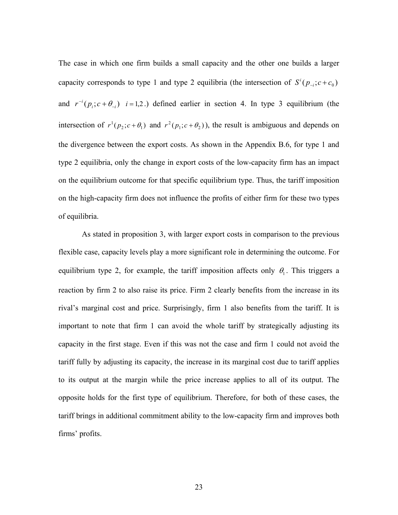The case in which one firm builds a small capacity and the other one builds a larger capacity corresponds to type 1 and type 2 equilibria (the intersection of  $S^{i}(p_{i}, c+c_{0})$ and  $r^{-i}(p_i; c + \theta_{-i})$  *i* = 1,2.) defined earlier in section 4. In type 3 equilibrium (the intersection of  $r^1(p_2; c + \theta_1)$  and  $r^2(p_1; c + \theta_2)$ , the result is ambiguous and depends on the divergence between the export costs. As shown in the Appendix B.6, for type 1 and type 2 equilibria, only the change in export costs of the low-capacity firm has an impact on the equilibrium outcome for that specific equilibrium type. Thus, the tariff imposition on the high-capacity firm does not influence the profits of either firm for these two types of equilibria.

As stated in proposition 3, with larger export costs in comparison to the previous flexible case, capacity levels play a more significant role in determining the outcome. For equilibrium type 2, for example, the tariff imposition affects only  $\theta_1$ . This triggers a reaction by firm 2 to also raise its price. Firm 2 clearly benefits from the increase in its rival's marginal cost and price. Surprisingly, firm 1 also benefits from the tariff. It is important to note that firm 1 can avoid the whole tariff by strategically adjusting its capacity in the first stage. Even if this was not the case and firm 1 could not avoid the tariff fully by adjusting its capacity, the increase in its marginal cost due to tariff applies to its output at the margin while the price increase applies to all of its output. The opposite holds for the first type of equilibrium. Therefore, for both of these cases, the tariff brings in additional commitment ability to the low-capacity firm and improves both firms' profits.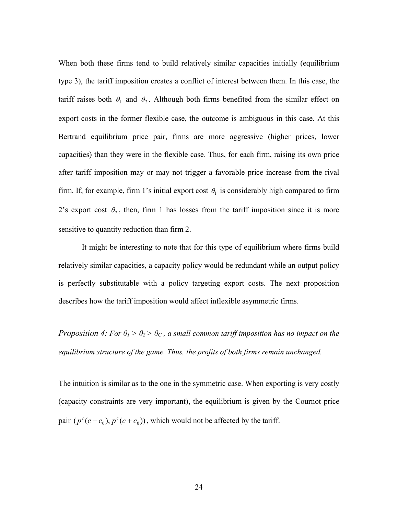When both these firms tend to build relatively similar capacities initially (equilibrium type 3), the tariff imposition creates a conflict of interest between them. In this case, the tariff raises both  $\theta_1$  and  $\theta_2$ . Although both firms benefited from the similar effect on export costs in the former flexible case, the outcome is ambiguous in this case. At this Bertrand equilibrium price pair, firms are more aggressive (higher prices, lower capacities) than they were in the flexible case. Thus, for each firm, raising its own price after tariff imposition may or may not trigger a favorable price increase from the rival firm. If, for example, firm 1's initial export cost  $\theta_1$  is considerably high compared to firm 2's export cost  $\theta_2$ , then, firm 1 has losses from the tariff imposition since it is more sensitive to quantity reduction than firm 2.

 It might be interesting to note that for this type of equilibrium where firms build relatively similar capacities, a capacity policy would be redundant while an output policy is perfectly substitutable with a policy targeting export costs. The next proposition describes how the tariff imposition would affect inflexible asymmetric firms.

*Proposition 4: For*  $\theta$ *<sub>1</sub> >*  $\theta$ *<sub>2</sub> >*  $\theta$ *<sub>C</sub>, a small common tariff imposition has no impact on the equilibrium structure of the game. Thus, the profits of both firms remain unchanged.* 

The intuition is similar as to the one in the symmetric case. When exporting is very costly (capacity constraints are very important), the equilibrium is given by the Cournot price pair  $(p^c(c + c_0), p^c(c + c_0))$ , which would not be affected by the tariff.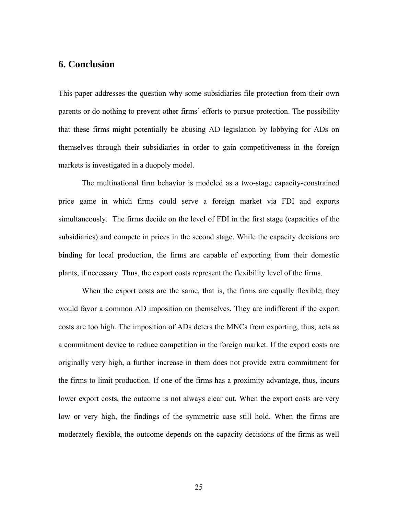# **6. Conclusion**

This paper addresses the question why some subsidiaries file protection from their own parents or do nothing to prevent other firms' efforts to pursue protection. The possibility that these firms might potentially be abusing AD legislation by lobbying for ADs on themselves through their subsidiaries in order to gain competitiveness in the foreign markets is investigated in a duopoly model.

The multinational firm behavior is modeled as a two-stage capacity-constrained price game in which firms could serve a foreign market via FDI and exports simultaneously. The firms decide on the level of FDI in the first stage (capacities of the subsidiaries) and compete in prices in the second stage. While the capacity decisions are binding for local production, the firms are capable of exporting from their domestic plants, if necessary. Thus, the export costs represent the flexibility level of the firms.

When the export costs are the same, that is, the firms are equally flexible; they would favor a common AD imposition on themselves. They are indifferent if the export costs are too high. The imposition of ADs deters the MNCs from exporting, thus, acts as a commitment device to reduce competition in the foreign market. If the export costs are originally very high, a further increase in them does not provide extra commitment for the firms to limit production. If one of the firms has a proximity advantage, thus, incurs lower export costs, the outcome is not always clear cut. When the export costs are very low or very high, the findings of the symmetric case still hold. When the firms are moderately flexible, the outcome depends on the capacity decisions of the firms as well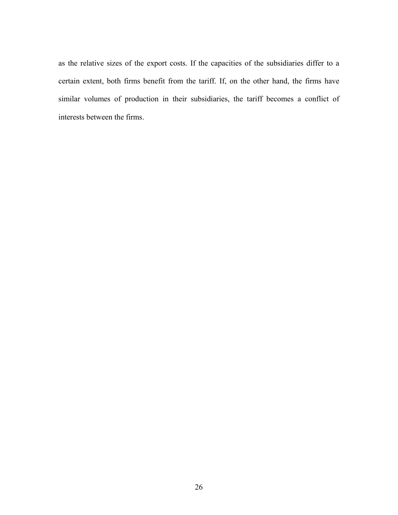as the relative sizes of the export costs. If the capacities of the subsidiaries differ to a certain extent, both firms benefit from the tariff. If, on the other hand, the firms have similar volumes of production in their subsidiaries, the tariff becomes a conflict of interests between the firms.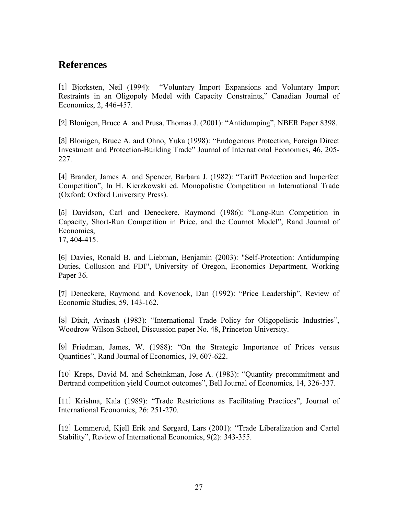# **References**

[1] Bjorksten, Neil (1994): "Voluntary Import Expansions and Voluntary Import Restraints in an Oligopoly Model with Capacity Constraints," Canadian Journal of Economics, 2, 446-457.

[2] Blonigen, Bruce A. and Prusa, Thomas J. (2001): "Antidumping", NBER Paper 8398.

[3] Blonigen, Bruce A. and Ohno, Yuka (1998): "Endogenous Protection, Foreign Direct Investment and Protection-Building Trade" Journal of International Economics, 46, 205- 227.

[4] Brander, James A. and Spencer, Barbara J. (1982): "Tariff Protection and Imperfect Competition", In H. Kierzkowski ed. Monopolistic Competition in International Trade (Oxford: Oxford University Press).

[5] Davidson, Carl and Deneckere, Raymond (1986): "Long-Run Competition in Capacity, Short-Run Competition in Price, and the Cournot Model", Rand Journal of Economics,

17, 404-415.

[6] Davies, Ronald B. and Liebman, Benjamin (2003): "Self-Protection: Antidumping Duties, Collusion and FDI", University of Oregon, Economics Department, Working Paper 36.

[7] Deneckere, Raymond and Kovenock, Dan (1992): "Price Leadership", Review of Economic Studies, 59, 143-162.

[8] Dixit, Avinash (1983): "International Trade Policy for Oligopolistic Industries", Woodrow Wilson School, Discussion paper No. 48, Princeton University.

[9] Friedman, James, W. (1988): "On the Strategic Importance of Prices versus Quantities", Rand Journal of Economics, 19, 607-622.

[10] Kreps, David M. and Scheinkman, Jose A. (1983): "Quantity precommitment and Bertrand competition yield Cournot outcomes", Bell Journal of Economics, 14, 326-337.

[11] Krishna, Kala (1989): "Trade Restrictions as Facilitating Practices", Journal of International Economics, 26: 251-270.

[12] Lommerud, Kjell Erik and Sørgard, Lars (2001): "Trade Liberalization and Cartel Stability", Review of International Economics, 9(2): 343-355.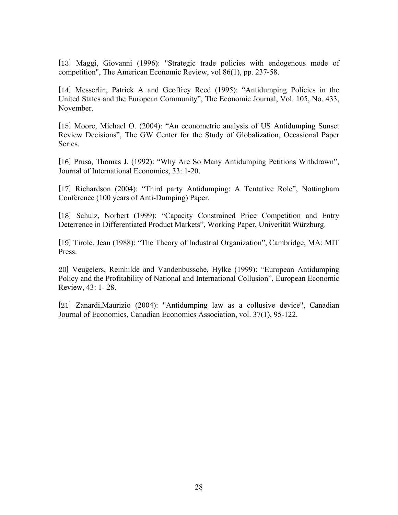[13] Maggi, Giovanni (1996): "Strategic trade policies with endogenous mode of competition", The American Economic Review, vol 86(1), pp. 237-58.

[14] Messerlin, Patrick A and Geoffrey Reed (1995): "Antidumping Policies in the United States and the European Community", The Economic Journal, Vol. 105, No. 433, November.

[15] Moore, Michael O. (2004): "An econometric analysis of US Antidumping Sunset Review Decisions", The GW Center for the Study of Globalization, Occasional Paper Series.

[16] Prusa, Thomas J. (1992): "Why Are So Many Antidumping Petitions Withdrawn", Journal of International Economics, 33: 1-20.

[17] Richardson (2004): "Third party Antidumping: A Tentative Role", Nottingham Conference (100 years of Anti-Dumping) Paper.

[18] Schulz, Norbert (1999): "Capacity Constrained Price Competition and Entry Deterrence in Differentiated Product Markets", Working Paper, Univerität Würzburg.

[19] Tirole, Jean (1988): "The Theory of Industrial Organization", Cambridge, MA: MIT Press.

20] Veugelers, Reinhilde and Vandenbussche, Hylke (1999): "European Antidumping Policy and the Profitability of National and International Collusion", European Economic Review, 43: 1- 28.

[21] Zanardi,Maurizio (2004): "Antidumping law as a collusive device", Canadian Journal of Economics, Canadian Economics Association, vol. 37(1), 95-122.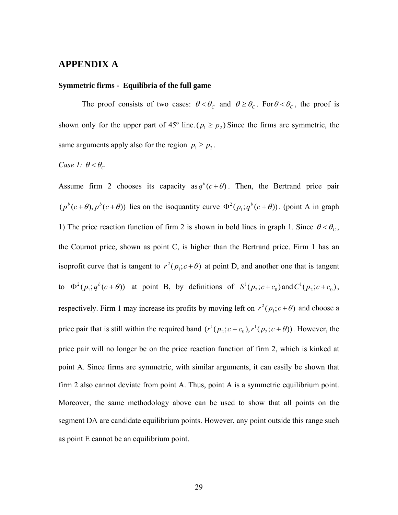## **APPENDIX A**

#### **Symmetric firms - Equilibria of the full game**

The proof consists of two cases:  $\theta < \theta_c$  and  $\theta \ge \theta_c$ . For  $\theta < \theta_c$ , the proof is shown only for the upper part of 45° line. ( $p_1 \ge p_2$ ) Since the firms are symmetric, the same arguments apply also for the region  $p_1 \geq p_2$ .

### *Case 1:*  $\theta < \theta_c$

Assume firm 2 chooses its capacity as  $q^b(c+\theta)$ . Then, the Bertrand price pair  $(p^{b}(c+\theta), p^{b}(c+\theta))$  lies on the isoquantity curve  $\Phi^{2}(p_{1}; q^{b}(c+\theta))$ . (point A in graph 1) The price reaction function of firm 2 is shown in bold lines in graph 1. Since  $\theta < \theta_c$ , the Cournot price, shown as point C, is higher than the Bertrand price. Firm 1 has an isoprofit curve that is tangent to  $r^2(p_1; c + \theta)$  at point D, and another one that is tangent to  $\Phi^2(p_1; q^b(c+\theta))$  at point B, by definitions of  $S^1(p_2; c+c_0)$  and  $C^1(p_2; c+c_0)$ , respectively. Firm 1 may increase its profits by moving left on  $r^2(p_1; c + \theta)$  and choose a price pair that is still within the required band  $(r^{1}(p_{2}; c + c_{0}), r^{1}(p_{2}; c + \theta))$  $_2$ ,  $c$  +  $c_0$  $r^{1}(p_{2}; c+c_{0}), r^{1}(p_{2}; c+\theta)$ . However, the price pair will no longer be on the price reaction function of firm 2, which is kinked at point A. Since firms are symmetric, with similar arguments, it can easily be shown that firm 2 also cannot deviate from point A. Thus, point A is a symmetric equilibrium point. Moreover, the same methodology above can be used to show that all points on the segment DA are candidate equilibrium points. However, any point outside this range such as point E cannot be an equilibrium point.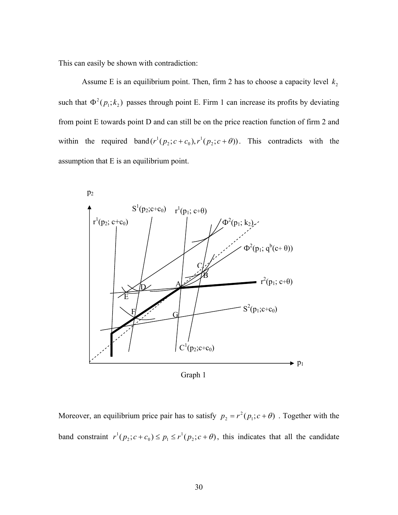This can easily be shown with contradiction:

Assume E is an equilibrium point. Then, firm 2 has to choose a capacity level  $k_2$ such that  $\Phi^2(p_1; k_2)$  passes through point E. Firm 1 can increase its profits by deviating from point E towards point D and can still be on the price reaction function of firm 2 and within the required band  $(r^1(p_2; c+c_0), r^1(p_2; c+\theta))$  $_2$ ,  $\mathfrak{c}$  +  $\mathfrak{c}_0$  $r^{1}(p_{2}; c+c_{0}), r^{1}(p_{2}; c+\theta)$ . This contradicts with the assumption that E is an equilibrium point.



Moreover, an equilibrium price pair has to satisfy  $p_2 = r^2(p_1; c + \theta)$ . Together with the band constraint  $r^{1}(p_{2}; c + c_{0}) \leq p_{1} \leq r^{1}(p_{2}; c + \theta)$ 2,  $c_1$   $c_0$   $\geq$   $P_1$  $r^{1}(p_{2}; c+c_{0}) \leq p_{1} \leq r^{1}(p_{2}; c+\theta)$ , this indicates that all the candidate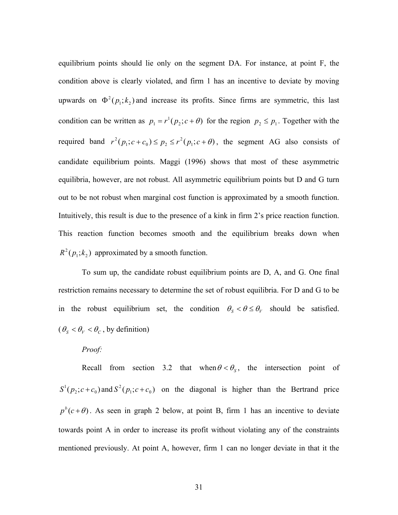equilibrium points should lie only on the segment DA. For instance, at point F, the condition above is clearly violated, and firm 1 has an incentive to deviate by moving upwards on  $\Phi^2(p_1; k_2)$  and increase its profits. Since firms are symmetric, this last condition can be written as  $p_1 = r^1(p_2; c + \theta)$  for the region  $p_2 \leq p_1$ . Together with the required band  $r^{2}(p_{1}; c + c_{0}) \leq p_{2} \leq r^{2}(p_{1}; c + \theta)$  $v_1, c_1, c_0 \neq p_2$  $r^{2}(p_{1}; c+c_{0}) \leq p_{2} \leq r^{2}(p_{1}; c+\theta)$ , the segment AG also consists of candidate equilibrium points. Maggi (1996) shows that most of these asymmetric equilibria, however, are not robust. All asymmetric equilibrium points but D and G turn out to be not robust when marginal cost function is approximated by a smooth function. Intuitively, this result is due to the presence of a kink in firm 2's price reaction function. This reaction function becomes smooth and the equilibrium breaks down when  $R^2(p_1;k_2)$  approximated by a smooth function.

To sum up, the candidate robust equilibrium points are D, A, and G. One final restriction remains necessary to determine the set of robust equilibria. For D and G to be in the robust equilibrium set, the condition  $\theta_s < \theta \le \theta_v$  should be satisfied.  $(\theta_s < \theta_V < \theta_c)$ , by definition)

### *Proof:*

Recall from section 3.2 that when  $\theta < \theta_s$ , the intersection point of  $S^1(p_2; c+c_0)$  and  $S^2(p_1; c+c_0)$  on the diagonal is higher than the Bertrand price  $p^{b}(c+\theta)$ . As seen in graph 2 below, at point B, firm 1 has an incentive to deviate towards point A in order to increase its profit without violating any of the constraints mentioned previously. At point A, however, firm 1 can no longer deviate in that it the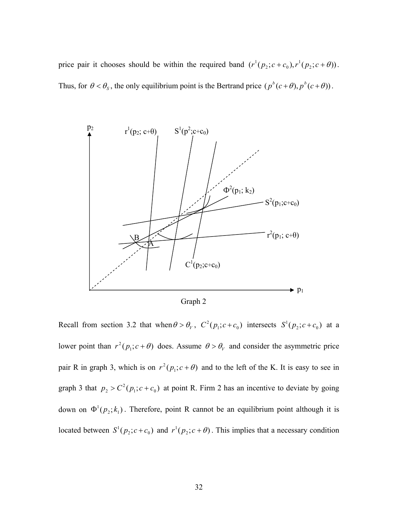price pair it chooses should be within the required band  $(r^{1}(p_{2}; c + c_{0}), r^{1}(p_{2}; c + \theta))$  $_2$ ,  $\mathfrak{c}$  +  $\mathfrak{c}_0$  $r^{1}(p_{2}; c+c_{0}), r^{1}(p_{2}; c+\theta)).$ Thus, for  $\theta < \theta_s$ , the only equilibrium point is the Bertrand price  $(p^b(c+\theta), p^b(c+\theta))$ .



Graph 2

Recall from section 3.2 that when  $\theta > \theta_V$ ,  $C^2(p_1; c+c_0)$  intersects  $S^1(p_2; c+c_0)$  at a lower point than  $r^2(p_1; c + \theta)$  does. Assume  $\theta > \theta_\nu$  and consider the asymmetric price pair R in graph 3, which is on  $r^2(p_1; c + \theta)$  and to the left of the K. It is easy to see in graph 3 that  $p_2 > C^2(p_1; c + c_0)$  at point R. Firm 2 has an incentive to deviate by going down on  $\Phi^1(p_2; k_1)$ . Therefore, point R cannot be an equilibrium point although it is located between  $S^1(p_2; c+c_0)$  and  $r^1(p_2; c+\theta)$ . This implies that a necessary condition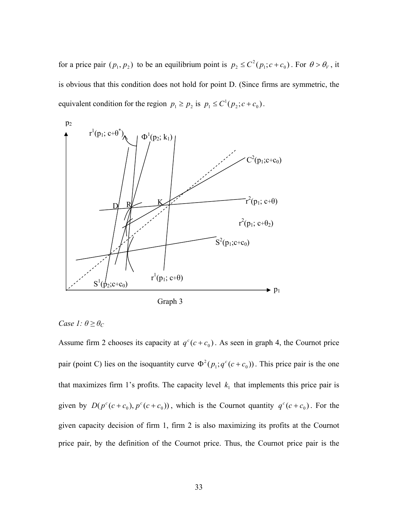for a price pair  $(p_1, p_2)$  to be an equilibrium point is  $p_2 \le C^2(p_1; c + c_0)$ . For  $\theta > \theta_\nu$ , it is obvious that this condition does not hold for point D. (Since firms are symmetric, the equivalent condition for the region  $p_1 \ge p_2$  is  $p_1 \le C^1(p_2; c + c_0)$ .



Graph 3

## *Case 1:*  $\theta \geq \theta_C$

Assume firm 2 chooses its capacity at  $q^c$  ( $c + c_0$ ). As seen in graph 4, the Cournot price pair (point C) lies on the isoquantity curve  $\Phi^2(p_1; q^c(c+c_0))$ . This price pair is the one that maximizes firm 1's profits. The capacity level  $k_1$  that implements this price pair is given by  $D(p^c(c+c_0), p^c(c+c_0))$ , which is the Cournot quantity  $q^c(c+c_0)$ . For the given capacity decision of firm 1, firm 2 is also maximizing its profits at the Cournot price pair, by the definition of the Cournot price. Thus, the Cournot price pair is the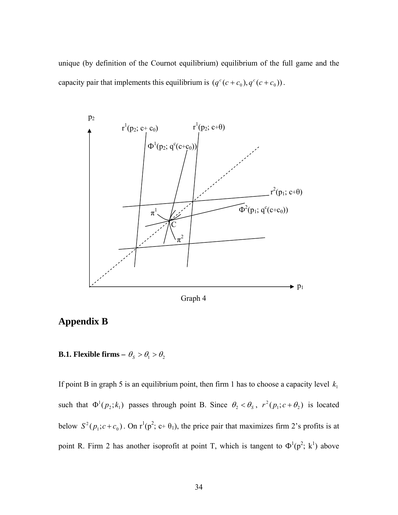unique (by definition of the Cournot equilibrium) equilibrium of the full game and the capacity pair that implements this equilibrium is  $(q^c(c + c_0), q^c(c + c_0))$ .



Graph 4

# **Appendix B**

**B.1. Flexible firms –**  $\theta_s > \theta_1 > \theta_2$ 

If point B in graph 5 is an equilibrium point, then firm 1 has to choose a capacity level  $k_1$ such that  $\Phi^1(p_2; k_1)$  passes through point B. Since  $\theta_2 < \theta_s$ ,  $r^2(p_1; c + \theta_2)$  is located below  $S^2(p_1; c+c_0)$ . On  $r^1(p^2; c+\theta_1)$ , the price pair that maximizes firm 2's profits is at point R. Firm 2 has another isoprofit at point T, which is tangent to  $\Phi^1(p^2; k^1)$  above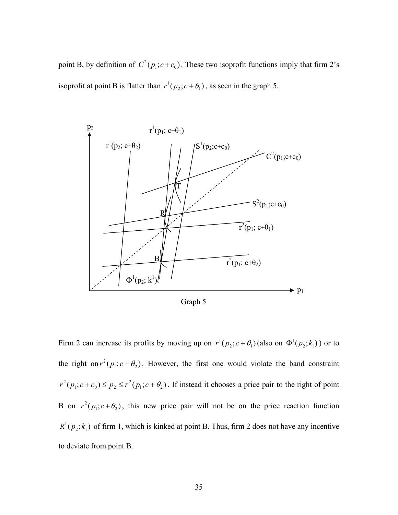point B, by definition of  $C^2(p_1; c+c_0)$ . These two isoprofit functions imply that firm 2's isoprofit at point B is flatter than  $r^1(p_2; c + \theta_1)$ , as seen in the graph 5.



Graph 5

Firm 2 can increase its profits by moving up on  $r^1(p_2; c + \theta_1)$  (also on  $\Phi^1(p_2; k_1)$ ) or to the right on  $r^2(p_1; c + \theta_2)$ . However, the first one would violate the band constraint  $(p_1; c + c_0) \le p_2 \le r^2 (p_1; c + \theta_2)$  $_1, c \tau c_0$   $\geq p_2$  $r^{2}(p_{1}; c+c_{0}) \leq p_{2} \leq r^{2}(p_{1}; c+\theta_{2})$ . If instead it chooses a price pair to the right of point B on  $r^2(p_1; c + \theta_2)$ , this new price pair will not be on the price reaction function  $R^1(p_2; k_1)$  of firm 1, which is kinked at point B. Thus, firm 2 does not have any incentive to deviate from point B.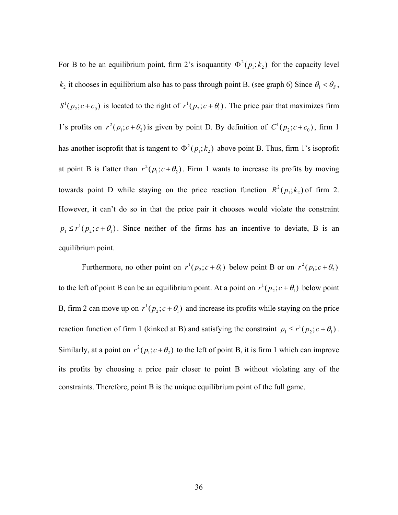For B to be an equilibrium point, firm 2's isoquantity  $\Phi^2(p_1; k_2)$  for the capacity level  $k_2$  it chooses in equilibrium also has to pass through point B. (see graph 6) Since  $\theta_1 < \theta_s$ ,  $S^1(p_2; c+c_0)$  is located to the right of  $r^1(p_2; c+\theta_1)$ . The price pair that maximizes firm 1's profits on  $r^2(p_1; c + \theta_2)$  is given by point D. By definition of  $C^1(p_2; c + c_0)$ , firm 1 has another isoprofit that is tangent to  $\Phi^2(p_1; k_2)$  above point B. Thus, firm 1's isoprofit at point B is flatter than  $r^2(p_1; c + \theta_2)$ . Firm 1 wants to increase its profits by moving towards point D while staying on the price reaction function  $R^2(p_1; k_2)$  of firm 2. However, it can't do so in that the price pair it chooses would violate the constraint  $p_1 \le r^1(p_2; c + \theta_1)$ . Since neither of the firms has an incentive to deviate, B is an equilibrium point.

Furthermore, no other point on  $r^1(p_2; c + \theta_1)$  below point B or on  $r^2(p_1; c + \theta_2)$ to the left of point B can be an equilibrium point. At a point on  $r^1(p_2; c + \theta_1)$  below point B, firm 2 can move up on  $r^1(p_2; c + \theta_1)$  and increase its profits while staying on the price reaction function of firm 1 (kinked at B) and satisfying the constraint  $p_1 \le r^1(p_2; c + \theta_1)$ . Similarly, at a point on  $r^2(p_1; c + \theta_2)$  to the left of point B, it is firm 1 which can improve its profits by choosing a price pair closer to point B without violating any of the constraints. Therefore, point B is the unique equilibrium point of the full game.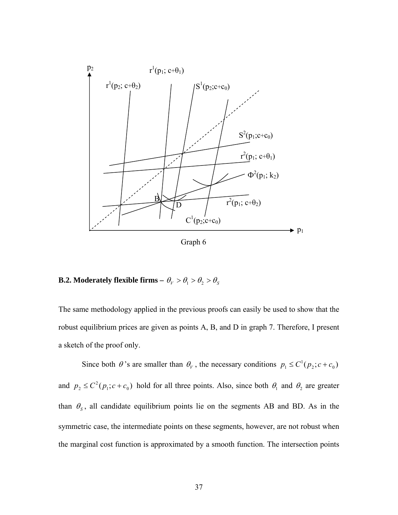

# **B.2. Moderately flexible firms –**  $\theta_V > \theta_1 > \theta_2 > \theta_S$

The same methodology applied in the previous proofs can easily be used to show that the robust equilibrium prices are given as points A, B, and D in graph 7. Therefore, I present a sketch of the proof only.

Since both  $\theta$ 's are smaller than  $\theta_V$ , the necessary conditions  $p_1 \le C^1(p_2; c + c_0)$ and  $p_2 \le C^2(p_1; c + c_0)$  hold for all three points. Also, since both  $\theta_1$  and  $\theta_2$  are greater than  $\theta_s$ , all candidate equilibrium points lie on the segments AB and BD. As in the symmetric case, the intermediate points on these segments, however, are not robust when the marginal cost function is approximated by a smooth function. The intersection points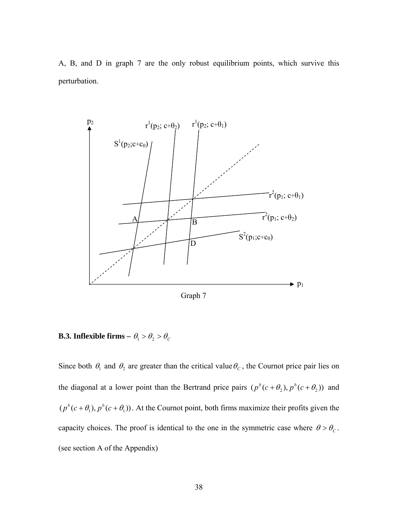A, B, and D in graph 7 are the only robust equilibrium points, which survive this perturbation.



Graph 7

# **B.3. Inflexible firms –**  $\theta_1 > \theta_2 > \theta_C$

Since both  $\theta_1$  and  $\theta_2$  are greater than the critical value  $\theta_c$ , the Cournot price pair lies on the diagonal at a lower point than the Bertrand price pairs  $(p^b(c + \theta_2), p^b(c + \theta_2))$  and  $(p^{b}(c+\theta_1), p^{b}(c+\theta_1))$ . At the Cournot point, both firms maximize their profits given the capacity choices. The proof is identical to the one in the symmetric case where  $\theta > \theta_c$ . (see section A of the Appendix)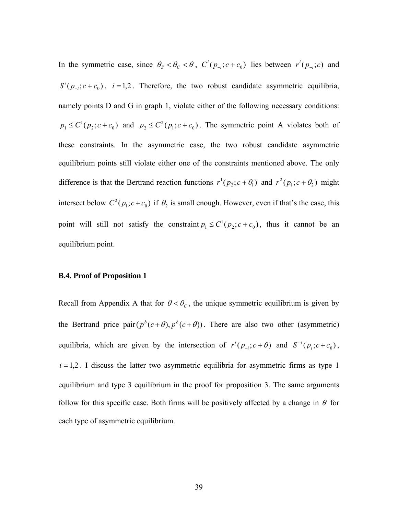In the symmetric case, since  $\theta_s < \theta_c < \theta$ ,  $C^i(p_{-i}; c + c_0)$  lies between  $r^i(p_{-i}; c)$  and  $S^{i}(p_{i}, c+c_{0})$ ,  $i=1,2$ . Therefore, the two robust candidate asymmetric equilibria, namely points D and G in graph 1, violate either of the following necessary conditions:  $p_1 \leq C^1(p_2; c + c_0)$  and  $p_2 \leq C^2(p_1; c + c_0)$ . The symmetric point A violates both of these constraints. In the asymmetric case, the two robust candidate asymmetric equilibrium points still violate either one of the constraints mentioned above. The only difference is that the Bertrand reaction functions  $r^1(p_2; c + \theta_1)$  and  $r^2(p_1; c + \theta_2)$  might intersect below  $C^2(p_1; c+c_0)$  if  $\theta_2$  is small enough. However, even if that's the case, this point will still not satisfy the constraint  $p_1 \le C^1(p_2; c + c_0)$ , thus it cannot be an equilibrium point.

### **B.4. Proof of Proposition 1**

Recall from Appendix A that for  $\theta < \theta_c$ , the unique symmetric equilibrium is given by the Bertrand price pair  $(p^{b}(c+\theta), p^{b}(c+\theta))$ . There are also two other (asymmetric) equilibria, which are given by the intersection of  $r^{i} (p_{-i}; c + \theta)$  and  $S^{-i} (p_{i}; c + c_0)$ ,  $i = 1,2$ . I discuss the latter two asymmetric equilibria for asymmetric firms as type 1 equilibrium and type 3 equilibrium in the proof for proposition 3. The same arguments follow for this specific case. Both firms will be positively affected by a change in  $\theta$  for each type of asymmetric equilibrium.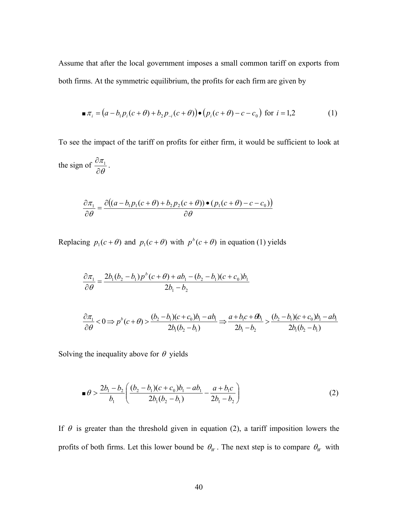Assume that after the local government imposes a small common tariff on exports from both firms. At the symmetric equilibrium, the profits for each firm are given by

$$
\blacksquare \pi_i = (a - b_1 p_i (c + \theta) + b_2 p_{-i} (c + \theta)) \bullet (p_i (c + \theta) - c - c_0) \text{ for } i = 1, 2
$$
 (1)

To see the impact of the tariff on profits for either firm, it would be sufficient to look at

the sign of  $\frac{\partial \pi_1}{\partial \theta}$ ∂  $\frac{\partial \pi_1}{\partial \theta_1}$ .

$$
\frac{\partial \pi_1}{\partial \theta} = \frac{\partial ((a - b_1 p_1 (c + \theta) + b_2 p_2 (c + \theta)) \bullet (p_1 (c + \theta) - c - c_0))}{\partial \theta}
$$

Replacing  $p_1(c + \theta)$  and  $p_1(c + \theta)$  with  $p^b(c + \theta)$  in equation (1) yields

$$
\frac{\partial \pi_1}{\partial \theta} = \frac{2b_1(b_2 - b_1)p^b(c + \theta) + ab_1 - (b_2 - b_1)(c + c_0)b_1}{2b_1 - b_2}
$$

$$
\frac{\partial \pi_1}{\partial \theta} < 0 \Rightarrow p^b(c+\theta) > \frac{(b_2 - b_1)(c+c_0)b_1 - ab_1}{2b_1(b_2 - b_1)} \Rightarrow \frac{a+b_1c+\theta b_1}{2b_1 - b_2} > \frac{(b_2 - b_1)(c+c_0)b_1 - ab_1}{2b_1(b_2 - b_1)}
$$

Solving the inequality above for  $\theta$  yields

$$
\blacksquare \theta > \frac{2b_1 - b_2}{b_1} \left( \frac{(b_2 - b_1)(c + c_0)b_1 - ab_1}{2b_1(b_2 - b_1)} - \frac{a + b_1c}{2b_1 - b_2} \right) \tag{2}
$$

If  $\theta$  is greater than the threshold given in equation (2), a tariff imposition lowers the profits of both firms. Let this lower bound be  $\theta_W$ . The next step is to compare  $\theta_W$  with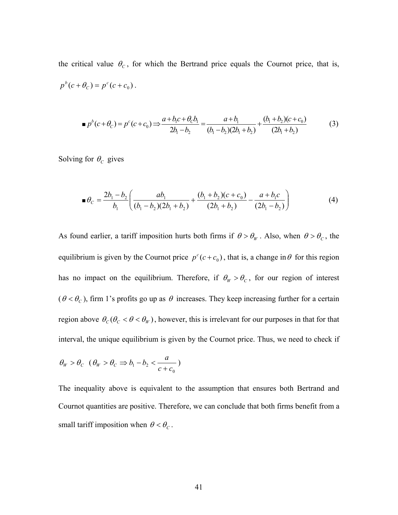the critical value  $\theta_c$ , for which the Bertrand price equals the Cournot price, that is,  $p^{b}(c + \theta_{c}) = p^{c}(c + c_{0}).$ 

$$
\blacksquare p^b(c+\theta_c) = p^c(c+c_0) \Longrightarrow \frac{a+b_1c+\theta_c b_1}{2b_1-b_2} = \frac{a+b_1}{(b_1-b_2)(2b_1+b_2)} + \frac{(b_1+b_2)(c+c_0)}{(2b_1+b_2)}
$$
(3)

Solving for  $\theta_c$  gives

$$
\blacksquare \theta_C = \frac{2b_1 - b_2}{b_1} \left( \frac{ab_1}{(b_1 - b_2)(2b_1 + b_2)} + \frac{(b_1 + b_2)(c + c_0)}{(2b_1 + b_2)} - \frac{a + b_1c}{(2b_1 - b_2)} \right) \tag{4}
$$

As found earlier, a tariff imposition hurts both firms if  $\theta > \theta_w$ . Also, when  $\theta > \theta_c$ , the equilibrium is given by the Cournot price  $p^{c}(c + c_0)$ , that is, a change in  $\theta$  for this region has no impact on the equilibrium. Therefore, if  $\theta_W > \theta_C$ , for our region of interest  $(\theta < \theta_c)$ , firm 1's profits go up as  $\theta$  increases. They keep increasing further for a certain region above  $\theta_C (\theta_C < \theta < \theta_W)$ , however, this is irrelevant for our purposes in that for that interval, the unique equilibrium is given by the Cournot price. Thus, we need to check if

$$
\theta_{W} > \theta_{C} \ (\theta_{W} > \theta_{C} \Rightarrow b_{1} - b_{2} < \frac{a}{c + c_{0}})
$$

The inequality above is equivalent to the assumption that ensures both Bertrand and Cournot quantities are positive. Therefore, we can conclude that both firms benefit from a small tariff imposition when  $\theta < \theta_c$ .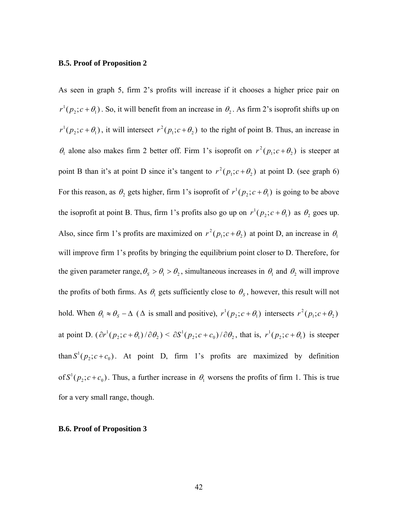#### **B.5. Proof of Proposition 2**

As seen in graph 5, firm 2's profits will increase if it chooses a higher price pair on  $r^1(p_2; c + \theta_1)$ . So, it will benefit from an increase in  $\theta_2$ . As firm 2's isoprofit shifts up on  $r^{1}(p_{2}; c + \theta_{1})$ , it will intersect  $r^{2}(p_{1}; c + \theta_{2})$  to the right of point B. Thus, an increase in  $\theta_1$  alone also makes firm 2 better off. Firm 1's isoprofit on  $r^2(p_1; c + \theta_2)$  is steeper at point B than it's at point D since it's tangent to  $r^2(p_1; c + \theta_2)$  at point D. (see graph 6) For this reason, as  $\theta_2$  gets higher, firm 1's isoprofit of  $r^1(p_2; c + \theta_1)$  is going to be above the isoprofit at point B. Thus, firm 1's profits also go up on  $r^1(p_2; c + \theta_1)$  as  $\theta_2$  goes up. Also, since firm 1's profits are maximized on  $r^2(p_1; c + \theta_2)$  at point D, an increase in  $\theta_1$ will improve firm 1's profits by bringing the equilibrium point closer to D. Therefore, for the given parameter range,  $\theta_s > \theta_1 > \theta_2$ , simultaneous increases in  $\theta_1$  and  $\theta_2$  will improve the profits of both firms. As  $\theta_1$  gets sufficiently close to  $\theta_s$ , however, this result will not hold. When  $\theta_1 \approx \theta_s - \Delta$  ( $\Delta$  is small and positive),  $r^1(p_2; c + \theta_1)$  intersects  $r^2(p_1; c + \theta_2)$ at point D.  $(\partial r^1(p_2; c + \theta_1)/\partial \theta_2) \leq \partial S^1(p_2; c + c_0)/\partial \theta_2$ , that is,  $r^1(p_2; c + \theta_1)$  is steeper than  $S^1(p_2; c+c_0)$ . At point D, firm 1's profits are maximized by definition of  $S^1(p_2; c + c_0)$ . Thus, a further increase in  $\theta_1$  worsens the profits of firm 1. This is true for a very small range, though.

### **B.6. Proof of Proposition 3**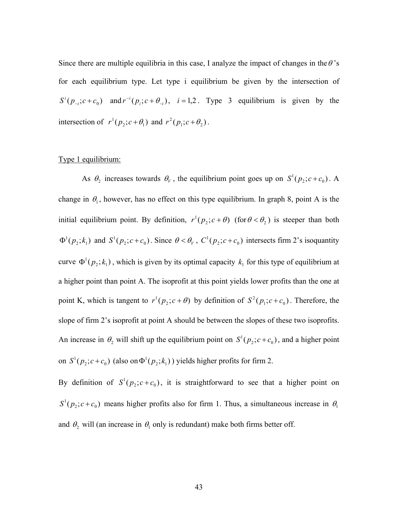Since there are multiple equilibria in this case, I analyze the impact of changes in the  $\theta$ 's for each equilibrium type. Let type i equilibrium be given by the intersection of  $S^{i}(p_{-i}; c+c_0)$  and  $r^{-i}(p_i; c+\theta_{-i})$ ,  $i=1,2$ . Type 3 equilibrium is given by the intersection of  $r^1(p_2; c + \theta_1)$  and  $r^2(p_1; c + \theta_2)$ .

### Type 1 equilibrium:

As  $\theta_2$  increases towards  $\theta_V$ , the equilibrium point goes up on  $S^1(p_2; c + c_0)$ . A change in  $\theta_1$ , however, has no effect on this type equilibrium. In graph 8, point A is the initial equilibrium point. By definition,  $r^{1}(p_{2}; c + \theta)$  (for  $\theta < \theta_{2}$ ) is steeper than both  $\Phi^1(p_2; k_1)$  and  $S^1(p_2; c+c_0)$ . Since  $\theta < \theta_\nu$ ,  $C^1(p_2; c+c_0)$  intersects firm 2's isoquantity curve  $\Phi^1(p_2; k_1)$ , which is given by its optimal capacity  $k_1$  for this type of equilibrium at a higher point than point A. The isoprofit at this point yields lower profits than the one at point K, which is tangent to  $r^1(p_2; c + \theta)$  by definition of  $S^2(p_1; c + c_0)$ . Therefore, the slope of firm 2's isoprofit at point A should be between the slopes of these two isoprofits. An increase in  $\theta_2$  will shift up the equilibrium point on  $S^1(p_2; c + c_0)$ , and a higher point on  $S^1(p_2; c + c_0)$  (also on  $\Phi^1(p_2; k_1)$ ) yields higher profits for firm 2.

By definition of  $S^1(p_2; c+c_0)$ , it is straightforward to see that a higher point on  $S^1(p_2; c+c_0)$  means higher profits also for firm 1. Thus, a simultaneous increase in  $\theta_1$ and  $\theta_2$  will (an increase in  $\theta_1$  only is redundant) make both firms better off.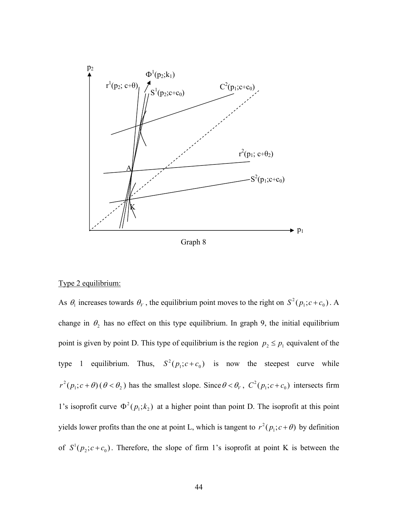

Graph 8

### Type 2 equilibrium:

As  $\theta_1$  increases towards  $\theta_V$ , the equilibrium point moves to the right on  $S^2(p_1; c + c_0)$ . A change in  $\theta_2$  has no effect on this type equilibrium. In graph 9, the initial equilibrium point is given by point D. This type of equilibrium is the region  $p_2 \leq p_1$  equivalent of the type 1 equilibrium. Thus,  $S^2(p_1; c + c_0)$  is now the steepest curve while  $r^2(p_1; c + \theta)(\theta < \theta_2)$  has the smallest slope. Since  $\theta < \theta_V$ ,  $C^2(p_1; c + c_0)$  intersects firm 1's isoprofit curve  $\Phi^2(p_1; k_2)$  at a higher point than point D. The isoprofit at this point yields lower profits than the one at point L, which is tangent to  $r^2(p_1; c + \theta)$  by definition of  $S^1(p_2; c+c_0)$ . Therefore, the slope of firm 1's isoprofit at point K is between the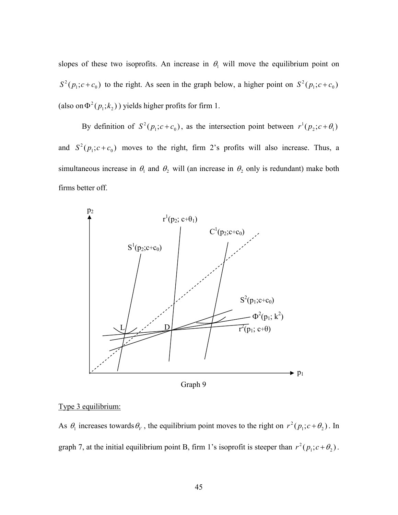slopes of these two isoprofits. An increase in  $\theta_1$  will move the equilibrium point on  $S^2(p_1; c+c_0)$  to the right. As seen in the graph below, a higher point on  $S^2(p_1; c+c_0)$ (also on  $\Phi^2(p_1; k_2)$ ) yields higher profits for firm 1.

By definition of  $S^2(p_1; c+c_0)$ , as the intersection point between  $r^1(p_2; c+\theta_1)$ and  $S^2(p_1; c+c_0)$  moves to the right, firm 2's profits will also increase. Thus, a simultaneous increase in  $\theta_1$  and  $\theta_2$  will (an increase in  $\theta_2$  only is redundant) make both firms better off.



Graph 9

## Type 3 equilibrium:

As  $\theta_1$  increases towards  $\theta_V$ , the equilibrium point moves to the right on  $r^2(p_1; c + \theta_2)$ . In graph 7, at the initial equilibrium point B, firm 1's isoprofit is steeper than  $r^2(p_1; c + \theta_2)$ .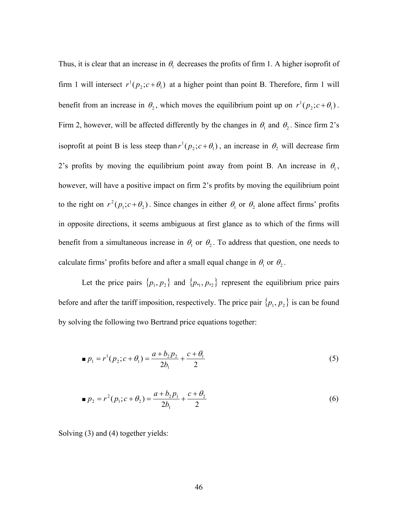Thus, it is clear that an increase in  $\theta_1$  decreases the profits of firm 1. A higher isoprofit of firm 1 will intersect  $r^1(p_2; c + \theta_1)$  at a higher point than point B. Therefore, firm 1 will benefit from an increase in  $\theta_2$ , which moves the equilibrium point up on  $r^1(p_2; c + \theta_1)$ . Firm 2, however, will be affected differently by the changes in  $\theta_1$  and  $\theta_2$ . Since firm 2's isoprofit at point B is less steep than  $r^1(p_2; c + \theta_1)$ , an increase in  $\theta_2$  will decrease firm 2's profits by moving the equilibrium point away from point B. An increase in  $\theta_1$ , however, will have a positive impact on firm 2's profits by moving the equilibrium point to the right on  $r^2(p_1; c + \theta_2)$ . Since changes in either  $\theta_1$  or  $\theta_2$  alone affect firms' profits in opposite directions, it seems ambiguous at first glance as to which of the firms will benefit from a simultaneous increase in  $\theta_1$  or  $\theta_2$ . To address that question, one needs to calculate firms' profits before and after a small equal change in  $\theta_1$  or  $\theta_2$ .

Let the price pairs  $\{p_1, p_2\}$  and  $\{p_{*1}, p_{*2}\}$  represent the equilibrium price pairs before and after the tariff imposition, respectively. The price pair  $\{p_1, p_2\}$  is can be found by solving the following two Bertrand price equations together:

$$
p_1 = r^1(p_2; c + \theta_1) = \frac{a + b_2 p_2}{2b_1} + \frac{c + \theta_1}{2}
$$
 (5)

$$
p_2 = r^2 (p_1; c + \theta_2) = \frac{a + b_2 p_1}{2b_1} + \frac{c + \theta_2}{2}
$$
 (6)

Solving (3) and (4) together yields: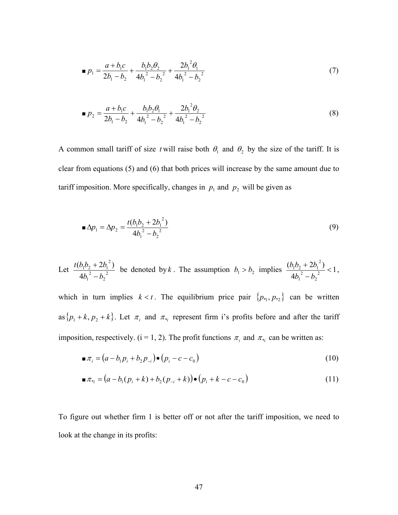$$
p_1 = \frac{a + b_1c}{2b_1 - b_2} + \frac{b_1b_2b_2}{4b_1^2 - b_2^2} + \frac{2b_1^2b_1}{4b_1^2 - b_2^2}
$$
 (7)

$$
p_2 = \frac{a + b_1c}{2b_1 - b_2} + \frac{b_1b_2\theta_1}{4b_1^2 - b_2^2} + \frac{2b_1^2\theta_2}{4b_1^2 - b_2^2}
$$
 (8)

A common small tariff of size *t* will raise both  $\theta_1$  and  $\theta_2$  by the size of the tariff. It is clear from equations (5) and (6) that both prices will increase by the same amount due to tariff imposition. More specifically, changes in  $p_1$  and  $p_2$  will be given as

$$
\blacksquare \Delta p_1 = \Delta p_2 = \frac{t(b_1b_2 + 2b_1^2)}{4b_1^2 - b_2^2} \tag{9}
$$

Let 
$$
\frac{t(b_1b_2 + 2b_1^2)}{4b_1^2 - b_2^2}
$$
 be denoted by *k*. The assumption  $b_1 > b_2$  implies  $\frac{(b_1b_2 + 2b_1^2)}{4b_1^2 - b_2^2} < 1$ ,

which in turn implies  $k < t$ . The equilibrium price pair  $\{p_{*1}, p_{*2}\}$  can be written as  $\{p_1 + k, p_2 + k\}$ . Let  $\pi_i$  and  $\pi_{*i}$  represent firm i's profits before and after the tariff imposition, respectively. ( $i = 1, 2$ ). The profit functions  $\pi_i$  and  $\pi_{*i}$  can be written as:

$$
\blacksquare \pi_i = (a - b_1 p_i + b_2 p_{-i}) \bullet (p_i - c - c_0) \tag{10}
$$

$$
\blacksquare \pi_{*_{i}} = (a - b_{1}(p_{i} + k) + b_{2}(p_{-i} + k)) \bullet (p_{i} + k - c - c_{0})
$$
\n(11)

To figure out whether firm 1 is better off or not after the tariff imposition, we need to look at the change in its profits: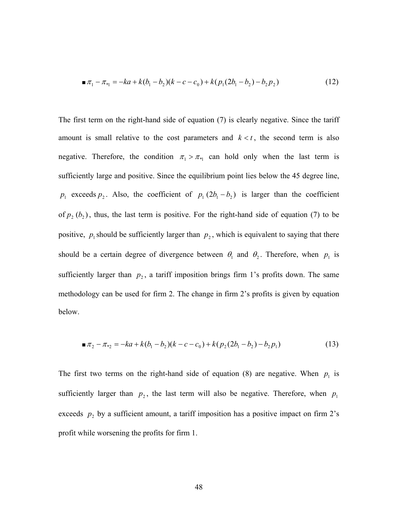$$
\blacksquare \pi_1 - \pi_{*1} = -ka + k(b_1 - b_2)(k - c - c_0) + k(p_1(2b_1 - b_2) - b_2p_2)
$$
\n<sup>(12)</sup>

The first term on the right-hand side of equation (7) is clearly negative. Since the tariff amount is small relative to the cost parameters and  $k < t$ , the second term is also negative. Therefore, the condition  $\pi_1 > \pi_{*1}$  can hold only when the last term is sufficiently large and positive. Since the equilibrium point lies below the 45 degree line,  $p_1$  exceeds  $p_2$ . Also, the coefficient of  $p_1 (2b_1 - b_2)$  is larger than the coefficient of  $p_2$  ( $b_2$ ), thus, the last term is positive. For the right-hand side of equation (7) to be positive,  $p_1$  should be sufficiently larger than  $p_2$ , which is equivalent to saying that there should be a certain degree of divergence between  $\theta_1$  and  $\theta_2$ . Therefore, when  $p_1$  is sufficiently larger than  $p_2$ , a tariff imposition brings firm 1's profits down. The same methodology can be used for firm 2. The change in firm 2's profits is given by equation below.

$$
\blacksquare \pi_2 - \pi_{*2} = -ka + k(b_1 - b_2)(k - c - c_0) + k(p_2(2b_1 - b_2) - b_2p_1) \tag{13}
$$

The first two terms on the right-hand side of equation (8) are negative. When  $p_1$  is sufficiently larger than  $p_2$ , the last term will also be negative. Therefore, when  $p_1$ exceeds  $p_2$  by a sufficient amount, a tariff imposition has a positive impact on firm 2's profit while worsening the profits for firm 1.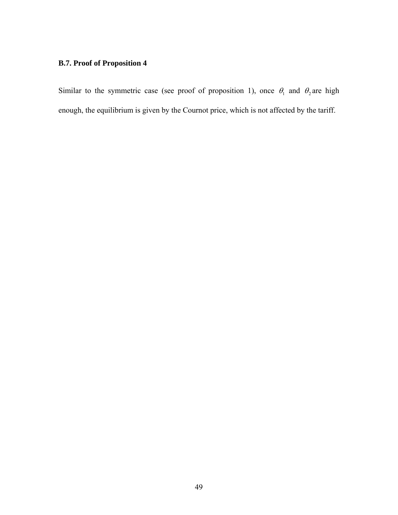# **B.7. Proof of Proposition 4**

Similar to the symmetric case (see proof of proposition 1), once  $\theta_1$  and  $\theta_2$  are high enough, the equilibrium is given by the Cournot price, which is not affected by the tariff.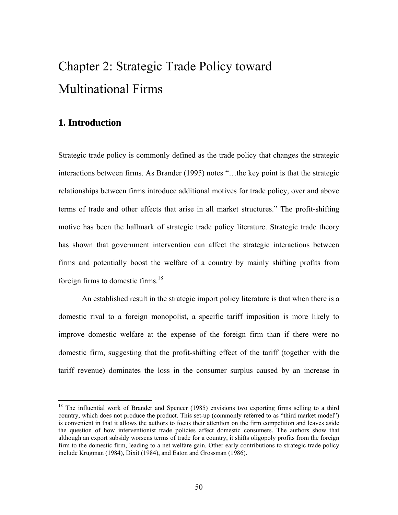# Chapter 2: Strategic Trade Policy toward Multinational Firms

## **1. Introduction**

<u>.</u>

Strategic trade policy is commonly defined as the trade policy that changes the strategic interactions between firms. As Brander (1995) notes "…the key point is that the strategic relationships between firms introduce additional motives for trade policy, over and above terms of trade and other effects that arise in all market structures." The profit-shifting motive has been the hallmark of strategic trade policy literature. Strategic trade theory has shown that government intervention can affect the strategic interactions between firms and potentially boost the welfare of a country by mainly shifting profits from foreign firms to domestic firms.18

 An established result in the strategic import policy literature is that when there is a domestic rival to a foreign monopolist, a specific tariff imposition is more likely to improve domestic welfare at the expense of the foreign firm than if there were no domestic firm, suggesting that the profit-shifting effect of the tariff (together with the tariff revenue) dominates the loss in the consumer surplus caused by an increase in

<sup>&</sup>lt;sup>18</sup> The influential work of Brander and Spencer (1985) envisions two exporting firms selling to a third country, which does not produce the product. This set-up (commonly referred to as "third market model") is convenient in that it allows the authors to focus their attention on the firm competition and leaves aside the question of how interventionist trade policies affect domestic consumers. The authors show that although an export subsidy worsens terms of trade for a country, it shifts oligopoly profits from the foreign firm to the domestic firm, leading to a net welfare gain. Other early contributions to strategic trade policy include Krugman (1984), Dixit (1984), and Eaton and Grossman (1986).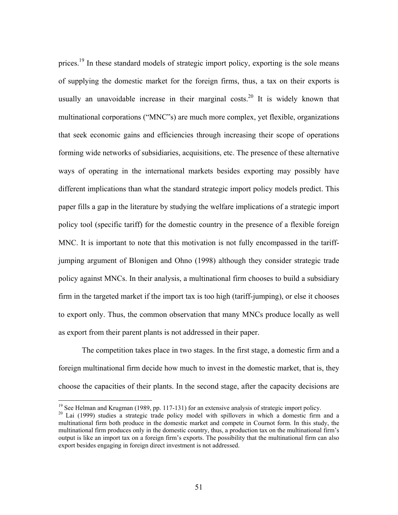prices.<sup>19</sup> In these standard models of strategic import policy, exporting is the sole means of supplying the domestic market for the foreign firms, thus, a tax on their exports is usually an unavoidable increase in their marginal costs.<sup>20</sup> It is widely known that multinational corporations ("MNC"s) are much more complex, yet flexible, organizations that seek economic gains and efficiencies through increasing their scope of operations forming wide networks of subsidiaries, acquisitions, etc. The presence of these alternative ways of operating in the international markets besides exporting may possibly have different implications than what the standard strategic import policy models predict. This paper fills a gap in the literature by studying the welfare implications of a strategic import policy tool (specific tariff) for the domestic country in the presence of a flexible foreign MNC. It is important to note that this motivation is not fully encompassed in the tariffjumping argument of Blonigen and Ohno (1998) although they consider strategic trade policy against MNCs. In their analysis, a multinational firm chooses to build a subsidiary firm in the targeted market if the import tax is too high (tariff-jumping), or else it chooses to export only. Thus, the common observation that many MNCs produce locally as well as export from their parent plants is not addressed in their paper.

 The competition takes place in two stages. In the first stage, a domestic firm and a foreign multinational firm decide how much to invest in the domestic market, that is, they choose the capacities of their plants. In the second stage, after the capacity decisions are

 $\overline{a}$ 

<sup>&</sup>lt;sup>19</sup> See Helman and Krugman (1989, pp. 117-131) for an extensive analysis of strategic import policy.<br><sup>20</sup> Lai (1999) studies a strategic trade policy model with spillovers in which a domestic firm and a

multinational firm both produce in the domestic market and compete in Cournot form. In this study, the multinational firm produces only in the domestic country, thus, a production tax on the multinational firm's output is like an import tax on a foreign firm's exports. The possibility that the multinational firm can also export besides engaging in foreign direct investment is not addressed.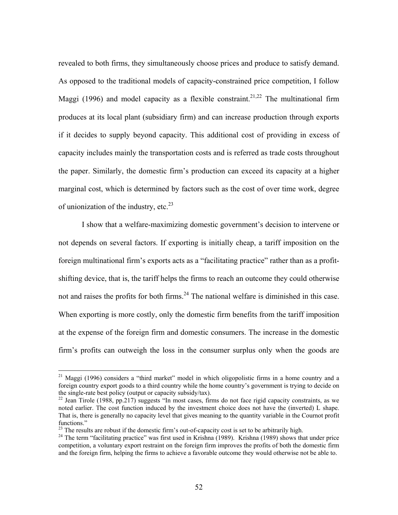revealed to both firms, they simultaneously choose prices and produce to satisfy demand. As opposed to the traditional models of capacity-constrained price competition, I follow Maggi (1996) and model capacity as a flexible constraint.<sup>21,22</sup> The multinational firm produces at its local plant (subsidiary firm) and can increase production through exports if it decides to supply beyond capacity. This additional cost of providing in excess of capacity includes mainly the transportation costs and is referred as trade costs throughout the paper. Similarly, the domestic firm's production can exceed its capacity at a higher marginal cost, which is determined by factors such as the cost of over time work, degree of unionization of the industry, etc. $^{23}$ 

 I show that a welfare-maximizing domestic government's decision to intervene or not depends on several factors. If exporting is initially cheap, a tariff imposition on the foreign multinational firm's exports acts as a "facilitating practice" rather than as a profitshifting device, that is, the tariff helps the firms to reach an outcome they could otherwise not and raises the profits for both firms.<sup>24</sup> The national welfare is diminished in this case. When exporting is more costly, only the domestic firm benefits from the tariff imposition at the expense of the foreign firm and domestic consumers. The increase in the domestic firm's profits can outweigh the loss in the consumer surplus only when the goods are

 $\overline{a}$ 

 $21$  Maggi (1996) considers a "third market" model in which oligopolistic firms in a home country and a foreign country export goods to a third country while the home country's government is trying to decide on the single-rate best policy (output or capacity subsidy/tax).<br><sup>22</sup> Jean Tirole (1988, pp.217) suggests "In most cases, firms do not face rigid capacity constraints, as we

noted earlier. The cost function induced by the investment choice does not have the (inverted) L shape. That is, there is generally no capacity level that gives meaning to the quantity variable in the Cournot profit functions."<br><sup>23</sup> The results are robust if the domestic firm's out-of-capacity cost is set to be arbitrarily high.

 $24$  The term "facilitating practice" was first used in Krishna (1989). Krishna (1989) shows that under price competition, a voluntary export restraint on the foreign firm improves the profits of both the domestic firm and the foreign firm, helping the firms to achieve a favorable outcome they would otherwise not be able to.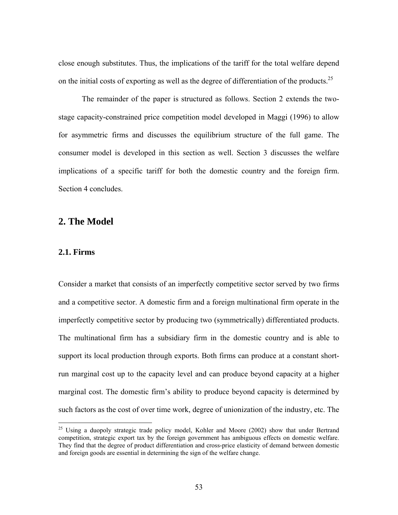close enough substitutes. Thus, the implications of the tariff for the total welfare depend on the initial costs of exporting as well as the degree of differentiation of the products.<sup>25</sup>

The remainder of the paper is structured as follows. Section 2 extends the twostage capacity-constrained price competition model developed in Maggi (1996) to allow for asymmetric firms and discusses the equilibrium structure of the full game. The consumer model is developed in this section as well. Section 3 discusses the welfare implications of a specific tariff for both the domestic country and the foreign firm. Section 4 concludes.

## **2. The Model**

## **2.1. Firms**

 $\overline{a}$ 

Consider a market that consists of an imperfectly competitive sector served by two firms and a competitive sector. A domestic firm and a foreign multinational firm operate in the imperfectly competitive sector by producing two (symmetrically) differentiated products. The multinational firm has a subsidiary firm in the domestic country and is able to support its local production through exports. Both firms can produce at a constant shortrun marginal cost up to the capacity level and can produce beyond capacity at a higher marginal cost. The domestic firm's ability to produce beyond capacity is determined by such factors as the cost of over time work, degree of unionization of the industry, etc. The

<sup>&</sup>lt;sup>25</sup> Using a duopoly strategic trade policy model, Kohler and Moore (2002) show that under Bertrand competition, strategic export tax by the foreign government has ambiguous effects on domestic welfare. They find that the degree of product differentiation and cross-price elasticity of demand between domestic and foreign goods are essential in determining the sign of the welfare change.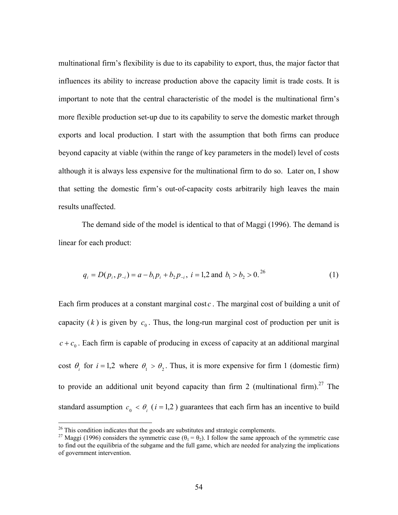multinational firm's flexibility is due to its capability to export, thus, the major factor that influences its ability to increase production above the capacity limit is trade costs. It is important to note that the central characteristic of the model is the multinational firm's more flexible production set-up due to its capability to serve the domestic market through exports and local production. I start with the assumption that both firms can produce beyond capacity at viable (within the range of key parameters in the model) level of costs although it is always less expensive for the multinational firm to do so. Later on, I show that setting the domestic firm's out-of-capacity costs arbitrarily high leaves the main results unaffected.

The demand side of the model is identical to that of Maggi (1996). The demand is linear for each product:

$$
q_i = D(p_i, p_{-i}) = a - b_1 p_i + b_2 p_{-i}, \ i = 1, 2 \text{ and } b_1 > b_2 > 0.
$$
<sup>26</sup> (1)

Each firm produces at a constant marginal cost *c* . The marginal cost of building a unit of capacity  $(k)$  is given by  $c_0$ . Thus, the long-run marginal cost of production per unit is  $c + c_0$ . Each firm is capable of producing in excess of capacity at an additional marginal cost  $\theta_i$  for  $i = 1,2$  where  $\theta_1 > \theta_2$ . Thus, it is more expensive for firm 1 (domestic firm) to provide an additional unit beyond capacity than firm 2 (multinational firm).<sup>27</sup> The standard assumption  $c_0 < \theta_i$  (*i* = 1,2) guarantees that each firm has an incentive to build

<sup>&</sup>lt;sup>26</sup> This condition indicates that the goods are substitutes and strategic complements.

<sup>&</sup>lt;sup>27</sup> Maggi (1996) considers the symmetric case ( $\theta_1 = \theta_2$ ). I follow the same approach of the symmetric case to find out the equilibria of the subgame and the full game, which are needed for analyzing the implications of government intervention.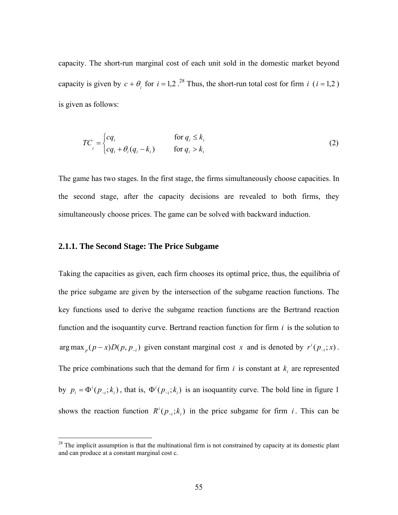capacity. The short-run marginal cost of each unit sold in the domestic market beyond capacity is given by  $c + \theta_i$  for  $i = 1, 2$ .<sup>28</sup> Thus, the short-run total cost for firm *i* ( $i = 1, 2$ ) is given as follows:

$$
TC_i = \begin{cases} cq_i & \text{for } q_i \le k_i \\ cq_i + \theta_i (q_i - k_i) & \text{for } q_i > k_i \end{cases}
$$
 (2)

The game has two stages. In the first stage, the firms simultaneously choose capacities. In the second stage, after the capacity decisions are revealed to both firms, they simultaneously choose prices. The game can be solved with backward induction.

### **2.1.1. The Second Stage: The Price Subgame**

 $\overline{a}$ 

Taking the capacities as given, each firm chooses its optimal price, thus, the equilibria of the price subgame are given by the intersection of the subgame reaction functions. The key functions used to derive the subgame reaction functions are the Bertrand reaction function and the isoquantity curve. Bertrand reaction function for firm *i* is the solution to arg max  $_p(p-x)D(p, p_{-i})$  given constant marginal cost *x* and is denoted by  $r^{i}(p_{-i}; x)$ . The price combinations such that the demand for firm  $i$  is constant at  $k_i$  are represented by  $p_i = \Phi^i(p_{-i}; k_i)$ , that is,  $\Phi^i(p_{-i}; k_i)$  is an isoquantity curve. The bold line in figure 1 shows the reaction function  $R^{i}(p_{i}, k_{i})$  in the price subgame for firm *i*. This can be

 $2<sup>28</sup>$  The implicit assumption is that the multinational firm is not constrained by capacity at its domestic plant and can produce at a constant marginal cost c.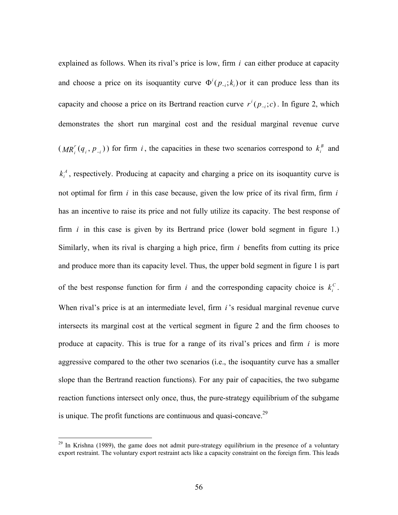explained as follows. When its rival's price is low, firm *i* can either produce at capacity and choose a price on its isoquantity curve  $\Phi^i(p_{-i}; k_i)$  or it can produce less than its capacity and choose a price on its Bertrand reaction curve  $r^{i}(p_{i}, c)$ . In figure 2, which demonstrates the short run marginal cost and the residual marginal revenue curve

 $(MR_i^r(q_i, p_{-i}))$  for firm *i*, the capacities in these two scenarios correspond to  $k_i^B$  and

 $k_i^A$ , respectively. Producing at capacity and charging a price on its isoquantity curve is not optimal for firm *i* in this case because, given the low price of its rival firm, firm *i* has an incentive to raise its price and not fully utilize its capacity. The best response of firm *i* in this case is given by its Bertrand price (lower bold segment in figure 1.) Similarly, when its rival is charging a high price, firm *i* benefits from cutting its price and produce more than its capacity level. Thus, the upper bold segment in figure 1 is part of the best response function for firm *i* and the corresponding capacity choice is  $k_i^c$ . When rival's price is at an intermediate level, firm *i*'s residual marginal revenue curve intersects its marginal cost at the vertical segment in figure 2 and the firm chooses to produce at capacity. This is true for a range of its rival's prices and firm *i* is more aggressive compared to the other two scenarios (i.e., the isoquantity curve has a smaller slope than the Bertrand reaction functions). For any pair of capacities, the two subgame reaction functions intersect only once, thus, the pure-strategy equilibrium of the subgame is unique. The profit functions are continuous and quasi-concave.<sup>29</sup>

 $\overline{a}$ 

 $29$  In Krishna (1989), the game does not admit pure-strategy equilibrium in the presence of a voluntary export restraint. The voluntary export restraint acts like a capacity constraint on the foreign firm. This leads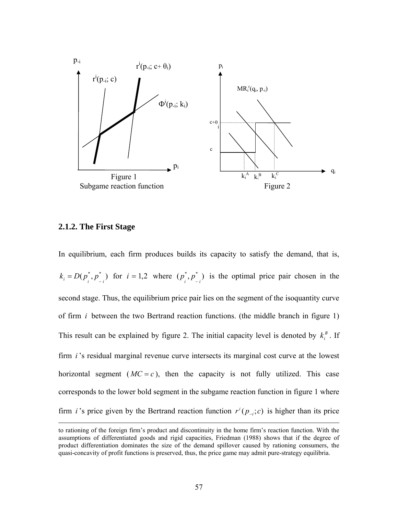

## **2.1.2. The First Stage**

In equilibrium, each firm produces builds its capacity to satisfy the demand, that is,  $k_i = D(p_i^*, p_{i}^*)$  for  $i = 1,2$  where  $(p_i^*, p_{i}^*)$  is the optimal price pair chosen in the second stage. Thus, the equilibrium price pair lies on the segment of the isoquantity curve of firm *i* between the two Bertrand reaction functions. (the middle branch in figure 1) This result can be explained by figure 2. The initial capacity level is denoted by  $k_i^B$ . If firm *i* 's residual marginal revenue curve intersects its marginal cost curve at the lowest horizontal segment  $(MC = c)$ , then the capacity is not fully utilized. This case corresponds to the lower bold segment in the subgame reaction function in figure 1 where firm *i* 's price given by the Bertrand reaction function  $r^{i}(p_{-i}, c)$  is higher than its price

to rationing of the foreign firm's product and discontinuity in the home firm's reaction function. With the assumptions of differentiated goods and rigid capacities, Friedman (1988) shows that if the degree of product differentiation dominates the size of the demand spillover caused by rationing consumers, the quasi-concavity of profit functions is preserved, thus, the price game may admit pure-strategy equilibria.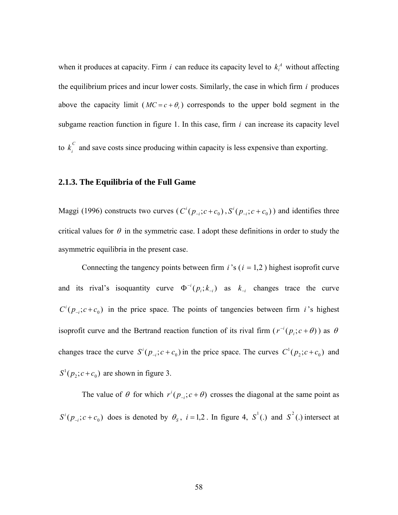when it produces at capacity. Firm *i* can reduce its capacity level to  $k_i^A$  without affecting the equilibrium prices and incur lower costs. Similarly, the case in which firm *i* produces above the capacity limit  $(MC = c + \theta_i)$  corresponds to the upper bold segment in the subgame reaction function in figure 1. In this case, firm *i* can increase its capacity level to  $k_i^C$  and save costs since producing within capacity is less expensive than exporting.

## **2.1.3. The Equilibria of the Full Game**

Maggi (1996) constructs two curves ( $C^{i}(p_{-i}; c+c_0)$ ,  $S^{i}(p_{-i}; c+c_0)$ ) and identifies three critical values for  $\theta$  in the symmetric case. I adopt these definitions in order to study the asymmetric equilibria in the present case.

Connecting the tangency points between firm  $i$ 's ( $i = 1, 2$ ) highest isoprofit curve and its rival's isoquantity curve  $\Phi^{-i}(p_i; k_{-i})$  as  $k_{-i}$  changes trace the curve  $C^{i}(p_{i}, c+c_{0})$  in the price space. The points of tangencies between firm *i*'s highest isoprofit curve and the Bertrand reaction function of its rival firm  $(r^{-i}(p_i; c + \theta))$  as  $\theta$ changes trace the curve  $S^i(p_{-i}; c + c_0)$  in the price space. The curves  $C^1(p_2; c + c_0)$  and  $S^1(p_2; c + c_0)$  are shown in figure 3.

The value of  $\theta$  for which  $r^{i} ( p_{-i} ; c + \theta )$  crosses the diagonal at the same point as  $S^{i}(p_{-i}; c+c_0)$  does is denoted by  $\theta_s$ ,  $i=1,2$ . In figure 4,  $S^{1}$ (.) and  $S^{2}$ (.) intersect at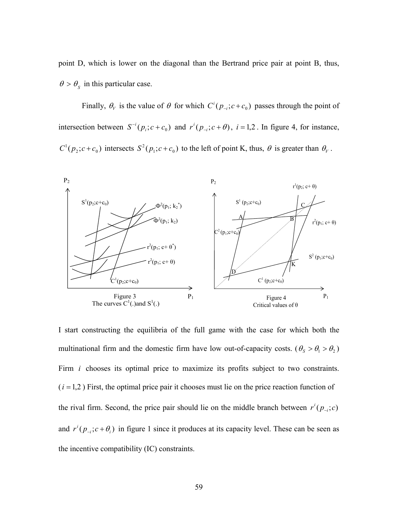point D, which is lower on the diagonal than the Bertrand price pair at point B, thus,  $\theta > \theta_s$  in this particular case.

Finally,  $\theta_V$  is the value of  $\theta$  for which  $C^i(p_{-i}; c+c_0)$  passes through the point of intersection between  $S^{-i}(p_i; c + c_0)$  and  $r^{i}(p_{-i}; c + \theta)$ ,  $i = 1, 2$ . In figure 4, for instance,  $C^1(p_2; c+c_0)$  intersects  $S^2(p_1; c+c_0)$  to the left of point K, thus,  $\theta$  is greater than  $\theta_{\gamma}$ .



I start constructing the equilibria of the full game with the case for which both the multinational firm and the domestic firm have low out-of-capacity costs. ( $\theta_s > \theta_1 > \theta_2$ ) Firm *i* chooses its optimal price to maximize its profits subject to two constraints.  $(i = 1, 2)$  First, the optimal price pair it chooses must lie on the price reaction function of the rival firm. Second, the price pair should lie on the middle branch between  $r^{i}(p_{i}, c)$ − and  $r^{i}(p_{i}, c + \theta_{i})$  in figure 1 since it produces at its capacity level. These can be seen as the incentive compatibility (IC) constraints.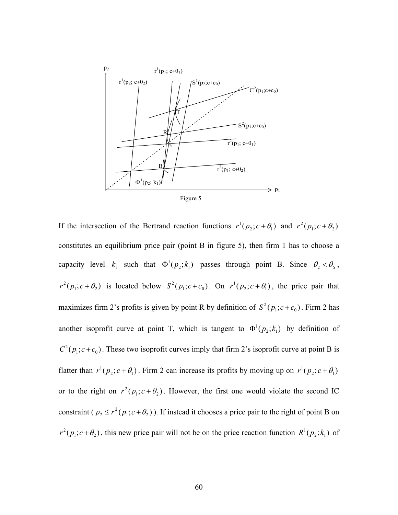

Figure 5

If the intersection of the Bertrand reaction functions  $r^1(p_2; c + \theta_1)$  and  $r^2(p_1; c + \theta_2)$ constitutes an equilibrium price pair (point B in figure 5), then firm 1 has to choose a capacity level  $k_1$  such that  $\Phi^1(p_2; k_1)$  passes through point B. Since  $\theta_2 < \theta_s$ ,  $r^2(p_1; c + \theta_2)$  is located below  $S^2(p_1; c + c_0)$ . On  $r^1(p_2; c + \theta_1)$ , the price pair that maximizes firm 2's profits is given by point R by definition of  $S^2(p_1; c + c_0)$ . Firm 2 has another isoprofit curve at point T, which is tangent to  $\Phi^1(p_2; k_1)$  by definition of  $C^2(p_1; c+c_0)$ . These two isoprofit curves imply that firm 2's isoprofit curve at point B is flatter than  $r^1(p_2; c + \theta_1)$ . Firm 2 can increase its profits by moving up on  $r^1(p_2; c + \theta_1)$ or to the right on  $r^2(p_1; c + \theta_2)$ . However, the first one would violate the second IC constraint ( $p_2 \le r^2(p_1; c + \theta_2)$ ). If instead it chooses a price pair to the right of point B on  $r^2(p_1; c + \theta_2)$ , this new price pair will not be on the price reaction function  $R^1(p_2; k_1)$  of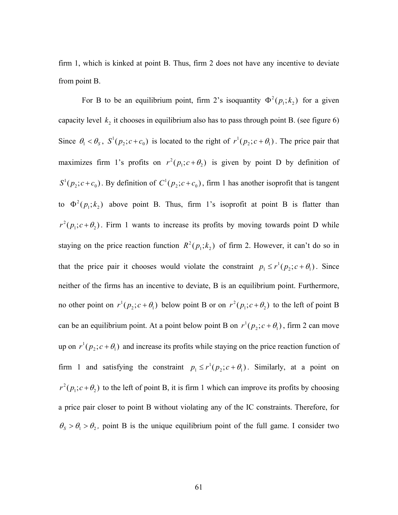firm 1, which is kinked at point B. Thus, firm 2 does not have any incentive to deviate from point B.

For B to be an equilibrium point, firm 2's isoquantity  $\Phi^2(p_1; k_2)$  for a given capacity level  $k_2$  it chooses in equilibrium also has to pass through point B. (see figure 6) Since  $\theta_1 < \theta_s$ ,  $S^1(p_2; c + c_0)$  is located to the right of  $r^1(p_2; c + \theta_1)$ . The price pair that maximizes firm 1's profits on  $r^2(p_1; c + \theta_2)$  is given by point D by definition of  $S^1(p_2; c+c_0)$ . By definition of  $C^1(p_2; c+c_0)$ , firm 1 has another isoprofit that is tangent to  $\Phi^2(p_1; k_2)$  above point B. Thus, firm 1's isoprofit at point B is flatter than  $r^2(p_1; c + \theta_2)$ . Firm 1 wants to increase its profits by moving towards point D while staying on the price reaction function  $R^2(p_1; k_2)$  of firm 2. However, it can't do so in that the price pair it chooses would violate the constraint  $p_1 \le r^1(p_2; c + \theta_1)$ . Since neither of the firms has an incentive to deviate, B is an equilibrium point. Furthermore, no other point on  $r^1(p_2; c + \theta_1)$  below point B or on  $r^2(p_1; c + \theta_2)$  to the left of point B can be an equilibrium point. At a point below point B on  $r^1(p_2; c + \theta_1)$ , firm 2 can move up on  $r^1(p_2; c + \theta_1)$  and increase its profits while staying on the price reaction function of firm 1 and satisfying the constraint  $p_1 \le r^1(p_2; c + \theta_1)$ . Similarly, at a point on  $r^2(p_1; c + \theta_2)$  to the left of point B, it is firm 1 which can improve its profits by choosing a price pair closer to point B without violating any of the IC constraints. Therefore, for  $\theta_s > \theta_1 > \theta_2$ , point B is the unique equilibrium point of the full game. I consider two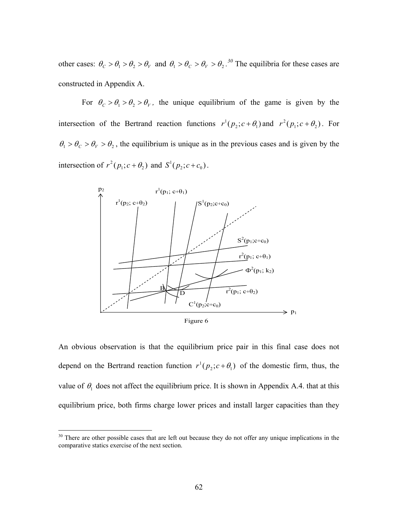other cases:  $\theta_c > \theta_1 > \theta_2 > \theta_V$  and  $\theta_1 > \theta_c > \theta_V > \theta_2$ .<sup>30</sup> The equilibria for these cases are constructed in Appendix A.

For  $\theta_c > \theta_1 > \theta_2 > \theta_V$ , the unique equilibrium of the game is given by the intersection of the Bertrand reaction functions  $r^1(p_2; c + \theta_1)$  and  $r^2(p_1; c + \theta_2)$ . For  $\theta_1 > \theta_C > \theta_V > \theta_2$ , the equilibrium is unique as in the previous cases and is given by the intersection of  $r^2(p_1; c + \theta_2)$  and  $S^1(p_2; c + c_0)$ .



An obvious observation is that the equilibrium price pair in this final case does not depend on the Bertrand reaction function  $r^1(p_2; c + \theta_1)$  of the domestic firm, thus, the value of  $\theta_1$  does not affect the equilibrium price. It is shown in Appendix A.4. that at this equilibrium price, both firms charge lower prices and install larger capacities than they

1

<sup>&</sup>lt;sup>30</sup> There are other possible cases that are left out because they do not offer any unique implications in the comparative statics exercise of the next section.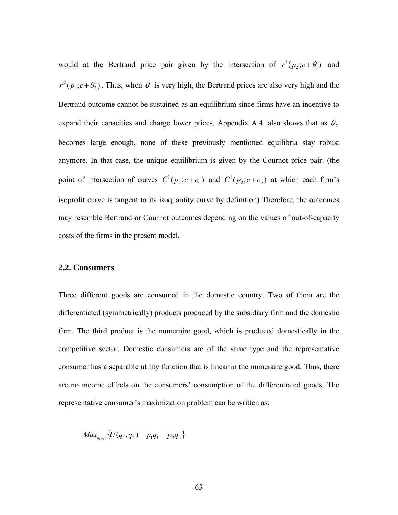would at the Bertrand price pair given by the intersection of  $r^{1}(p_{2}; c + \theta_{1})$  and  $r^2(p_1; c + \theta_2)$ . Thus, when  $\theta_1$  is very high, the Bertrand prices are also very high and the Bertrand outcome cannot be sustained as an equilibrium since firms have an incentive to expand their capacities and charge lower prices. Appendix A.4. also shows that as  $\theta_2$ becomes large enough, none of these previously mentioned equilibria stay robust anymore. In that case, the unique equilibrium is given by the Cournot price pair. (the point of intersection of curves  $C^1(p_2; c + c_0)$  and  $C^1(p_2; c + c_0)$  at which each firm's isoprofit curve is tangent to its isoquantity curve by definition) Therefore, the outcomes may resemble Bertrand or Cournot outcomes depending on the values of out-of-capacity costs of the firms in the present model.

#### **2.2. Consumers**

Three different goods are consumed in the domestic country. Two of them are the differentiated (symmetrically) products produced by the subsidiary firm and the domestic firm. The third product is the numeraire good, which is produced domestically in the competitive sector. Domestic consumers are of the same type and the representative consumer has a separable utility function that is linear in the numeraire good. Thus, there are no income effects on the consumers' consumption of the differentiated goods. The representative consumer's maximization problem can be written as:

 $Max_{q_1,q_2} \{U(q_1,q_2) - p_1q_1 - p_2q_2\}$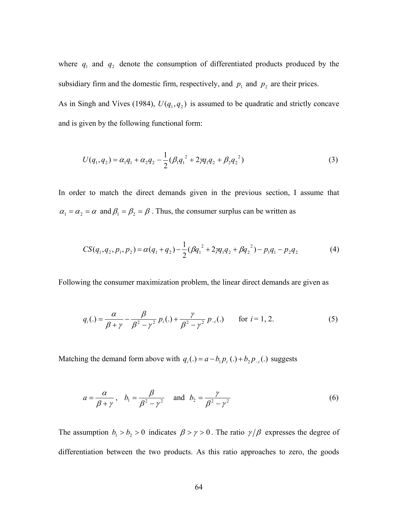where  $q_1$  and  $q_2$  denote the consumption of differentiated products produced by the subsidiary firm and the domestic firm, respectively, and  $p_1$  and  $p_2$  are their prices. As in Singh and Vives (1984),  $U(q_1, q_2)$  is assumed to be quadratic and strictly concave and is given by the following functional form:

$$
U(q_1, q_2) = \alpha_1 q_1 + \alpha_2 q_2 - \frac{1}{2} (\beta_1 q_1^2 + 2\gamma q_1 q_2 + \beta_2 q_2^2)
$$
 (3)

In order to match the direct demands given in the previous section, I assume that  $\alpha_1 = \alpha_2 = \alpha$  and  $\beta_1 = \beta_2 = \beta$ . Thus, the consumer surplus can be written as

$$
CS(q_1, q_2, p_1, p_2) = \alpha(q_1 + q_2) - \frac{1}{2} (\beta q_1^2 + 2\gamma q_1 q_2 + \beta q_2^2) - p_1 q_1 - p_2 q_2 \tag{4}
$$

Following the consumer maximization problem, the linear direct demands are given as

$$
q_i(.) = \frac{\alpha}{\beta + \gamma} - \frac{\beta}{\beta^2 - \gamma^2} p_i(.) + \frac{\gamma}{\beta^2 - \gamma^2} p_{-i}(.) \quad \text{for } i = 1, 2.
$$
 (5)

Matching the demand form above with  $q_i(.) = a - b_1 p_i(.) + b_2 p_{-i}(.)$  suggests

$$
a = \frac{\alpha}{\beta + \gamma}, \quad b_1 = \frac{\beta}{\beta^2 - \gamma^2} \quad \text{and} \quad b_2 = \frac{\gamma}{\beta^2 - \gamma^2}
$$
 (6)

The assumption  $b_1 > b_2 > 0$  indicates  $\beta > \gamma > 0$ . The ratio  $\gamma/\beta$  expresses the degree of differentiation between the two products. As this ratio approaches to zero, the goods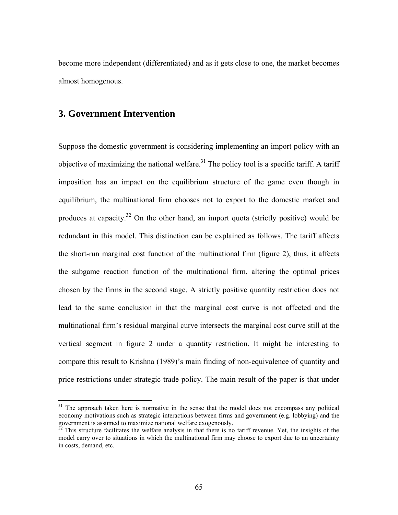become more independent (differentiated) and as it gets close to one, the market becomes almost homogenous.

## **3. Government Intervention**

<u>.</u>

Suppose the domestic government is considering implementing an import policy with an objective of maximizing the national welfare.<sup>31</sup> The policy tool is a specific tariff. A tariff imposition has an impact on the equilibrium structure of the game even though in equilibrium, the multinational firm chooses not to export to the domestic market and produces at capacity.<sup>32</sup> On the other hand, an import quota (strictly positive) would be redundant in this model. This distinction can be explained as follows. The tariff affects the short-run marginal cost function of the multinational firm (figure 2), thus, it affects the subgame reaction function of the multinational firm, altering the optimal prices chosen by the firms in the second stage. A strictly positive quantity restriction does not lead to the same conclusion in that the marginal cost curve is not affected and the multinational firm's residual marginal curve intersects the marginal cost curve still at the vertical segment in figure 2 under a quantity restriction. It might be interesting to compare this result to Krishna (1989)'s main finding of non-equivalence of quantity and price restrictions under strategic trade policy. The main result of the paper is that under

<sup>&</sup>lt;sup>31</sup> The approach taken here is normative in the sense that the model does not encompass any political economy motivations such as strategic interactions between firms and government (e.g. lobbying) and the government is assumed to maximize national welfare exogenously.

 $32$  This structure facilitates the welfare analysis in that there is no tariff revenue. Yet, the insights of the model carry over to situations in which the multinational firm may choose to export due to an uncertainty in costs, demand, etc.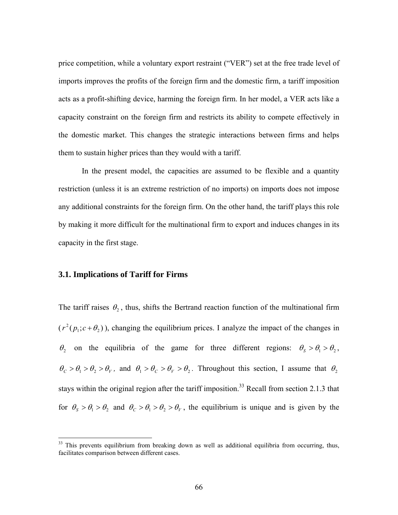price competition, while a voluntary export restraint ("VER") set at the free trade level of imports improves the profits of the foreign firm and the domestic firm, a tariff imposition acts as a profit-shifting device, harming the foreign firm. In her model, a VER acts like a capacity constraint on the foreign firm and restricts its ability to compete effectively in the domestic market. This changes the strategic interactions between firms and helps them to sustain higher prices than they would with a tariff.

In the present model, the capacities are assumed to be flexible and a quantity restriction (unless it is an extreme restriction of no imports) on imports does not impose any additional constraints for the foreign firm. On the other hand, the tariff plays this role by making it more difficult for the multinational firm to export and induces changes in its capacity in the first stage.

### **3.1. Implications of Tariff for Firms**

 $\overline{a}$ 

The tariff raises  $\theta_2$ , thus, shifts the Bertrand reaction function of the multinational firm  $(r^{2}(p_{1}; c + \theta_{2}))$ , changing the equilibrium prices. I analyze the impact of the changes in  $\theta_2$  on the equilibria of the game for three different regions:  $\theta_s > \theta_1 > \theta_2$ ,  $\theta_c > \theta_1 > \theta_2 > \theta_V$ , and  $\theta_1 > \theta_c > \theta_V > \theta_2$ . Throughout this section, I assume that  $\theta_2$ stays within the original region after the tariff imposition.<sup>33</sup> Recall from section 2.1.3 that for  $\theta_s > \theta_1 > \theta_2$  and  $\theta_c > \theta_1 > \theta_2 > \theta_V$ , the equilibrium is unique and is given by the

<sup>&</sup>lt;sup>33</sup> This prevents equilibrium from breaking down as well as additional equilibria from occurring, thus, facilitates comparison between different cases.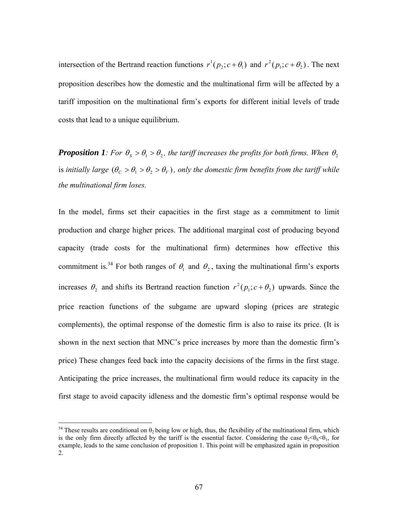intersection of the Bertrand reaction functions  $r^1(p_2; c + \theta_1)$  and  $r^2(p_1; c + \theta_2)$ . The next proposition describes how the domestic and the multinational firm will be affected by a tariff imposition on the multinational firm's exports for different initial levels of trade costs that lead to a unique equilibrium.

*Proposition 1: For*  $\theta_s > \theta_1 > \theta_2$ , the tariff increases the profits for both firms. When  $\theta_2$ is *initially large*  $(\theta_c > \theta_1 > \theta_2 > \theta_V)$ , only the domestic firm benefits from the tariff while *the multinational firm loses.* 

In the model, firms set their capacities in the first stage as a commitment to limit production and charge higher prices. The additional marginal cost of producing beyond capacity (trade costs for the multinational firm) determines how effective this commitment is.<sup>34</sup> For both ranges of  $\theta_1$  and  $\theta_2$ , taxing the multinational firm's exports increases  $\theta_2$  and shifts its Bertrand reaction function  $r^2(p_1; c + \theta_2)$  upwards. Since the price reaction functions of the subgame are upward sloping (prices are strategic complements), the optimal response of the domestic firm is also to raise its price. (It is shown in the next section that MNC's price increases by more than the domestic firm's price) These changes feed back into the capacity decisions of the firms in the first stage. Anticipating the price increases, the multinational firm would reduce its capacity in the first stage to avoid capacity idleness and the domestic firm's optimal response would be

 $\overline{a}$ 

<sup>&</sup>lt;sup>34</sup> These results are conditional on  $\theta_2$  being low or high, thus, the flexibility of the multinational firm, which is the only firm directly affected by the tariff is the essential factor. Considering the case  $\theta_2 < \theta_3 < \theta_1$ , for example, leads to the same conclusion of proposition 1. This point will be emphasized again in proposition 2.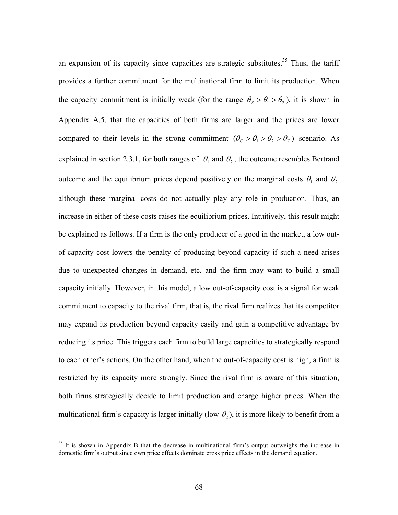an expansion of its capacity since capacities are strategic substitutes.<sup>35</sup> Thus, the tariff provides a further commitment for the multinational firm to limit its production. When the capacity commitment is initially weak (for the range  $\theta_s > \theta_1 > \theta_2$ ), it is shown in Appendix A.5. that the capacities of both firms are larger and the prices are lower compared to their levels in the strong commitment  $(\theta_c > \theta_1 > \theta_2 > \theta_V)$  scenario. As explained in section 2.3.1, for both ranges of  $\theta_1$  and  $\theta_2$ , the outcome resembles Bertrand outcome and the equilibrium prices depend positively on the marginal costs  $\theta_1$  and  $\theta_2$ although these marginal costs do not actually play any role in production. Thus, an increase in either of these costs raises the equilibrium prices. Intuitively, this result might be explained as follows. If a firm is the only producer of a good in the market, a low outof-capacity cost lowers the penalty of producing beyond capacity if such a need arises due to unexpected changes in demand, etc. and the firm may want to build a small capacity initially. However, in this model, a low out-of-capacity cost is a signal for weak commitment to capacity to the rival firm, that is, the rival firm realizes that its competitor may expand its production beyond capacity easily and gain a competitive advantage by reducing its price. This triggers each firm to build large capacities to strategically respond to each other's actions. On the other hand, when the out-of-capacity cost is high, a firm is restricted by its capacity more strongly. Since the rival firm is aware of this situation, both firms strategically decide to limit production and charge higher prices. When the multinational firm's capacity is larger initially (low  $\theta_2$ ), it is more likely to benefit from a

 $\overline{a}$ 

 $35$  It is shown in Appendix B that the decrease in multinational firm's output outweighs the increase in domestic firm's output since own price effects dominate cross price effects in the demand equation.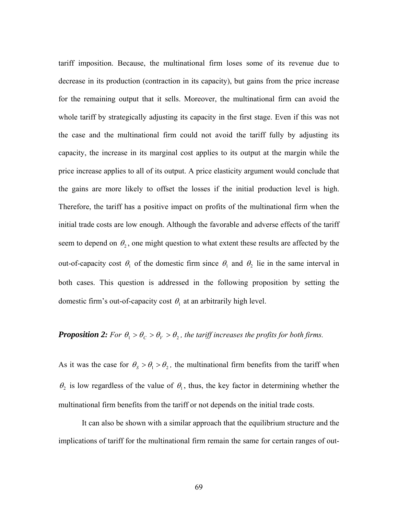tariff imposition. Because, the multinational firm loses some of its revenue due to decrease in its production (contraction in its capacity), but gains from the price increase for the remaining output that it sells. Moreover, the multinational firm can avoid the whole tariff by strategically adjusting its capacity in the first stage. Even if this was not the case and the multinational firm could not avoid the tariff fully by adjusting its capacity, the increase in its marginal cost applies to its output at the margin while the price increase applies to all of its output. A price elasticity argument would conclude that the gains are more likely to offset the losses if the initial production level is high. Therefore, the tariff has a positive impact on profits of the multinational firm when the initial trade costs are low enough. Although the favorable and adverse effects of the tariff seem to depend on  $\theta_2$ , one might question to what extent these results are affected by the out-of-capacity cost  $\theta_1$  of the domestic firm since  $\theta_1$  and  $\theta_2$  lie in the same interval in both cases. This question is addressed in the following proposition by setting the domestic firm's out-of-capacity cost  $\theta_1$  at an arbitrarily high level.

## *Proposition 2: For*  $\theta_1 > \theta_C > \theta_V > \theta_2$ *, the tariff increases the profits for both firms.*

As it was the case for  $\theta_s > \theta_1 > \theta_2$ , the multinational firm benefits from the tariff when  $\theta_2$  is low regardless of the value of  $\theta_1$ , thus, the key factor in determining whether the multinational firm benefits from the tariff or not depends on the initial trade costs.

It can also be shown with a similar approach that the equilibrium structure and the implications of tariff for the multinational firm remain the same for certain ranges of out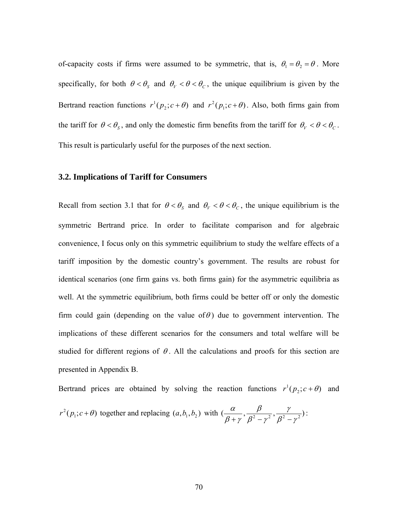of-capacity costs if firms were assumed to be symmetric, that is,  $\theta_1 = \theta_2 = \theta$ . More specifically, for both  $\theta < \theta_s$  and  $\theta_V < \theta < \theta_c$ , the unique equilibrium is given by the Bertrand reaction functions  $r^1(p_2; c + \theta)$  and  $r^2(p_1; c + \theta)$ . Also, both firms gain from the tariff for  $\theta < \theta_s$ , and only the domestic firm benefits from the tariff for  $\theta_V < \theta < \theta_c$ . This result is particularly useful for the purposes of the next section.

#### **3.2. Implications of Tariff for Consumers**

Recall from section 3.1 that for  $\theta < \theta_s$  and  $\theta_V < \theta < \theta_c$ , the unique equilibrium is the symmetric Bertrand price. In order to facilitate comparison and for algebraic convenience, I focus only on this symmetric equilibrium to study the welfare effects of a tariff imposition by the domestic country's government. The results are robust for identical scenarios (one firm gains vs. both firms gain) for the asymmetric equilibria as well. At the symmetric equilibrium, both firms could be better off or only the domestic firm could gain (depending on the value of  $\theta$ ) due to government intervention. The implications of these different scenarios for the consumers and total welfare will be studied for different regions of  $\theta$ . All the calculations and proofs for this section are presented in Appendix B.

Bertrand prices are obtained by solving the reaction functions  $r^1(p_2; c + \theta)$  and  $r^2(p_1; c + \theta)$  together and replacing  $(a, b_1, b_2)$  with  $(\frac{\alpha}{\beta + \gamma}, \frac{\beta}{\beta^2 - \gamma^2}, \frac{\gamma}{\beta^2 - \gamma^2})$  $\beta^{\scriptscriptstyle{2}}$  –  $\gamma$ β  $\beta$  +  $\gamma$  $\frac{\alpha}{+\gamma}, \frac{\beta}{\beta^2-\gamma^2}, \frac{\gamma}{\beta^2-\gamma^2}):$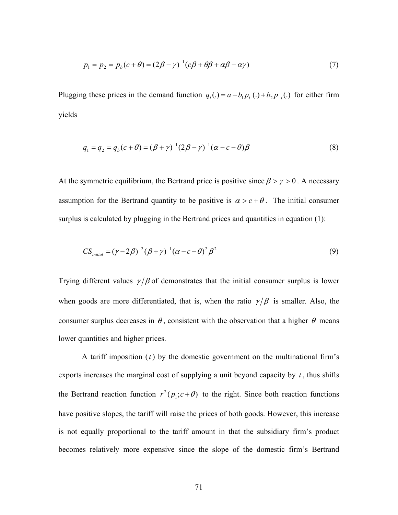$$
p_1 = p_2 = p_b(c + \theta) = (2\beta - \gamma)^{-1} (c\beta + \theta\beta + \alpha\beta - \alpha\gamma)
$$
\n(7)

Plugging these prices in the demand function  $q_i(.) = a - b_1 p_i(.) + b_2 p_{-i}(.)$  for either firm yields

$$
q_1 = q_2 = q_b(c + \theta) = (\beta + \gamma)^{-1} (2\beta - \gamma)^{-1} (\alpha - c - \theta) \beta
$$
\n(8)

At the symmetric equilibrium, the Bertrand price is positive since  $\beta > \gamma > 0$ . A necessary assumption for the Bertrand quantity to be positive is  $\alpha > c + \theta$ . The initial consumer surplus is calculated by plugging in the Bertrand prices and quantities in equation (1):

$$
CS_{initial} = (\gamma - 2\beta)^{-2} (\beta + \gamma)^{-1} (\alpha - c - \theta)^{2} \beta^{2}
$$
\n(9)

Trying different values  $\gamma/\beta$  of demonstrates that the initial consumer surplus is lower when goods are more differentiated, that is, when the ratio  $\gamma/\beta$  is smaller. Also, the consumer surplus decreases in  $\theta$ , consistent with the observation that a higher  $\theta$  means lower quantities and higher prices.

 A tariff imposition (*t* ) by the domestic government on the multinational firm's exports increases the marginal cost of supplying a unit beyond capacity by  $t$ , thus shifts the Bertrand reaction function  $r^2(p_1; c + \theta)$  to the right. Since both reaction functions have positive slopes, the tariff will raise the prices of both goods. However, this increase is not equally proportional to the tariff amount in that the subsidiary firm's product becomes relatively more expensive since the slope of the domestic firm's Bertrand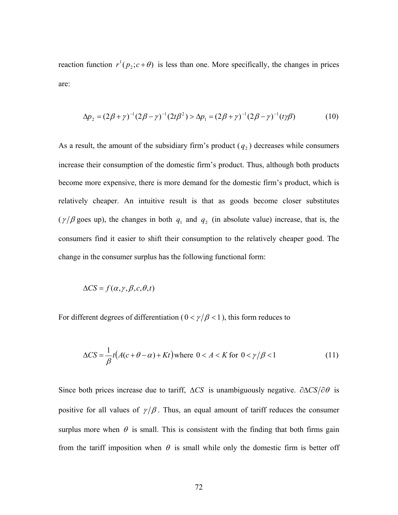reaction function  $r^1(p_2; c + \theta)$  is less than one. More specifically, the changes in prices are:

$$
\Delta p_2 = (2\beta + \gamma)^{-1} (2\beta - \gamma)^{-1} (2t\beta^2) > \Delta p_1 = (2\beta + \gamma)^{-1} (2\beta - \gamma)^{-1} (t\gamma\beta)
$$
(10)

As a result, the amount of the subsidiary firm's product  $(q_2)$  decreases while consumers increase their consumption of the domestic firm's product. Thus, although both products become more expensive, there is more demand for the domestic firm's product, which is relatively cheaper. An intuitive result is that as goods become closer substitutes ( $\gamma/\beta$  goes up), the changes in both  $q_1$  and  $q_2$  (in absolute value) increase, that is, the consumers find it easier to shift their consumption to the relatively cheaper good. The change in the consumer surplus has the following functional form:

$$
\Delta CS = f(\alpha, \gamma, \beta, c, \theta, t)
$$

For different degrees of differentiation ( $0 < \gamma/\beta < 1$ ), this form reduces to

$$
\Delta CS = \frac{1}{\beta} t (A(c + \theta - \alpha) + Kt) \text{ where } 0 < A < K \text{ for } 0 < \gamma / \beta < 1 \tag{11}
$$

Since both prices increase due to tariff,  $\Delta CS$  is unambiguously negative.  $\partial \Delta CS / \partial \theta$  is positive for all values of  $\gamma/\beta$ . Thus, an equal amount of tariff reduces the consumer surplus more when  $\theta$  is small. This is consistent with the finding that both firms gain from the tariff imposition when  $\theta$  is small while only the domestic firm is better off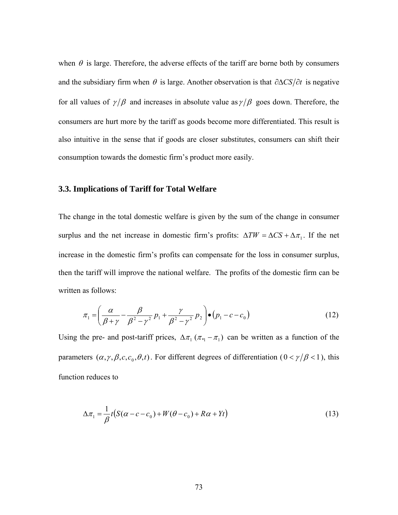when  $\theta$  is large. Therefore, the adverse effects of the tariff are borne both by consumers and the subsidiary firm when  $\theta$  is large. Another observation is that  $\partial \Delta CS/\partial t$  is negative for all values of  $\gamma/\beta$  and increases in absolute value as  $\gamma/\beta$  goes down. Therefore, the consumers are hurt more by the tariff as goods become more differentiated. This result is also intuitive in the sense that if goods are closer substitutes, consumers can shift their consumption towards the domestic firm's product more easily.

#### **3.3. Implications of Tariff for Total Welfare**

The change in the total domestic welfare is given by the sum of the change in consumer surplus and the net increase in domestic firm's profits:  $\Delta TW = \Delta CS + \Delta \pi_1$ . If the net increase in the domestic firm's profits can compensate for the loss in consumer surplus, then the tariff will improve the national welfare. The profits of the domestic firm can be written as follows:

$$
\pi_1 = \left(\frac{\alpha}{\beta + \gamma} - \frac{\beta}{\beta^2 - \gamma^2} p_1 + \frac{\gamma}{\beta^2 - \gamma^2} p_2\right) \bullet (p_1 - c - c_0)
$$
\n(12)

Using the pre- and post-tariff prices,  $\Delta \pi_1 (\pi_* - \pi_1)$  can be written as a function of the parameters  $(\alpha, \gamma, \beta, c, c_0, \theta, t)$ . For different degrees of differentiation ( $0 < \gamma/\beta < 1$ ), this function reduces to

$$
\Delta \pi_1 = \frac{1}{\beta} t \big( S(\alpha - c - c_0) + W(\theta - c_0) + R\alpha + Yt \big)
$$
\n(13)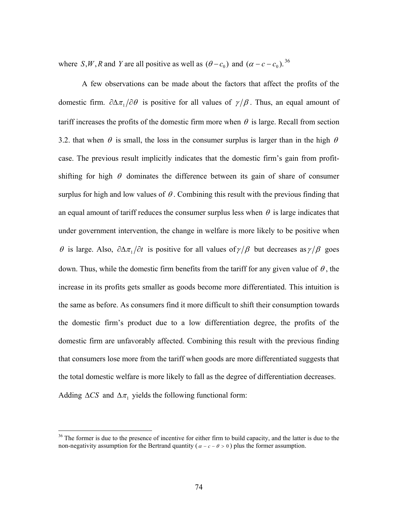where *S*, *W*, *R* and *Y* are all positive as well as  $(\theta - c_0)$  and  $(\alpha - c - c_0)$ . <sup>36</sup>

A few observations can be made about the factors that affect the profits of the domestic firm.  $\partial \Delta \pi_1 / \partial \theta$  is positive for all values of  $\gamma/\beta$ . Thus, an equal amount of tariff increases the profits of the domestic firm more when  $\theta$  is large. Recall from section 3.2. that when  $\theta$  is small, the loss in the consumer surplus is larger than in the high  $\theta$ case. The previous result implicitly indicates that the domestic firm's gain from profitshifting for high  $\theta$  dominates the difference between its gain of share of consumer surplus for high and low values of  $\theta$ . Combining this result with the previous finding that an equal amount of tariff reduces the consumer surplus less when  $\theta$  is large indicates that under government intervention, the change in welfare is more likely to be positive when θ is large. Also,  $\partial \Delta \pi_1 / \partial t$  is positive for all values of γ β but decreases as γ β goes down. Thus, while the domestic firm benefits from the tariff for any given value of  $\theta$ , the increase in its profits gets smaller as goods become more differentiated. This intuition is the same as before. As consumers find it more difficult to shift their consumption towards the domestic firm's product due to a low differentiation degree, the profits of the domestic firm are unfavorably affected. Combining this result with the previous finding that consumers lose more from the tariff when goods are more differentiated suggests that the total domestic welfare is more likely to fall as the degree of differentiation decreases. Adding  $\Delta CS$  and  $\Delta \pi_1$  yields the following functional form:

 $\overline{a}$ 

<sup>&</sup>lt;sup>36</sup> The former is due to the presence of incentive for either firm to build capacity, and the latter is due to the non-negativity assumption for the Bertrand quantity ( $\alpha - c - \theta > 0$ ) plus the former assumption.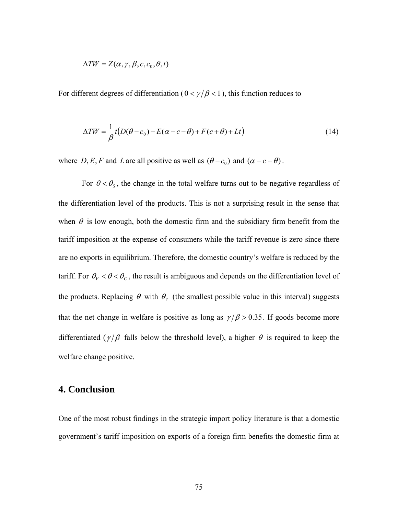$$
\Delta TW = Z(\alpha, \gamma, \beta, c, c_0, \theta, t)
$$

For different degrees of differentiation ( $0 < \gamma/\beta < 1$ ), this function reduces to

$$
\Delta TW = \frac{1}{\beta}t(D(\theta - c_0) - E(\alpha - c - \theta) + F(c + \theta) + Lt)
$$
\n(14)

where *D*, *E*, *F* and *L* are all positive as well as  $(\theta - c_0)$  and  $(\alpha - c - \theta)$ .

For  $\theta < \theta_s$ , the change in the total welfare turns out to be negative regardless of the differentiation level of the products. This is not a surprising result in the sense that when  $\theta$  is low enough, both the domestic firm and the subsidiary firm benefit from the tariff imposition at the expense of consumers while the tariff revenue is zero since there are no exports in equilibrium. Therefore, the domestic country's welfare is reduced by the tariff. For  $\theta_V < \theta < \theta_C$ , the result is ambiguous and depends on the differentiation level of the products. Replacing  $\theta$  with  $\theta$ <sup>*v*</sup> (the smallest possible value in this interval) suggests that the net change in welfare is positive as long as  $\gamma/\beta > 0.35$ . If goods become more differentiated ( $\gamma/\beta$  falls below the threshold level), a higher  $\theta$  is required to keep the welfare change positive.

## **4. Conclusion**

One of the most robust findings in the strategic import policy literature is that a domestic government's tariff imposition on exports of a foreign firm benefits the domestic firm at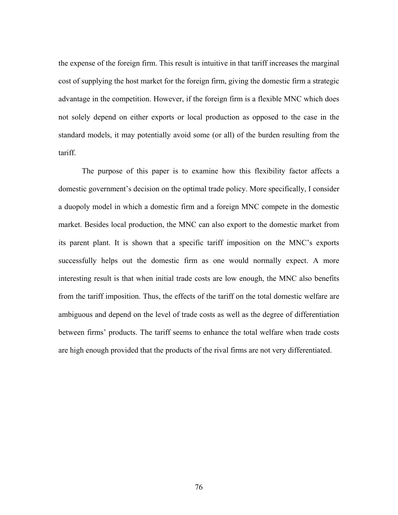the expense of the foreign firm. This result is intuitive in that tariff increases the marginal cost of supplying the host market for the foreign firm, giving the domestic firm a strategic advantage in the competition. However, if the foreign firm is a flexible MNC which does not solely depend on either exports or local production as opposed to the case in the standard models, it may potentially avoid some (or all) of the burden resulting from the tariff.

The purpose of this paper is to examine how this flexibility factor affects a domestic government's decision on the optimal trade policy. More specifically, I consider a duopoly model in which a domestic firm and a foreign MNC compete in the domestic market. Besides local production, the MNC can also export to the domestic market from its parent plant. It is shown that a specific tariff imposition on the MNC's exports successfully helps out the domestic firm as one would normally expect. A more interesting result is that when initial trade costs are low enough, the MNC also benefits from the tariff imposition. Thus, the effects of the tariff on the total domestic welfare are ambiguous and depend on the level of trade costs as well as the degree of differentiation between firms' products. The tariff seems to enhance the total welfare when trade costs are high enough provided that the products of the rival firms are not very differentiated.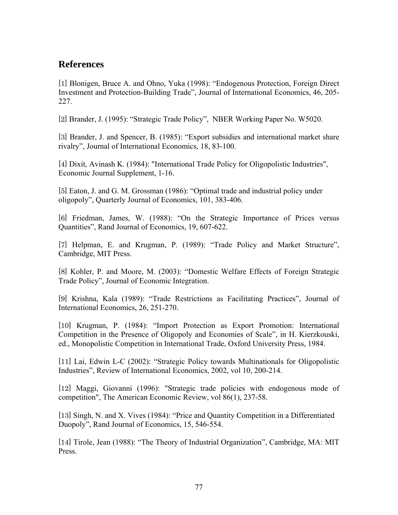# **References**

[1] Blonigen, Bruce A. and Ohno, Yuka (1998): "Endogenous Protection, Foreign Direct Investment and Protection-Building Trade", Journal of International Economics, 46, 205- 227.

[2] Brander, J. (1995): "Strategic Trade Policy", NBER Working Paper No. W5020.

[3] Brander, J. and Spencer, B. (1985): "Export subsidies and international market share rivalry", Journal of International Economics, 18, 83-100.

[4] Dixit, Avinash K. (1984): "International Trade Policy for Oligopolistic Industries", Economic Journal Supplement, 1-16.

[5] Eaton, J. and G. M. Grossman (1986): "Optimal trade and industrial policy under oligopoly", Quarterly Journal of Economics, 101, 383-406.

[6] Friedman, James, W. (1988): "On the Strategic Importance of Prices versus Quantities", Rand Journal of Economics, 19, 607-622.

[7] Helpman, E. and Krugman, P. (1989): "Trade Policy and Market Structure", Cambridge, MIT Press.

[8] Kohler, P. and Moore, M. (2003): "Domestic Welfare Effects of Foreign Strategic Trade Policy", Journal of Economic Integration.

[9] Krishna, Kala (1989): "Trade Restrictions as Facilitating Practices", Journal of International Economics, 26, 251-270.

[10] Krugman, P. (1984): "Import Protection as Export Promotion: International Competition in the Presence of Oligopoly and Economies of Scale", in H. Kierzkouski, ed., Monopolistic Competition in International Trade, Oxford University Press, 1984.

[11] Lai, Edwin L-C (2002): "Strategic Policy towards Multinationals for Oligopolistic Industries", Review of International Economics, 2002, vol 10, 200-214.

[12] Maggi, Giovanni (1996): "Strategic trade policies with endogenous mode of competition", The American Economic Review, vol 86(1), 237-58.

[13] Singh, N. and X. Vives (1984): "Price and Quantity Competition in a Differentiated Duopoly", Rand Journal of Economics, 15, 546-554.

[14] Tirole, Jean (1988): "The Theory of Industrial Organization", Cambridge, MA: MIT Press.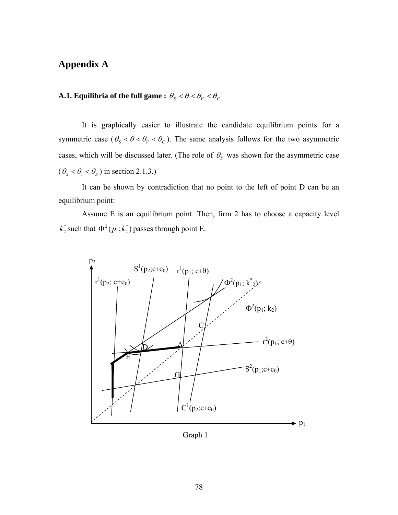## **Appendix A**

# **A.1. Equilibria of the full game :**  $\theta_{S} < \theta < \theta_{V} < \theta_{C}$

 It is graphically easier to illustrate the candidate equilibrium points for a symmetric case ( $\theta_s < \theta < \theta_V < \theta_c$ ). The same analysis follows for the two asymmetric cases, which will be discussed later. (The role of  $\theta_s$  was shown for the asymmetric case  $(\theta_2 < \theta_1 < \theta_S)$  in section 2.1.3.)

It can be shown by contradiction that no point to the left of point D can be an equilibrium point:

Assume E is an equilibrium point. Then, firm 2 has to choose a capacity level  $k_2^*$  such that  $\Phi^2(p_1; k_2^*)$  passes through point E.



Graph 1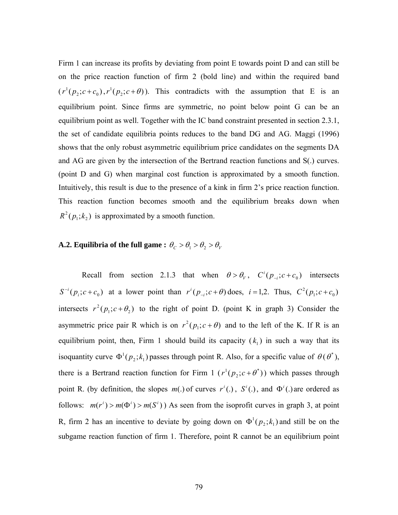Firm 1 can increase its profits by deviating from point E towards point D and can still be on the price reaction function of firm 2 (bold line) and within the required band  $(r^{1}(p_{2}; c+c_{0}), r^{1}(p_{2}; c+\theta))$ . This contradicts with the assumption that E is an equilibrium point. Since firms are symmetric, no point below point G can be an equilibrium point as well. Together with the IC band constraint presented in section 2.3.1, the set of candidate equilibria points reduces to the band DG and AG. Maggi (1996) shows that the only robust asymmetric equilibrium price candidates on the segments DA and AG are given by the intersection of the Bertrand reaction functions and S(.) curves. (point D and G) when marginal cost function is approximated by a smooth function. Intuitively, this result is due to the presence of a kink in firm 2's price reaction function. This reaction function becomes smooth and the equilibrium breaks down when  $R^2(p_1;k_2)$  is approximated by a smooth function.

# **A.2. Equilibria of the full game :**  $\theta_C > \theta_1 > \theta_2 > \theta_V$

Recall from section 2.1.3 that when  $\theta > \theta_V$ ,  $C^i(p_{-i}; c + c_0)$  intersects  $S^{-i}(p_i; c+c_0)$  at a lower point than  $r^{i}(p_{-i}; c+\theta)$  does,  $i=1,2$ . Thus,  $C^2(p_i; c+c_0)$ intersects  $r^2(p_1; c + \theta_2)$  to the right of point D. (point K in graph 3) Consider the asymmetric price pair R which is on  $r^2(p_1; c + \theta)$  and to the left of the K. If R is an equilibrium point, then, Firm 1 should build its capacity  $(k_1)$  in such a way that its isoquantity curve  $\Phi^1(p_2; k_1)$  passes through point R. Also, for a specific value of  $\theta(\theta^*)$ , there is a Bertrand reaction function for Firm 1  $(r^{1}(p_{2}; c + \theta^{*}))$  $r^{1}(p_{2}; c + \theta^{*})$ ) which passes through point R. (by definition, the slopes  $m(.)$  of curves  $r^i(.)$ ,  $S^i(.)$ , and  $\Phi^i(.)$  are ordered as follows:  $m(r^{i}) > m(\Phi^{i}) > m(S^{i})$  As seen from the isoprofit curves in graph 3, at point R, firm 2 has an incentive to deviate by going down on  $\Phi^1(p_2; k_1)$  and still be on the subgame reaction function of firm 1. Therefore, point R cannot be an equilibrium point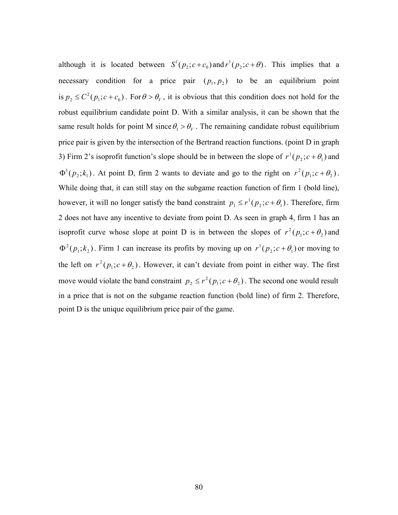although it is located between  $S^1(p_2; c+c_0)$  and  $r^1(p_2; c+\theta)$ . This implies that a necessary condition for a price pair  $(p_1, p_2)$  to be an equilibrium point is  $p_2 \le C^2(p_1; c + c_0)$ . For  $\theta > \theta_V$ , it is obvious that this condition does not hold for the robust equilibrium candidate point D. With a similar analysis, it can be shown that the same result holds for point M since  $\theta_1 > \theta_V$ . The remaining candidate robust equilibrium price pair is given by the intersection of the Bertrand reaction functions. (point D in graph 3) Firm 2's isoprofit function's slope should be in between the slope of  $r^1(p_2; c + \theta_1)$  and  $\Phi^1(p_2; k_1)$ . At point D, firm 2 wants to deviate and go to the right on  $r^2(p_1; c + \theta_2)$ . While doing that, it can still stay on the subgame reaction function of firm 1 (bold line), however, it will no longer satisfy the band constraint  $p_1 \le r^1(p_2; c + \theta_1)$ . Therefore, firm 2 does not have any incentive to deviate from point D. As seen in graph 4, firm 1 has an isoprofit curve whose slope at point D is in between the slopes of  $r^2(p_1; c + \theta_2)$  and  $\Phi^2(p_1; k_2)$ . Firm 1 can increase its profits by moving up on  $r^1(p_2; c + \theta_1)$  or moving to the left on  $r^2(p_1; c + \theta_2)$ . However, it can't deviate from point in either way. The first move would violate the band constraint  $p_2 \le r^2 (p_1; c + \theta_2)$ . The second one would result in a price that is not on the subgame reaction function (bold line) of firm 2. Therefore, point D is the unique equilibrium price pair of the game.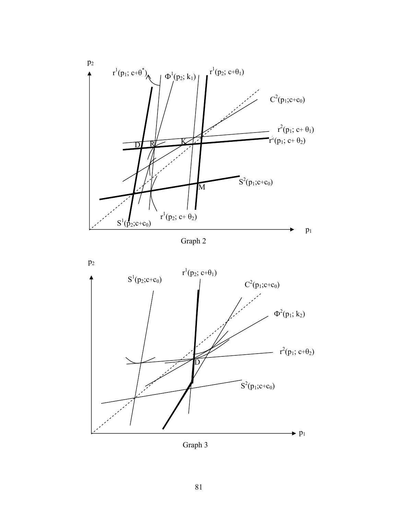





Graph 3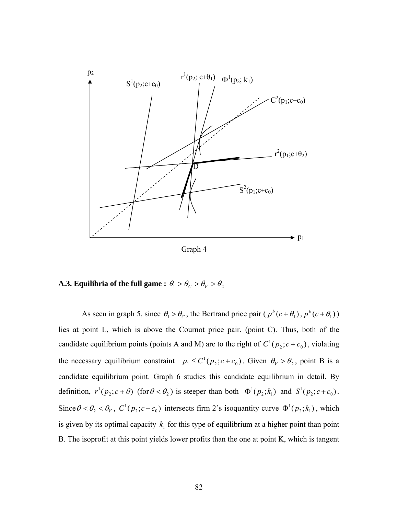

Graph 4

# **A.3. Equilibria of the full game :**  $\theta_1 > \theta_C > \theta_V > \theta_2$

As seen in graph 5, since  $\theta_1 > \theta_c$ , the Bertrand price pair ( $p^b(c + \theta_1)$ ,  $p^b(c + \theta_1)$ ) lies at point L, which is above the Cournot price pair. (point C). Thus, both of the candidate equilibrium points (points A and M) are to the right of  $C^1(p_2; c + c_0)$ , violating the necessary equilibrium constraint  $p_1 \leq C^1(p_2; c + c_0)$ . Given  $\theta_V > \theta_2$ , point B is a candidate equilibrium point. Graph 6 studies this candidate equilibrium in detail. By definition,  $r^1(p_2; c + \theta)$  (for  $\theta < \theta_2$ ) is steeper than both  $\Phi^1(p_2; k_1)$  and  $S^1(p_2; c + c_0)$ . Since  $\theta < \theta_2 < \theta_V$ ,  $C^1(p_2; c + c_0)$  intersects firm 2's isoquantity curve  $\Phi^1(p_2; k_1)$ , which is given by its optimal capacity  $k_1$  for this type of equilibrium at a higher point than point B. The isoprofit at this point yields lower profits than the one at point K, which is tangent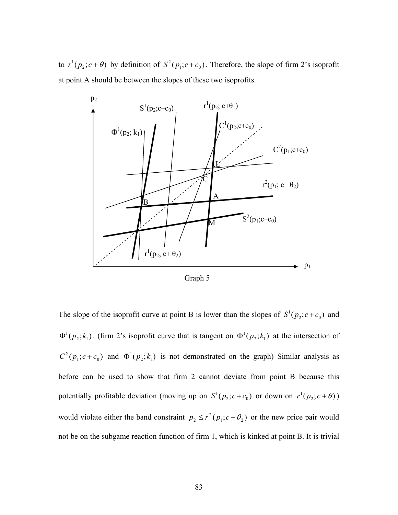to  $r^1(p_2; c + \theta)$  by definition of  $S^2(p_1; c + c_0)$ . Therefore, the slope of firm 2's isoprofit at point A should be between the slopes of these two isoprofits.



Graph 5

The slope of the isoprofit curve at point B is lower than the slopes of  $S^1(p_2; c+c_0)$  and  $\Phi^1(p_2; k_1)$ . (firm 2's isoprofit curve that is tangent on  $\Phi^1(p_2; k_1)$  at the intersection of  $C^2(p_1; c+c_0)$  and  $\Phi^1(p_2; k_1)$  is not demonstrated on the graph) Similar analysis as before can be used to show that firm 2 cannot deviate from point B because this potentially profitable deviation (moving up on  $S^1(p_2; c + c_0)$  or down on  $r^1(p_2; c + \theta)$ ) would violate either the band constraint  $p_2 \le r^2(p_1; c + \theta_2)$  or the new price pair would not be on the subgame reaction function of firm 1, which is kinked at point B. It is trivial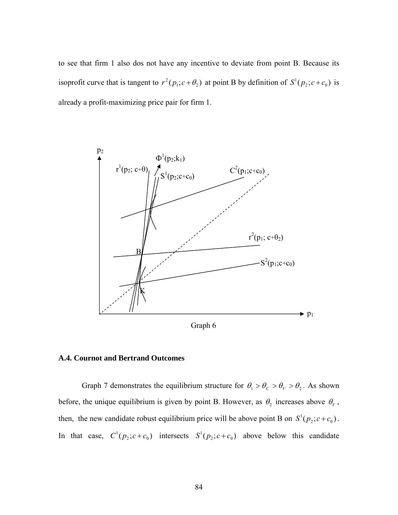to see that firm 1 also dos not have any incentive to deviate from point B. Because its isoprofit curve that is tangent to  $r^2(p_1; c + \theta_2)$  at point B by definition of  $S^1(p_2; c + c_0)$  is already a profit-maximizing price pair for firm 1.



Graph 6

#### **A.4. Cournot and Bertrand Outcomes**

Graph 7 demonstrates the equilibrium structure for  $\theta_1 > \theta_C > \theta_V > \theta_2$ . As shown before, the unique equilibrium is given by point B. However, as  $\theta_2$  increases above  $\theta_V$ , then, the new candidate robust equilibrium price will be above point B on  $S^1(p_2; c + c_0)$ . In that case,  $C^1(p_2; c+c_0)$  intersects  $S^1(p_2; c+c_0)$  above below this candidate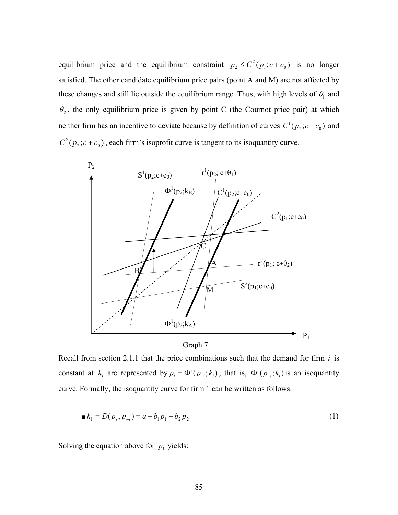equilibrium price and the equilibrium constraint  $p_2 \leq C^2(p_1; c + c_0)$  is no longer satisfied. The other candidate equilibrium price pairs (point A and M) are not affected by these changes and still lie outside the equilibrium range. Thus, with high levels of  $\theta_1$  and  $\theta_2$ , the only equilibrium price is given by point C (the Cournot price pair) at which neither firm has an incentive to deviate because by definition of curves  $C^1(p_2; c + c_0)$  and  $C^2(p_2; c+c_0)$ , each firm's isoprofit curve is tangent to its isoquantity curve.





Recall from section 2.1.1 that the price combinations such that the demand for firm *i* is constant at  $k_i$  are represented by  $p_i = \Phi^i(p_{-i}; k_i)$ , that is,  $\Phi^i(p_{-i}; k_i)$  is an isoquantity curve. Formally, the isoquantity curve for firm 1 can be written as follows:

$$
\blacksquare k_1 = D(p_i, p_{-i}) = a - b_1 p_1 + b_2 p_2 \tag{1}
$$

Solving the equation above for  $p_1$  yields: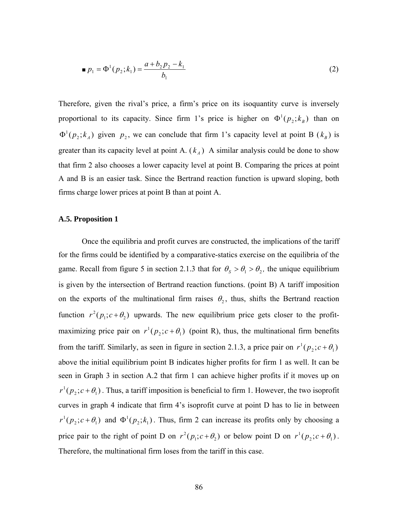$$
p_1 = \Phi^1(p_2; k_1) = \frac{a + b_2 p_2 - k_1}{b_1} \tag{2}
$$

Therefore, given the rival's price, a firm's price on its isoquantity curve is inversely proportional to its capacity. Since firm 1's price is higher on  $\Phi^1(p_2; k_B)$  than on  $\Phi^1(p_2; k_A)$  given  $p_2$ , we can conclude that firm 1's capacity level at point B  $(k_B)$  is greater than its capacity level at point A.  $(k_A)$  A similar analysis could be done to show that firm 2 also chooses a lower capacity level at point B. Comparing the prices at point A and B is an easier task. Since the Bertrand reaction function is upward sloping, both firms charge lower prices at point B than at point A.

#### **A.5. Proposition 1**

 Once the equilibria and profit curves are constructed, the implications of the tariff for the firms could be identified by a comparative-statics exercise on the equilibria of the game. Recall from figure 5 in section 2.1.3 that for  $\theta_s > \theta_1 > \theta_2$ , the unique equilibrium is given by the intersection of Bertrand reaction functions. (point B) A tariff imposition on the exports of the multinational firm raises  $\theta_2$ , thus, shifts the Bertrand reaction function  $r^2(p_1; c + \theta_2)$  upwards. The new equilibrium price gets closer to the profitmaximizing price pair on  $r^1(p_2; c + \theta_1)$  (point R), thus, the multinational firm benefits from the tariff. Similarly, as seen in figure in section 2.1.3, a price pair on  $r^1(p_2; c + \theta_1)$ above the initial equilibrium point B indicates higher profits for firm 1 as well. It can be seen in Graph 3 in section A.2 that firm 1 can achieve higher profits if it moves up on  $r^{1}(p_{2}; c + \theta_{1})$ . Thus, a tariff imposition is beneficial to firm 1. However, the two isoprofit curves in graph 4 indicate that firm 4's isoprofit curve at point D has to lie in between  $r^{1}(p_{2}; c + \theta_{1})$  and  $\Phi^{1}(p_{2}; k_{1})$ . Thus, firm 2 can increase its profits only by choosing a price pair to the right of point D on  $r^2(p_1; c + \theta_2)$  or below point D on  $r^1(p_2; c + \theta_1)$ . Therefore, the multinational firm loses from the tariff in this case.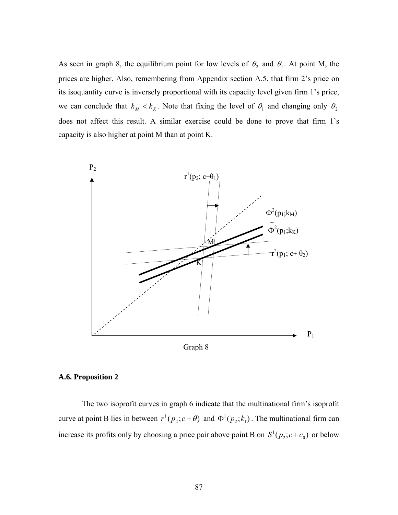As seen in graph 8, the equilibrium point for low levels of  $\theta_2$  and  $\theta_1$ . At point M, the prices are higher. Also, remembering from Appendix section A.5. that firm 2's price on its isoquantity curve is inversely proportional with its capacity level given firm 1's price, we can conclude that  $k_M < k_K$ . Note that fixing the level of  $\theta_1$  and changing only  $\theta_2$ does not affect this result. A similar exercise could be done to prove that firm 1's capacity is also higher at point M than at point K.



#### **A.6. Proposition 2**

 The two isoprofit curves in graph 6 indicate that the multinational firm's isoprofit curve at point B lies in between  $r^1(p_2; c + \theta)$  and  $\Phi^1(p_2; k_1)$ . The multinational firm can increase its profits only by choosing a price pair above point B on  $S^1(p_2; c + c_0)$  or below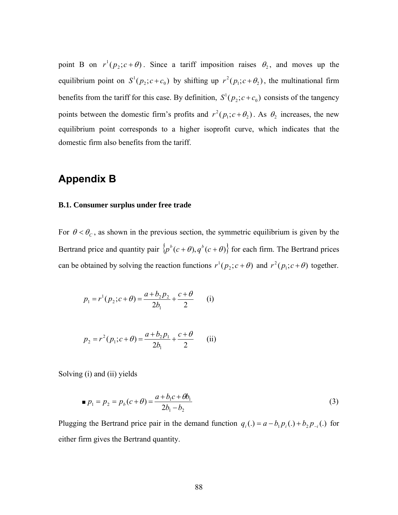point B on  $r^1(p_2; c + \theta)$ . Since a tariff imposition raises  $\theta_2$ , and moves up the equilibrium point on  $S^1(p_2; c+c_0)$  by shifting up  $r^2(p_1; c+\theta_2)$ , the multinational firm benefits from the tariff for this case. By definition,  $S^1(p_2; c + c_0)$  consists of the tangency points between the domestic firm's profits and  $r^2(p_1; c + \theta_2)$ . As  $\theta_2$  increases, the new equilibrium point corresponds to a higher isoprofit curve, which indicates that the domestic firm also benefits from the tariff.

# **Appendix B**

#### **B.1. Consumer surplus under free trade**

For  $\theta < \theta_c$ , as shown in the previous section, the symmetric equilibrium is given by the Bertrand price and quantity pair  $\{p^b(c+\theta), q^b(c+\theta)\}$  for each firm. The Bertrand prices can be obtained by solving the reaction functions  $r^1(p_2; c + \theta)$  and  $r^2(p_1; c + \theta)$  together.

$$
p_1 = r^1(p_2; c + \theta) = \frac{a + b_2 p_2}{2b_1} + \frac{c + \theta}{2}
$$
 (i)

$$
p_2 = r^2 (p_1; c + \theta) = \frac{a + b_2 p_1}{2b_1} + \frac{c + \theta}{2}
$$
 (ii)

Solving (i) and (ii) yields

$$
p_1 = p_2 = p_b(c + \theta) = \frac{a + b_1c + \theta b_1}{2b_1 - b_2}
$$
 (3)

Plugging the Bertrand price pair in the demand function  $q_i(.) = a - b_1 p_i(.) + b_2 p_{-i}(.)$  for either firm gives the Bertrand quantity.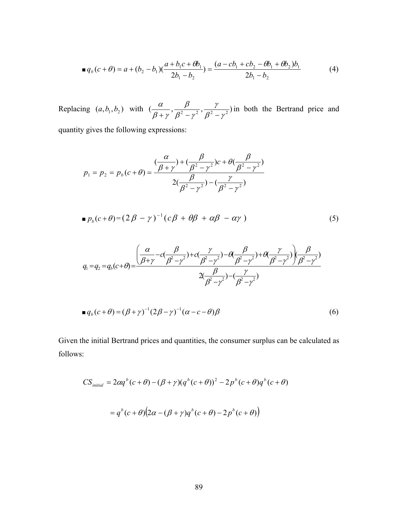$$
\blacksquare q_b(c+\theta) = a + (b_2 - b_1)(\frac{a+b_1c+\theta b_1}{2b_1 - b_2}) = \frac{(a - cb_1 + cb_2 - \theta b_1 + \theta b_2)b_1}{2b_1 - b_2} \tag{4}
$$

Replacing  $(a, b_1, b_2)$  with  $(\frac{\alpha}{\beta + \gamma}, \frac{\beta}{\beta^2 - \gamma^2}, \frac{\gamma}{\beta^2 - \gamma^2})$  $\beta^{\scriptscriptstyle{2}}$  –  $\gamma$  $\beta$  $\beta$  +  $\gamma$  $\frac{\alpha}{+\gamma}, \frac{\beta}{\beta^2-\gamma^2}, \frac{\gamma}{\beta^2-\gamma^2}$ ) in both the Bertrand price and quantity gives the following expressions:

$$
p_1 = p_2 = p_b(c + \theta) = \frac{\left(\frac{\alpha}{\beta + \gamma}\right) + \left(\frac{\beta}{\beta^2 - \gamma^2}\right)c + \theta\left(\frac{\beta}{\beta^2 - \gamma^2}\right)}{2\left(\frac{\beta}{\beta^2 - \gamma^2}\right) - \left(\frac{\gamma}{\beta^2 - \gamma^2}\right)}
$$

$$
\bullet p_b(c+\theta) = (2\beta - \gamma)^{-1} (c\beta + \theta\beta + \alpha\beta - \alpha\gamma)
$$
 (5)

$$
q_1 = q_2 = q_b(c+\theta) = \frac{\left(\frac{\alpha}{\beta+\gamma} - c\left(\frac{\beta}{\beta^2-\gamma^2}\right) + c\left(\frac{\gamma}{\beta^2-\gamma^2}\right) - \theta\left(\frac{\beta}{\beta^2-\gamma^2}\right) + \theta\left(\frac{\gamma}{\beta^2-\gamma^2}\right)\left(\frac{\beta}{\beta^2-\gamma^2}\right)}{2\left(\frac{\beta}{\beta^2-\gamma^2}\right) - \left(\frac{\gamma}{\beta^2-\gamma^2}\right)}
$$

$$
\blacksquare q_b(c+\theta) = (\beta+\gamma)^{-1}(2\beta-\gamma)^{-1}(\alpha-c-\theta)\beta
$$
\n<sup>(6)</sup>

Given the initial Bertrand prices and quantities, the consumer surplus can be calculated as follows:

$$
CS_{initial} = 2\alpha q^{b} (c + \theta) - (\beta + \gamma)(q^{b} (c + \theta))^{2} - 2p^{b} (c + \theta)q^{b} (c + \theta)
$$

$$
= q^{b} (c + \theta) (2\alpha - (\beta + \gamma)q^{b} (c + \theta) - 2p^{b} (c + \theta))
$$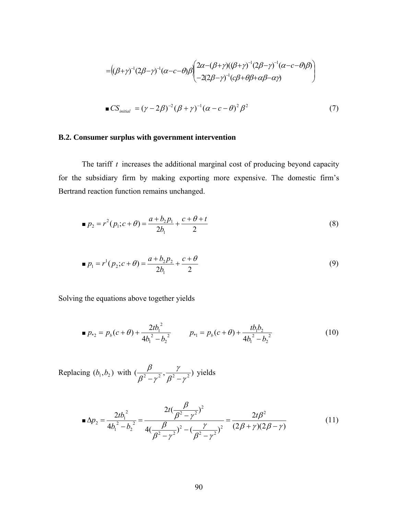$$
= ((\beta + \gamma)^{-1} (2\beta - \gamma)^{-1} (\alpha - c - \theta) \beta) \begin{pmatrix} 2\alpha - (\beta + \gamma) ((\beta + \gamma)^{-1} (2\beta - \gamma)^{-1} (\alpha - c - \theta) \beta) \\ -2(2\beta - \gamma)^{-1} (c\beta + \theta \beta + \alpha \beta - \alpha \gamma) \end{pmatrix}
$$
  
\n
$$
\blacksquare \text{CS}_{initial} = (\gamma - 2\beta)^{-2} (\beta + \gamma)^{-1} (\alpha - c - \theta)^{2} \beta^{2}
$$
 (7)

## **B.2. Consumer surplus with government intervention**

 The tariff *t* increases the additional marginal cost of producing beyond capacity for the subsidiary firm by making exporting more expensive. The domestic firm's Bertrand reaction function remains unchanged.

$$
p_2 = r^2 (p_1; c + \theta) = \frac{a + b_2 p_1}{2b_1} + \frac{c + \theta + t}{2}
$$
 (8)

$$
p_1 = r^1(p_2; c + \theta) = \frac{a + b_2 p_2}{2b_1} + \frac{c + \theta}{2}
$$
\n(9)

Solving the equations above together yields

$$
p_{*2} = p_b(c+\theta) + \frac{2tb_1^2}{4b_1^2 - b_2^2} \qquad p_{*1} = p_b(c+\theta) + \frac{tb_1b_2}{4b_1^2 - b_2^2} \tag{10}
$$

Replacing  $(b_1, b_2)$  with  $\left(\frac{\beta}{\beta^2 - \gamma^2}, \frac{\gamma}{\beta^2 - \gamma^2}\right)$  $\beta^{\scriptscriptstyle{2}}$  –  $\gamma$  $\frac{\beta}{-\gamma^2}, \frac{\gamma}{\beta^2-\gamma^2}$ ) yields

$$
\triangle p_2 = \frac{2tb_1^2}{4b_1^2 - b_2^2} = \frac{2t(\frac{\beta}{\beta^2 - \gamma^2})^2}{4(\frac{\beta}{\beta^2 - \gamma^2})^2 - (\frac{\gamma}{\beta^2 - \gamma^2})^2} = \frac{2t\beta^2}{(2\beta + \gamma)(2\beta - \gamma)}
$$
(11)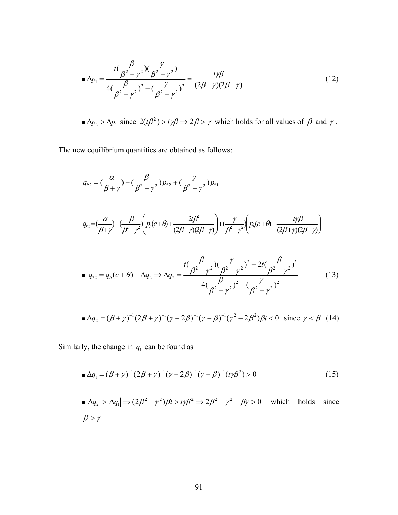$$
\blacksquare \Delta p_1 = \frac{t(\frac{\beta}{\beta^2 - \gamma^2})(\frac{\gamma}{\beta^2 - \gamma^2})}{4(\frac{\beta}{\beta^2 - \gamma^2})^2 - (\frac{\gamma}{\beta^2 - \gamma^2})^2} = \frac{t\gamma\beta}{(2\beta + \gamma)(2\beta - \gamma)}
$$
(12)

 $\Delta p_2 > \Delta p_1$  since  $2(t\beta^2) > t\gamma\beta \Rightarrow 2\beta > \gamma$  which holds for all values of  $\beta$  and  $\gamma$ .

The new equilibrium quantities are obtained as follows:

$$
q_{*2} = \left(\frac{\alpha}{\beta + \gamma}\right) - \left(\frac{\beta}{\beta^2 - \gamma^2}\right)p_{*2} + \left(\frac{\gamma}{\beta^2 - \gamma^2}\right)p_{*1}
$$
\n
$$
q_{*2} = \left(\frac{\alpha}{\beta + \gamma}\right) - \left(\frac{\beta}{\beta^2 - \gamma^2}\right)\left(p_{\beta}(c + \theta) + \frac{2t\beta^2}{(2\beta + \gamma)(2\beta - \gamma)}\right) + \left(\frac{\gamma}{\beta^2 - \gamma^2}\right)\left(p_{\beta}(c + \theta) + \frac{t\gamma\beta}{(2\beta + \gamma)(2\beta - \gamma)}\right)
$$
\n
$$
q_{*2} = q_{\beta}(c + \theta) + \Delta q_2 \Rightarrow \Delta q_2 = \frac{t\left(\frac{\beta}{\beta^2 - \gamma^2}\right)\left(\frac{\gamma}{\beta^2 - \gamma^2}\right)^2 - 2t\left(\frac{\beta}{\beta^2 - \gamma^2}\right)^3}{4\left(\frac{\beta}{\beta^2 - \gamma^2}\right)^2 - \left(\frac{\gamma}{\beta^2 - \gamma^2}\right)^2}
$$
\n(13)

$$
\blacksquare \Delta q_2 = (\beta + \gamma)^{-1} (2\beta + \gamma)^{-1} (\gamma - 2\beta)^{-1} (\gamma - \beta)^{-1} (\gamma^2 - 2\beta^2) \beta t < 0 \quad \text{since } \gamma < \beta \tag{14}
$$

Similarly, the change in  $q_1$  can be found as

$$
\blacksquare \Delta q_1 = (\beta + \gamma)^{-1} (2\beta + \gamma)^{-1} (\gamma - 2\beta)^{-1} (\gamma - \beta)^{-1} (t\gamma \beta^2) > 0 \tag{15}
$$

$$
\blacksquare |\Delta q_2| > |\Delta q_1| \Longrightarrow (2\beta^2 - \gamma^2)\beta t > t\gamma\beta^2 \Longrightarrow 2\beta^2 - \gamma^2 - \beta\gamma > 0 \quad \text{which holds since}
$$
  

$$
\beta > \gamma.
$$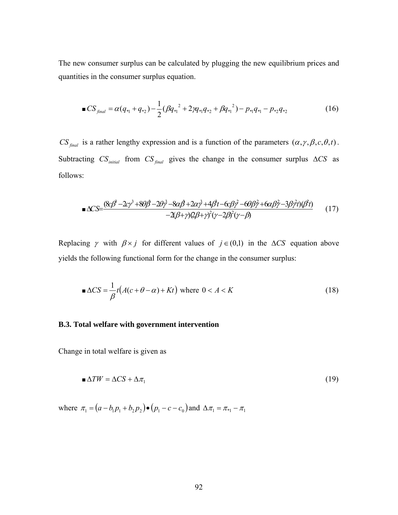The new consumer surplus can be calculated by plugging the new equilibrium prices and quantities in the consumer surplus equation.

$$
\blacksquare CS_{\text{final}} = \alpha (q_{*1} + q_{*2}) - \frac{1}{2} (\beta q_{*1}^{2} + 2\gamma q_{*1} q_{*2} + \beta q_{*1}^{2}) - p_{*1} q_{*1} - p_{*2} q_{*2} \tag{16}
$$

 $CS_{\text{final}}$  is a rather lengthy expression and is a function of the parameters  $(\alpha, \gamma, \beta, c, \theta, t)$ . Subtracting  $CS_{initial}$  from  $CS_{final}$  gives the change in the consumer surplus  $\Delta CS$  as follows:

$$
\mathbf{R} \Delta CS = \frac{(8c\beta^3 - 2c\gamma^3 + 8\theta\beta - 2\theta\gamma^3 - 8\alpha\beta + 2\alpha\gamma^3 + 4\beta^2t - 6c\beta\gamma^2 - 6\theta\beta\gamma^2 + 6\alpha\beta\gamma^2 - 3\beta\gamma^2t)(\beta^2t)}{-2(\beta + \gamma)(2\beta + \gamma)^2(\gamma - 2\beta)^2(\gamma - \beta)} \tag{17}
$$

Replacing  $\gamma$  with  $\beta \times j$  for different values of  $j \in (0,1)$  in the  $\Delta CS$  equation above yields the following functional form for the change in the consumer surplus:

$$
\triangle CS = \frac{1}{\beta} t (A(c + \theta - \alpha) + Kt) \text{ where } 0 < A < K
$$
 (18)

#### **B.3. Total welfare with government intervention**

Change in total welfare is given as

$$
\Delta TW = \Delta CS + \Delta \pi_1 \tag{19}
$$

where  $\pi_1 = (a - b_1 p_1 + b_2 p_2) \bullet (p_1 - c - c_0)$  and  $\Delta \pi_1 = \pi_{*1} - \pi_1$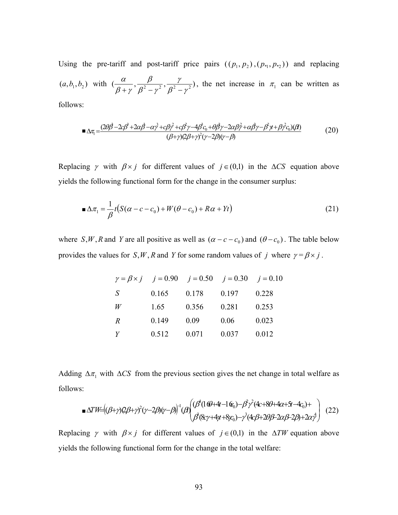Using the pre-tariff and post-tariff price pairs  $((p_1, p_2), (p_{*1}, p_{*2}))$  and replacing  $(a, b_1, b_2)$  with  $\left(\frac{\alpha}{\beta + \gamma}, \frac{\beta}{\beta^2 - \gamma^2}, \frac{\gamma}{\beta^2 - \gamma^2}\right)$  $\beta^{\scriptscriptstyle{2}}$  –  $\gamma$ β  $\beta$  +  $\gamma$  $\frac{\alpha}{(\alpha+\gamma)}, \frac{\beta}{\beta^2-\gamma^2}, \frac{\gamma}{\beta^2-\gamma^2}$ , the net increase in  $\pi_1$  can be written as

follows:

$$
\blacksquare \Delta \tau_i = \frac{(2\theta \hat{\beta} - 2c\beta^3 + 2\alpha \hat{\beta} - \alpha \gamma^3 + c\beta \gamma^2 + c\beta^2 \gamma - 4\beta^2 c_0 + \theta \beta \gamma - 2\alpha \beta \hat{\gamma} + \alpha \beta \gamma - \beta^2 \gamma + \beta \gamma^2 c_0)(\hat{\beta})}{(\beta + \gamma)(2\beta + \gamma)^2 (\gamma - 2\beta)(\gamma - \beta)} \tag{20}
$$

Replacing  $\gamma$  with  $\beta \times j$  for different values of  $j \in (0,1)$  in the  $\Delta CS$  equation above yields the following functional form for the change in the consumer surplus:

$$
\blacksquare \Delta \pi_1 = \frac{1}{\beta} t \big( S(\alpha - c - c_0) + W(\theta - c_0) + R\alpha + Yt \big) \tag{21}
$$

where *S*, *W*, *R* and *Y* are all positive as well as  $(\alpha - c - c_0)$  and  $(\theta - c_0)$ . The table below provides the values for *S*, *W*, *R* and *Y* for some random values of *j* where  $\gamma = \beta \times j$ .

|                |       |       | $\gamma = \beta \times i$ $i = 0.90$ $i = 0.50$ $i = 0.30$ $i = 0.10$ |       |
|----------------|-------|-------|-----------------------------------------------------------------------|-------|
| S              | 0.165 | 0.178 | 0.197                                                                 | 0.228 |
| W              | 1.65  | 0.356 | 0.281                                                                 | 0.253 |
| $\overline{R}$ | 0.149 | 0.09  | 0.06                                                                  | 0.023 |
| Y              | 0.512 | 0.071 | 0.037                                                                 | 0.012 |

Adding  $\Delta \pi_1$  with  $\Delta CS$  from the previous section gives the net change in total welfare as follows:

$$
\triangle TW=(\beta+\gamma)2\beta+\gamma^2(\gamma-2\beta)(\gamma-\beta)^{1}(\beta)\begin{pmatrix}(\beta^4(16\theta+4\theta-16\theta_0)-\beta^2\gamma^2(4\alpha+8\theta+4\alpha+5\theta-4\alpha_0)+\\ \beta^3(8\alpha\gamma+4\gamma\theta+8\beta\alpha_0)-\gamma^3(4\alpha\beta+2\theta\beta-2\alpha\beta-2\beta)+2\alpha\gamma^4\end{pmatrix}
$$
(22)

Replacing  $\gamma$  with  $\beta \times j$  for different values of  $j \in (0,1)$  in the  $\Delta TW$  equation above yields the following functional form for the change in the total welfare: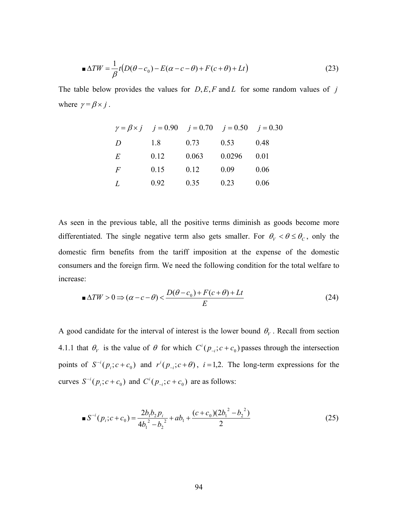$$
\triangle TW = \frac{1}{\beta}t(D(\theta - c_0) - E(\alpha - c - \theta) + F(c + \theta) + Lt)
$$
\n(23)

The table below provides the values for  $D$ ,  $E$ ,  $F$  and  $L$  for some random values of  $j$ where  $\gamma = \beta \times j$ .

|                | $\gamma = \beta \times i$ $i = 0.90$ $i = 0.70$ $i = 0.50$ $i = 0.30$ |       |        |      |
|----------------|-----------------------------------------------------------------------|-------|--------|------|
| D              | 1.8                                                                   | 0.73  | 0.53   | 0.48 |
| E              | 0.12                                                                  | 0.063 | 0.0296 | 0.01 |
| $\overline{F}$ | 0.15                                                                  | 0.12  | 0.09   | 0.06 |
| L              | 0.92                                                                  | 0.35  | 0.23   | 0.06 |

As seen in the previous table, all the positive terms diminish as goods become more differentiated. The single negative term also gets smaller. For  $\theta_V < \theta \le \theta_C$ , only the domestic firm benefits from the tariff imposition at the expense of the domestic consumers and the foreign firm. We need the following condition for the total welfare to increase:

$$
\blacksquare \Delta TW > 0 \Longrightarrow (\alpha - c - \theta) < \frac{D(\theta - c_0) + F(c + \theta) + Lt}{E} \tag{24}
$$

A good candidate for the interval of interest is the lower bound  $\theta_V$ . Recall from section 4.1.1 that  $\theta_V$  is the value of  $\theta$  for which  $C^i(p_{-i}; c + c_0)$  passes through the intersection points of  $S^{-i}(p_i; c+c_0)$  and  $r^{i}(p_{-i}; c+\theta)$ ,  $i=1,2$ . The long-term expressions for the curves  $S^{-i}(p_i; c+c_0)$  and  $C^{i}(p_{-i}; c+c_0)$  are as follows:

$$
\blacksquare S^{-i}(p_i; c + c_0) = \frac{2b_1b_2p_i}{4b_1^2 - b_2^2} + ab_1 + \frac{(c + c_0)(2b_1^2 - b_2^2)}{2} \tag{25}
$$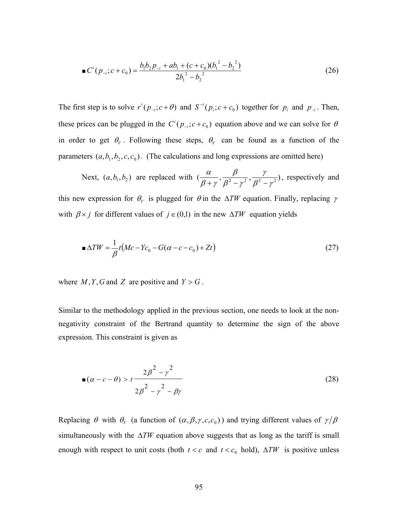$$
\blacksquare C^i(p_{-i}; c + c_0) = \frac{b_1 b_2 p_{-i} + a b_1 + (c + c_0) (b_1^2 - b_2^2)}{2b_1^2 - b_2^2} \tag{26}
$$

The first step is to solve  $r^{i} (p_{-i}; c + \theta)$  and  $S^{-i} (p_i; c + c_0)$  together for  $p_i$  and  $p_{-i}$ . Then, these prices can be plugged in the  $C^{i}(p_{i-1}; c+c_0)$  equation above and we can solve for  $\theta$ in order to get  $\theta_V$ . Following these steps,  $\theta_V$  can be found as a function of the parameters  $(a, b_1, b_2, c, c_0)$ . (The calculations and long expressions are omitted here)

Next, 
$$
(a, b_1, b_2)
$$
 are replaced with  $(\frac{\alpha}{\beta + \gamma}, \frac{\beta}{\beta^2 - \gamma^2}, \frac{\gamma}{\beta^2 - \gamma^2})$ , respectively and

this new expression for  $\theta_V$  is plugged for  $\theta$  in the  $\Delta TW$  equation. Finally, replacing  $\gamma$ with  $\beta \times j$  for different values of  $j \in (0,1)$  in the new  $\Delta TW$  equation yields

$$
\triangle TW = \frac{1}{\beta}t(Mc - Yc_0 - G(\alpha - c - c_0) + Zt)
$$
\n(27)

where  $M, Y, G$  and  $Z$  are positive and  $Y > G$ .

Similar to the methodology applied in the previous section, one needs to look at the nonnegativity constraint of the Bertrand quantity to determine the sign of the above expression. This constraint is given as

$$
\blacksquare(\alpha - c - \theta) > t \frac{2\beta^2 - \gamma^2}{2\beta^2 - \gamma^2 - \beta\gamma} \tag{28}
$$

Replacing  $\theta$  with  $\theta_V$  (a function of  $(\alpha, \beta, \gamma, c, c_0)$ ) and trying different values of  $\gamma/\beta$ simultaneously with the  $\Delta TW$  equation above suggests that as long as the tariff is small enough with respect to unit costs (both  $t < c$  and  $t < c_0$  hold),  $\Delta TW$  is positive unless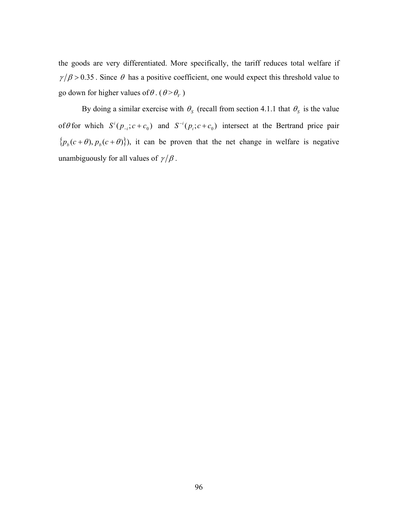the goods are very differentiated. More specifically, the tariff reduces total welfare if  $\gamma/\beta$  > 0.35. Since  $\theta$  has a positive coefficient, one would expect this threshold value to go down for higher values of  $\theta$ . ( $\theta > \theta_V$ )

By doing a similar exercise with  $\theta_s$  (recall from section 4.1.1 that  $\theta_s$  is the value of  $\theta$  for which  $S^{i}(p_{i}; c+c_{0})$  and  $S^{-i}(p_{i}; c+c_{0})$  intersect at the Bertrand price pair  ${p_b(c+\theta), p_b(c+\theta)}$ , it can be proven that the net change in welfare is negative unambiguously for all values of  $\gamma/\beta$ .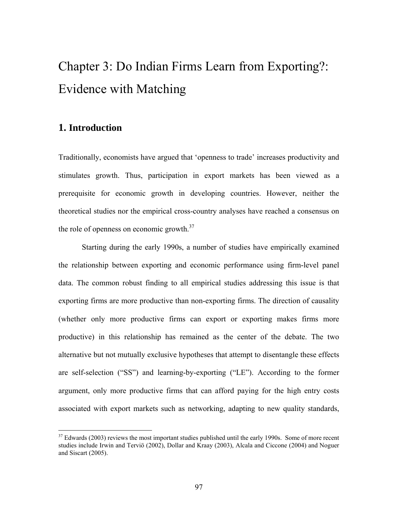# Chapter 3: Do Indian Firms Learn from Exporting?: Evidence with Matching

## **1. Introduction**

1

Traditionally, economists have argued that 'openness to trade' increases productivity and stimulates growth. Thus, participation in export markets has been viewed as a prerequisite for economic growth in developing countries. However, neither the theoretical studies nor the empirical cross-country analyses have reached a consensus on the role of openness on economic growth.<sup>37</sup>

Starting during the early 1990s, a number of studies have empirically examined the relationship between exporting and economic performance using firm-level panel data. The common robust finding to all empirical studies addressing this issue is that exporting firms are more productive than non-exporting firms. The direction of causality (whether only more productive firms can export or exporting makes firms more productive) in this relationship has remained as the center of the debate. The two alternative but not mutually exclusive hypotheses that attempt to disentangle these effects are self-selection ("SS") and learning-by-exporting ("LE"). According to the former argument, only more productive firms that can afford paying for the high entry costs associated with export markets such as networking, adapting to new quality standards,

 $37$  Edwards (2003) reviews the most important studies published until the early 1990s. Some of more recent studies include Irwin and Terviö (2002), Dollar and Kraay (2003), Alcala and Ciccone (2004) and Noguer and Siscart (2005).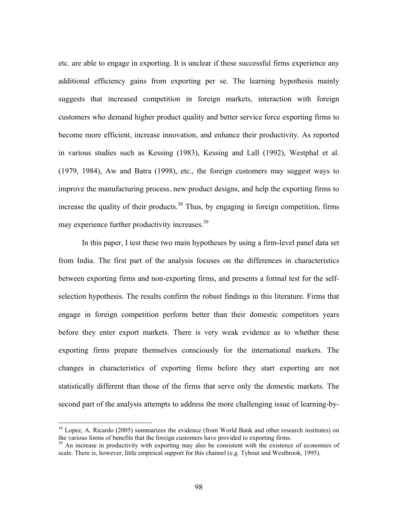etc. are able to engage in exporting. It is unclear if these successful firms experience any additional efficiency gains from exporting per se. The learning hypothesis mainly suggests that increased competition in foreign markets, interaction with foreign customers who demand higher product quality and better service force exporting firms to become more efficient, increase innovation, and enhance their productivity. As reported in various studies such as Kessing (1983), Kessing and Lall (1992), Westphal et al. (1979, 1984), Aw and Batra (1998), etc., the foreign customers may suggest ways to improve the manufacturing process, new product designs, and help the exporting firms to increase the quality of their products.<sup>38</sup> Thus, by engaging in foreign competition, firms may experience further productivity increases.<sup>39</sup>

In this paper, I test these two main hypotheses by using a firm-level panel data set from India. The first part of the analysis focuses on the differences in characteristics between exporting firms and non-exporting firms, and presents a formal test for the selfselection hypothesis. The results confirm the robust findings in this literature. Firms that engage in foreign competition perform better than their domestic competitors years before they enter export markets. There is very weak evidence as to whether these exporting firms prepare themselves consciously for the international markets. The changes in characteristics of exporting firms before they start exporting are not statistically different than those of the firms that serve only the domestic markets. The second part of the analysis attempts to address the more challenging issue of learning-by-

<u>.</u>

<sup>&</sup>lt;sup>38</sup> Lopez, A. Ricardo (2005) summarizes the evidence (from World Bank and other research institutes) on the various forms of benefits that the foreign customers have provided to exporting firms.

 $39$  An increase in productivity with exporting may also be consistent with the existence of economies of scale. There is, however, little empirical support for this channel (e.g. Tybout and Westbrook, 1995).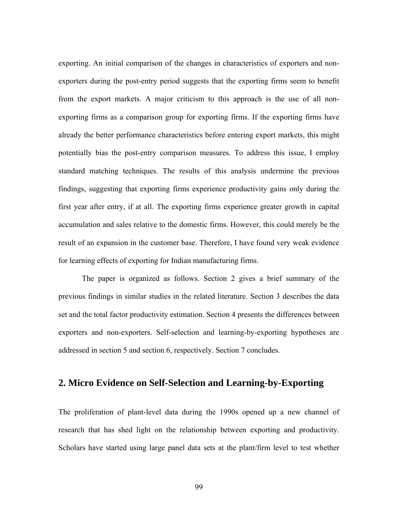exporting. An initial comparison of the changes in characteristics of exporters and nonexporters during the post-entry period suggests that the exporting firms seem to benefit from the export markets. A major criticism to this approach is the use of all nonexporting firms as a comparison group for exporting firms. If the exporting firms have already the better performance characteristics before entering export markets, this might potentially bias the post-entry comparison measures. To address this issue, I employ standard matching techniques. The results of this analysis undermine the previous findings, suggesting that exporting firms experience productivity gains only during the first year after entry, if at all. The exporting firms experience greater growth in capital accumulation and sales relative to the domestic firms. However, this could merely be the result of an expansion in the customer base. Therefore, I have found very weak evidence for learning effects of exporting for Indian manufacturing firms.

The paper is organized as follows. Section 2 gives a brief summary of the previous findings in similar studies in the related literature. Section 3 describes the data set and the total factor productivity estimation. Section 4 presents the differences between exporters and non-exporters. Self-selection and learning-by-exporting hypotheses are addressed in section 5 and section 6, respectively. Section 7 concludes.

## **2. Micro Evidence on Self-Selection and Learning-by-Exporting**

The proliferation of plant-level data during the 1990s opened up a new channel of research that has shed light on the relationship between exporting and productivity. Scholars have started using large panel data sets at the plant/firm level to test whether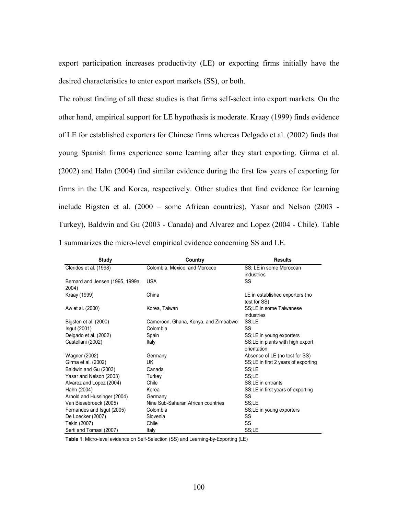export participation increases productivity (LE) or exporting firms initially have the desired characteristics to enter export markets (SS), or both.

The robust finding of all these studies is that firms self-select into export markets. On the other hand, empirical support for LE hypothesis is moderate. Kraay (1999) finds evidence of LE for established exporters for Chinese firms whereas Delgado et al. (2002) finds that young Spanish firms experience some learning after they start exporting. Girma et al. (2002) and Hahn (2004) find similar evidence during the first few years of exporting for firms in the UK and Korea, respectively. Other studies that find evidence for learning include Bigsten et al. (2000 – some African countries), Yasar and Nelson (2003 - Turkey), Baldwin and Gu (2003 - Canada) and Alvarez and Lopez (2004 - Chile). Table 1 summarizes the micro-level empirical evidence concerning SS and LE.

| Study                            | Country                              | <b>Results</b>                      |
|----------------------------------|--------------------------------------|-------------------------------------|
| Clerides et al. (1998)           | Colombia, Mexico, and Morocco        | SS; LE in some Moroccan             |
|                                  |                                      | industries                          |
| Bernard and Jensen (1995, 1999a, | <b>USA</b>                           | SS                                  |
| 2004)                            |                                      |                                     |
| Kraay (1999)                     | China                                | LE in established exporters (no     |
|                                  |                                      | test for SS)                        |
| Aw et al. (2000)                 | Korea, Taiwan                        | SS:LE in some Taiwanese             |
|                                  |                                      | industries                          |
| Bigsten et al. (2000)            | Cameroon, Ghana, Kenya, and Zimbabwe | SS;LE                               |
| Isgut (2001)                     | Colombia                             | SS                                  |
| Delgado et al. (2002)            | Spain                                | SS;LE in young exporters            |
| Castellani (2002)                | Italy                                | SS;LE in plants with high export    |
|                                  |                                      | orientation                         |
| Wagner (2002)                    | Germany                              | Absence of LE (no test for SS)      |
| Girma et al. (2002)              | UK                                   | SS;LE in first 2 years of exporting |
| Baldwin and Gu (2003)            | Canada                               | SS:LE                               |
| Yasar and Nelson (2003)          | Turkey                               | SS;LE                               |
| Alvarez and Lopez (2004)         | Chile                                | SS:LE in entrants                   |
| Hahn (2004)                      | Korea                                | SS;LE in first years of exporting   |
| Arnold and Hussinger (2004)      | Germany                              | SS                                  |
| Van Biesebroeck (2005)           | Nine Sub-Saharan African countries   | SS;LE                               |
| Fernandes and Isgut (2005)       | Colombia                             | SS;LE in young exporters            |
| De Loecker (2007)                | Slovenia                             | SS                                  |
| Tekin (2007)                     | Chile                                | SS                                  |
| Serti and Tomasi (2007)          | Italy                                | SS;LE                               |

**Table 1**: Micro-level evidence on Self-Selection (SS) and Learning-by-Exporting (LE)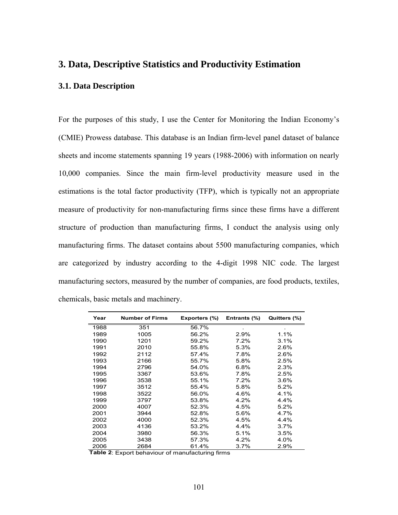## **3. Data, Descriptive Statistics and Productivity Estimation**

## **3.1. Data Description**

For the purposes of this study, I use the Center for Monitoring the Indian Economy's (CMIE) Prowess database. This database is an Indian firm-level panel dataset of balance sheets and income statements spanning 19 years (1988-2006) with information on nearly 10,000 companies. Since the main firm-level productivity measure used in the estimations is the total factor productivity (TFP), which is typically not an appropriate measure of productivity for non-manufacturing firms since these firms have a different structure of production than manufacturing firms, I conduct the analysis using only manufacturing firms. The dataset contains about 5500 manufacturing companies, which are categorized by industry according to the 4-digit 1998 NIC code. The largest manufacturing sectors, measured by the number of companies, are food products, textiles, chemicals, basic metals and machinery.

| Year | <b>Number of Firms</b> | Exporters (%) | Entrants (%) | Quitters (%) |
|------|------------------------|---------------|--------------|--------------|
| 1988 | 351                    | 56.7%         |              |              |
| 1989 | 1005                   | 56.2%         | 2.9%         | 1.1%         |
| 1990 | 1201                   | 59.2%         | 7.2%         | 3.1%         |
| 1991 | 2010                   | 55.8%         | 5.3%         | 2.6%         |
| 1992 | 2112                   | 57.4%         | 7.8%         | 2.6%         |
| 1993 | 2166                   | 55.7%         | 5.8%         | 2.5%         |
| 1994 | 2796                   | 54.0%         | 6.8%         | 2.3%         |
| 1995 | 3367                   | 53.6%         | 7.8%         | 2.5%         |
| 1996 | 3538                   | 55.1%         | 7.2%         | 3.6%         |
| 1997 | 3512                   | 55.4%         | 5.8%         | 5.2%         |
| 1998 | 3522                   | 56.0%         | 4.6%         | 4.1%         |
| 1999 | 3797                   | 53.8%         | 4.2%         | 4.4%         |
| 2000 | 4007                   | 52.3%         | 4.5%         | 5.2%         |
| 2001 | 3944                   | 52.8%         | 5.6%         | 4.7%         |
| 2002 | 4000                   | 52.3%         | 4.5%         | 4.4%         |
| 2003 | 4136                   | 53.2%         | 4.4%         | 3.7%         |
| 2004 | 3980                   | 56.3%         | 5.1%         | 3.5%         |
| 2005 | 3438                   | 57.3%         | 4.2%         | 4.0%         |
| 2006 | 2684                   | 61.4%         | $3.7\%$      | 2.9%         |

**Table 2**: Export behaviour of manufacturing firms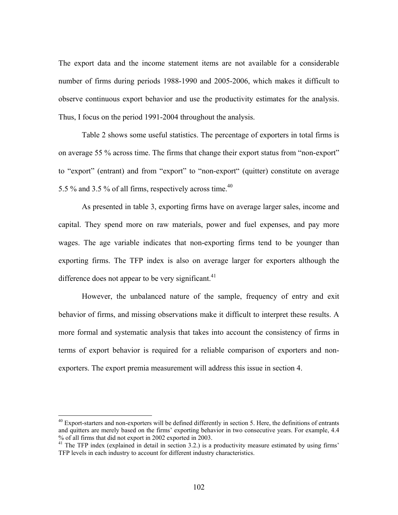The export data and the income statement items are not available for a considerable number of firms during periods 1988-1990 and 2005-2006, which makes it difficult to observe continuous export behavior and use the productivity estimates for the analysis. Thus, I focus on the period 1991-2004 throughout the analysis.

Table 2 shows some useful statistics. The percentage of exporters in total firms is on average 55 % across time. The firms that change their export status from "non-export" to "export" (entrant) and from "export" to "non-export" (quitter) constitute on average 5.5 % and 3.5 % of all firms, respectively across time.40

As presented in table 3, exporting firms have on average larger sales, income and capital. They spend more on raw materials, power and fuel expenses, and pay more wages. The age variable indicates that non-exporting firms tend to be younger than exporting firms. The TFP index is also on average larger for exporters although the difference does not appear to be very significant. $41$ 

However, the unbalanced nature of the sample, frequency of entry and exit behavior of firms, and missing observations make it difficult to interpret these results. A more formal and systematic analysis that takes into account the consistency of firms in terms of export behavior is required for a reliable comparison of exporters and nonexporters. The export premia measurement will address this issue in section 4.

 $\overline{a}$ 

<sup>&</sup>lt;sup>40</sup> Export-starters and non-exporters will be defined differently in section 5. Here, the definitions of entrants and quitters are merely based on the firms' exporting behavior in two consecutive years. For example, 4.4 % of all firms that did not export in 2002 exported in 2003.

<sup>&</sup>lt;sup>41</sup> The TFP index (explained in detail in section 3.2.) is a productivity measure estimated by using firms' TFP levels in each industry to account for different industry characteristics.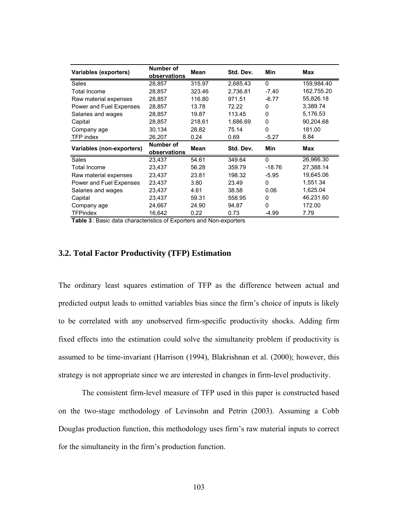| Variables (exporters)     | Number of<br>observations | Mean   | Std. Dev. | Min      | Max        |
|---------------------------|---------------------------|--------|-----------|----------|------------|
| Sales                     | 28,857                    | 315.97 | 2,685.43  | $\Omega$ | 159,984.40 |
| <b>Total Income</b>       | 28,857                    | 323.46 | 2,736.81  | $-7.40$  | 162,755.20 |
| Raw material expenses     | 28.857                    | 116.80 | 971.51    | $-6.77$  | 55,826.18  |
| Power and Fuel Expenses   | 28,857                    | 13.78  | 72.22     | 0        | 3,389.74   |
| Salaries and wages        | 28,857                    | 19.87  | 113.45    | 0        | 5,176.53   |
| Capital                   | 28.857                    | 218.61 | 1.686.69  | 0        | 90,204.68  |
| Company age               | 30,134                    | 28.82  | 75.14     | 0        | 181.00     |
| TFP index                 | 26,207                    | 0.24   | 0.69      | $-5.27$  | 8.84       |
| Variables (non-exporters) | Number of<br>observations | Mean   | Std. Dev. | Min      | Max        |
| <b>Sales</b>              | 23,437                    | 54.61  | 349.64    | $\Omega$ | 26,966.30  |
| Total Income              | 23,437                    | 56.28  | 359.79    | $-18.76$ | 27,388.14  |
| Raw material expenses     | 23.437                    | 23.81  | 198.32    | $-5.95$  | 19,645.06  |
| Power and Fuel Expenses   | 23.437                    | 3.80   | 23.49     | 0        | 1,551.34   |
| Salaries and wages        | 23,437                    | 4.61   | 38.58     | 0.06     | 1,625.04   |
| Capital                   | 23,437                    | 59.31  | 558.95    | $\Omega$ | 46,231.60  |
| Company age               | 24,667                    | 24.90  | 94.87     | 0        | 172.00     |
| <b>TFPindex</b>           | 16,642                    | 0.22   | 0.73      | -4.99    | 7.79       |

**Table 3**: Basic data characteristics of Exporters and Non-exporters

### **3.2. Total Factor Productivity (TFP) Estimation**

The ordinary least squares estimation of TFP as the difference between actual and predicted output leads to omitted variables bias since the firm's choice of inputs is likely to be correlated with any unobserved firm-specific productivity shocks. Adding firm fixed effects into the estimation could solve the simultaneity problem if productivity is assumed to be time-invariant (Harrison (1994), Blakrishnan et al. (2000); however, this strategy is not appropriate since we are interested in changes in firm-level productivity.

The consistent firm-level measure of TFP used in this paper is constructed based on the two-stage methodology of Levinsohn and Petrin (2003). Assuming a Cobb Douglas production function, this methodology uses firm's raw material inputs to correct for the simultaneity in the firm's production function.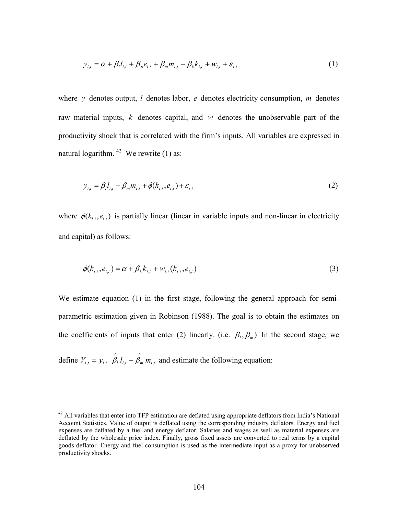$$
y_{i,t} = \alpha + \beta_l l_{i,t} + \beta_p e_{i,t} + \beta_m m_{i,t} + \beta_k k_{i,t} + w_{i,t} + \varepsilon_{i,t}
$$
 (1)

where *y* denotes output, *l* denotes labor, *e* denotes electricity consumption, *m* denotes raw material inputs, *k* denotes capital, and *w* denotes the unobservable part of the productivity shock that is correlated with the firm's inputs. All variables are expressed in natural logarithm.  $42$  We rewrite (1) as:

$$
y_{i,t} = \beta_i l_{i,t} + \beta_m m_{i,t} + \phi(k_{i,t}, e_{i,t}) + \varepsilon_{i,t}
$$
 (2)

where  $\phi(k_{i,t}, e_{i,t})$  is partially linear (linear in variable inputs and non-linear in electricity and capital) as follows:

$$
\phi(k_{i,t}, e_{i,t}) = \alpha + \beta_k k_{i,t} + w_{i,t}(k_{i,t}, e_{i,t})
$$
\n(3)

We estimate equation (1) in the first stage, following the general approach for semiparametric estimation given in Robinson (1988). The goal is to obtain the estimates on the coefficients of inputs that enter (2) linearly. (i.e.  $\beta_l$ ,  $\beta_m$ ) In the second stage, we

define  $V_{i,t} = y_{i,t-} \hat{\beta}_t l_{i,t} - \hat{\beta}_m m_{i,t}$  and estimate the following equation:

 $\overline{a}$ 

 $42$  All variables that enter into TFP estimation are deflated using appropriate deflators from India's National Account Statistics. Value of output is deflated using the corresponding industry deflators. Energy and fuel expenses are deflated by a fuel and energy deflator. Salaries and wages as well as material expenses are deflated by the wholesale price index. Finally, gross fixed assets are converted to real terms by a capital goods deflator. Energy and fuel consumption is used as the intermediate input as a proxy for unobserved productivity shocks.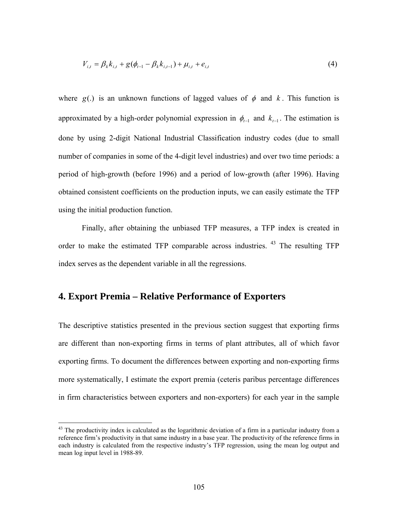$$
V_{i,t} = \beta_k k_{i,t} + g(\phi_{t-1} - \beta_k k_{i,t-1}) + \mu_{i,t} + e_{i,t}
$$
\n(4)

where  $g(.)$  is an unknown functions of lagged values of  $\phi$  and  $k$ . This function is approximated by a high-order polynomial expression in  $\phi_{t-1}$  and  $k_{t-1}$ . The estimation is done by using 2-digit National Industrial Classification industry codes (due to small number of companies in some of the 4-digit level industries) and over two time periods: a period of high-growth (before 1996) and a period of low-growth (after 1996). Having obtained consistent coefficients on the production inputs, we can easily estimate the TFP using the initial production function.

Finally, after obtaining the unbiased TFP measures, a TFP index is created in order to make the estimated TFP comparable across industries. 43 The resulting TFP index serves as the dependent variable in all the regressions.

## **4. Export Premia – Relative Performance of Exporters**

<u>.</u>

The descriptive statistics presented in the previous section suggest that exporting firms are different than non-exporting firms in terms of plant attributes, all of which favor exporting firms. To document the differences between exporting and non-exporting firms more systematically, I estimate the export premia (ceteris paribus percentage differences in firm characteristics between exporters and non-exporters) for each year in the sample

 $43$  The productivity index is calculated as the logarithmic deviation of a firm in a particular industry from a reference firm's productivity in that same industry in a base year. The productivity of the reference firms in each industry is calculated from the respective industry's TFP regression, using the mean log output and mean log input level in 1988-89.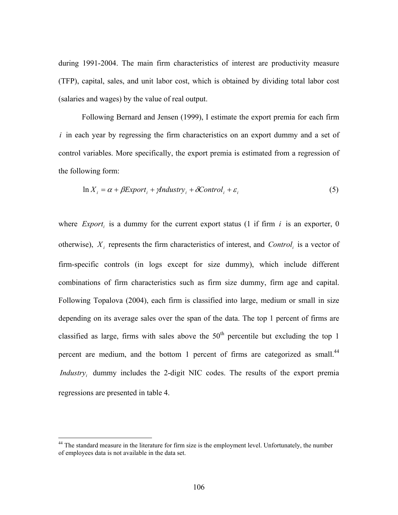during 1991-2004. The main firm characteristics of interest are productivity measure (TFP), capital, sales, and unit labor cost, which is obtained by dividing total labor cost (salaries and wages) by the value of real output.

Following Bernard and Jensen (1999), I estimate the export premia for each firm *i* in each year by regressing the firm characteristics on an export dummy and a set of control variables. More specifically, the export premia is estimated from a regression of the following form:

$$
\ln X_i = \alpha + \beta Export_i + \gamma Industry_i + \delta Control_i + \varepsilon_i \tag{5}
$$

where  $Expert_i$  is a dummy for the current export status (1 if firm  $i$  is an exporter, 0 otherwise),  $X_i$  represents the firm characteristics of interest, and *Control<sub>i</sub>* is a vector of firm-specific controls (in logs except for size dummy), which include different combinations of firm characteristics such as firm size dummy, firm age and capital. Following Topalova (2004), each firm is classified into large, medium or small in size depending on its average sales over the span of the data. The top 1 percent of firms are classified as large, firms with sales above the  $50<sup>th</sup>$  percentile but excluding the top 1 percent are medium, and the bottom 1 percent of firms are categorized as small.<sup>44</sup> *Industry*, dummy includes the 2-digit NIC codes. The results of the export premia regressions are presented in table 4.

1

<sup>&</sup>lt;sup>44</sup> The standard measure in the literature for firm size is the employment level. Unfortunately, the number of employees data is not available in the data set.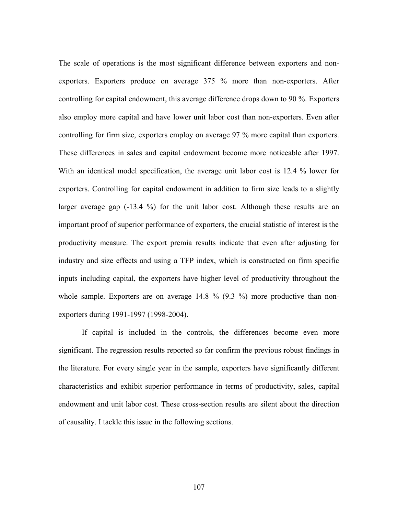The scale of operations is the most significant difference between exporters and nonexporters. Exporters produce on average 375 % more than non-exporters. After controlling for capital endowment, this average difference drops down to 90 %. Exporters also employ more capital and have lower unit labor cost than non-exporters. Even after controlling for firm size, exporters employ on average 97 % more capital than exporters. These differences in sales and capital endowment become more noticeable after 1997. With an identical model specification, the average unit labor cost is 12.4 % lower for exporters. Controlling for capital endowment in addition to firm size leads to a slightly larger average gap (-13.4 %) for the unit labor cost. Although these results are an important proof of superior performance of exporters, the crucial statistic of interest is the productivity measure. The export premia results indicate that even after adjusting for industry and size effects and using a TFP index, which is constructed on firm specific inputs including capital, the exporters have higher level of productivity throughout the whole sample. Exporters are on average 14.8 % (9.3 %) more productive than nonexporters during 1991-1997 (1998-2004).

If capital is included in the controls, the differences become even more significant. The regression results reported so far confirm the previous robust findings in the literature. For every single year in the sample, exporters have significantly different characteristics and exhibit superior performance in terms of productivity, sales, capital endowment and unit labor cost. These cross-section results are silent about the direction of causality. I tackle this issue in the following sections.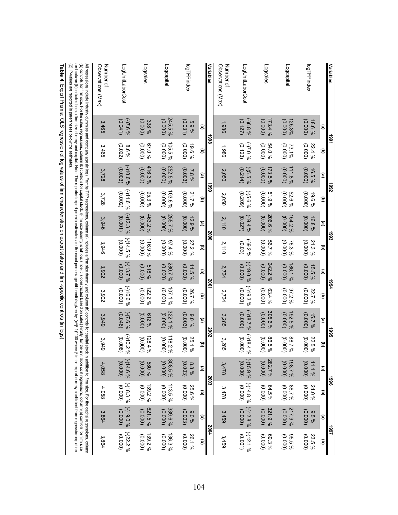| Variables                                                                                                                                                                                                                                                                                                                                                                                                                                                                                                                                                                                                                                                                       | 581                    |                                           | 7661                  |                                            | និ                       |                                            | +664                                       |                                           | <b>3661</b>           |                                            | <b>SSG</b>              |                                               | 1661                     |                                                |
|---------------------------------------------------------------------------------------------------------------------------------------------------------------------------------------------------------------------------------------------------------------------------------------------------------------------------------------------------------------------------------------------------------------------------------------------------------------------------------------------------------------------------------------------------------------------------------------------------------------------------------------------------------------------------------|------------------------|-------------------------------------------|-----------------------|--------------------------------------------|--------------------------|--------------------------------------------|--------------------------------------------|-------------------------------------------|-----------------------|--------------------------------------------|-------------------------|-----------------------------------------------|--------------------------|------------------------------------------------|
|                                                                                                                                                                                                                                                                                                                                                                                                                                                                                                                                                                                                                                                                                 | ©                      | $\widehat{\mathbf{c}}$                    | ©                     | $\overline{\mathbf{e}}$                    | ©                        | $\widehat{\mathbf{g}}$                     | ©                                          | $\widehat{\mathbf{c}}$                    | ම                     | $\widehat{\mathbf{c}}$                     | ©                       | ਫ਼                                            | ©                        | ਭ                                              |
| logTFPindex                                                                                                                                                                                                                                                                                                                                                                                                                                                                                                                                                                                                                                                                     | (0000)<br>18.6%        | (0000)<br>22.4%                           | (0.000)<br>16.5%      | (0000)<br>%961                             | (0.000)<br>16.8%         | (0.000)<br>21.3%                           | (0.000, 0)<br>15.5%                        | (0000)<br>22.7%                           | (0.000)<br>$15.7\%$   | (0000)<br>22.5%                            | $11.1\%$<br>(0.000)     | (0.000)<br>24.0%                              | (0.000, 0)<br>9,5%       | 23.5%<br>(0.000, 0)                            |
| Logcapital                                                                                                                                                                                                                                                                                                                                                                                                                                                                                                                                                                                                                                                                      | 125.3%<br>(0000)       | (0000)<br>73.1%                           | 111.8%<br>(0000)      | 52.6%<br>(0000)                            | 154.2%<br>(0.000)        | (0.000, 0)<br>76.3%                        | 186.1%<br>(0.000)                          | (0000)<br>97.2%                           | (0.000)<br>192.5%     | (0000)<br>88.7%                            | 198.7%<br>(0.000)       | 600.000                                       | 217.9%<br>(0.000)        | 95.5%<br>(0.000)                               |
| Logsales                                                                                                                                                                                                                                                                                                                                                                                                                                                                                                                                                                                                                                                                        | 173.4%<br>(0000)       | (0000)<br>54.0%                           | 173.5%<br>(0.000)     | (0000)<br>51.9%                            | 206.6%<br>(0.000)        | (0.000)<br>96.7%                           | 242.2%<br>(0.000)                          | (0.000)<br>63.4%                          | 305.6%<br>(0.000)     | (0000)<br>86.5%                            | 282.7 %<br>0.000)       | 64.5%<br>(0000)                               | 321.9%<br>(0.000)        | 69.3%<br>(0.000, 0)                            |
| LogUnitLaborCost                                                                                                                                                                                                                                                                                                                                                                                                                                                                                                                                                                                                                                                                | $9/8.89(-)$<br>(0.127) | % 0'Z(-)<br>(0.123)                       | $-5.5\%$<br>(0.214)   | $9/8.6\%$<br>(0.209)                       | 9/9.4%<br>(0.027)        | $-92.2%$<br>(0.03)                         | 9/0.0190<br>(0.000)                        | $(-)19.3\%$<br>(0000)                     | $-118.7\%$<br>(0.000) | $(-)18.4%$<br>(0000)                       | $(-)15.9%$<br>(0000)    | $( - ) 14.8 %$<br>(0.000, 0)                  | $(-)12.8%$<br>(0.000)    | $(-)12.1%$<br>(0.001)                          |
| Observations (Max)<br>Number of                                                                                                                                                                                                                                                                                                                                                                                                                                                                                                                                                                                                                                                 | 1,986                  | 1,986                                     | 2,050                 | 2,050                                      | 2,110                    | 2,110                                      | 2,724                                      | 2,724                                     | 3,285                 | 3,285                                      | 3,478                   | 3,478                                         | 3,459                    | 3,459                                          |
| Variables                                                                                                                                                                                                                                                                                                                                                                                                                                                                                                                                                                                                                                                                       | 8661                   |                                           |                       | န္ထ                                        | 2000                     |                                            | 2001                                       |                                           | 2003                  |                                            | 2003                    |                                               | 2004                     |                                                |
| logTFPindex                                                                                                                                                                                                                                                                                                                                                                                                                                                                                                                                                                                                                                                                     | (0.031)<br>5.9%<br>o   | (0000)<br>19.6%<br>$\widehat{\mathbf{c}}$ | (0.003)<br>7.8%<br>o  | (0000)<br>21.7%<br>$\overline{\mathbf{e}}$ | (0.000)<br>$12.9\%$<br>© | (0.000)<br>27.2%<br>$\widehat{\mathbf{g}}$ | (0.000)<br>11.5%<br>$\widehat{\mathbf{e}}$ | (0000)<br>26.7%<br>$\widehat{\mathbf{c}}$ | (0.003)<br>960%<br>©  | (0000)<br>25.1%<br>$\overline{\mathbf{e}}$ | (0.003)<br>$8.8\%$<br>o | 25.6%<br>(0.000, 0)<br>$\widehat{\mathbf{c}}$ | (0.003)<br>960'6<br>©    | 26.1%<br>(0.000, 0)<br>$\overline{\mathbf{e}}$ |
| Logcapital                                                                                                                                                                                                                                                                                                                                                                                                                                                                                                                                                                                                                                                                      | 245.5%<br>(0.000)      | 105.5%<br>(0000)                          | 252.5%<br>(0000)      | 103.6%<br>(0000)                           | 255.7 %<br>(0.000)       | (0.000)<br>9/24%                           | 280.7%<br>(0.000)                          | 107.1%<br>(0000)                          | 322.1%<br>(0.000)     | 118.2%<br>(0000)                           | 308.5 %<br>(0000)       | 113.5 %<br>(0.000, 0)                         | 339.6%<br>(0.000)        | 136.3%<br>(0000)                               |
| Logsales                                                                                                                                                                                                                                                                                                                                                                                                                                                                                                                                                                                                                                                                        | (0.000)<br>338%        | 67.0%<br>(0000)                           | 416.3%<br>(0.000)     | 95.3%<br>(0000)                            | 463.2%<br>(0.000)        | 116.9 %<br>(0.000, 0)                      | (0.000)<br>518%                            | 122.2%<br>(0000)                          | (0.000)<br>912%       | 128.4%<br>(0.000)                          | $60000$<br>% 085        | 139.2%<br>(0.000, 0)                          | 621.5%<br>(0.000)        | 139.2%<br>(0000)                               |
| LogUnitLaborCost                                                                                                                                                                                                                                                                                                                                                                                                                                                                                                                                                                                                                                                                | $% 9'2(-)$<br>(0.041)  | (0.022)<br>%98                            | $96901(-)$<br>(0.003) | $-111.6%$<br>(0.002)                       | $(-)12.3%$<br>(0.001)    | $(-)14.5%$<br>(0.000)                      | $(-)13.7%$<br>(0.000)                      | $9691(-)$<br>(0000)                       | $9/2.6\%$<br>(0.046)  | $(-)10.2%$<br>(0.008)                      | $-114.6\%$<br>(0000)    | $(-)18.3\%$<br>(0.000, 0)                     | $96061(-)$<br>(0.000, 0) | $(-)22.2%$<br>(0.000)                          |
| Number of<br>Observations<br>(WeX)                                                                                                                                                                                                                                                                                                                                                                                                                                                                                                                                                                                                                                              | 3,465                  | 3,465                                     | 3,728                 | 3,728                                      | 3,946                    | 3,946                                      | 3,902                                      | 3,902                                     | 3,949                 | 3,949                                      | 4,058                   | 4,058                                         | 3,864                    | 3,864                                          |
| and column (d) inculted both a film size dummy and rappins a life vacion behimates are the exact percentials given by ferentials given by (efterentials given by (efter and reported exact perical synch by (efter and and col<br>All regressions include industry dummies and company age (in log), For the TFP regressions, column (a) includes a firm size dummy and column (to) controls for capital strock in addition to firm size For the capital regress<br>(b) controls for firm size. For the sales regissions, colum (b) controls for the signational singler of the sease on sales) Finally, for the unit labor cost regressions, column (a) controls for film size |                        |                                           |                       |                                            |                          |                                            |                                            |                                           |                       |                                            |                         |                                               |                          |                                                |

Table 4: Export Premia: OLS regression of log values of firm characteristics on export status and firm-specific controls (in logs)

(2). P-values are reported in parentheses below the estimates.

(2). P-values are reported in parentheses below the estimates.

: Export Premia: OLS regression of log values of firm characteristics on export status and firm-specific controls (in logs)

104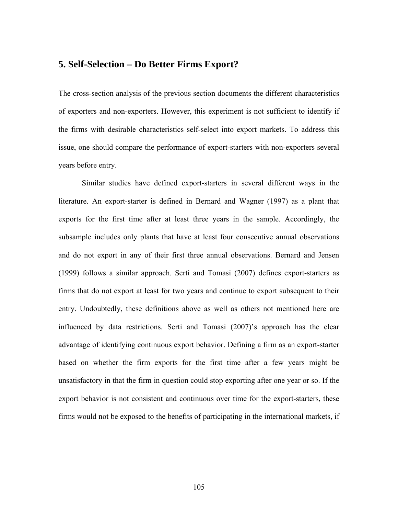## **5. Self-Selection – Do Better Firms Export?**

The cross-section analysis of the previous section documents the different characteristics of exporters and non-exporters. However, this experiment is not sufficient to identify if the firms with desirable characteristics self-select into export markets. To address this issue, one should compare the performance of export-starters with non-exporters several years before entry.

Similar studies have defined export-starters in several different ways in the literature. An export-starter is defined in Bernard and Wagner (1997) as a plant that exports for the first time after at least three years in the sample. Accordingly, the subsample includes only plants that have at least four consecutive annual observations and do not export in any of their first three annual observations. Bernard and Jensen (1999) follows a similar approach. Serti and Tomasi (2007) defines export-starters as firms that do not export at least for two years and continue to export subsequent to their entry. Undoubtedly, these definitions above as well as others not mentioned here are influenced by data restrictions. Serti and Tomasi (2007)'s approach has the clear advantage of identifying continuous export behavior. Defining a firm as an export-starter based on whether the firm exports for the first time after a few years might be unsatisfactory in that the firm in question could stop exporting after one year or so. If the export behavior is not consistent and continuous over time for the export-starters, these firms would not be exposed to the benefits of participating in the international markets, if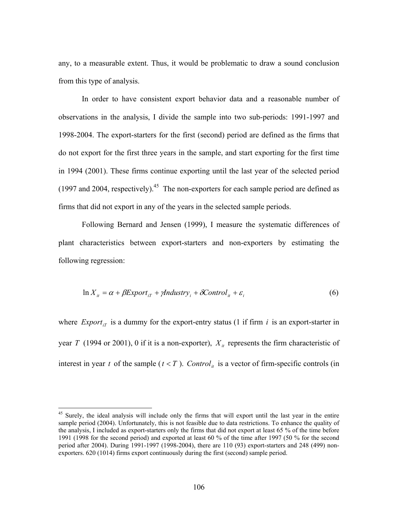any, to a measurable extent. Thus, it would be problematic to draw a sound conclusion from this type of analysis.

In order to have consistent export behavior data and a reasonable number of observations in the analysis, I divide the sample into two sub-periods: 1991-1997 and 1998-2004. The export-starters for the first (second) period are defined as the firms that do not export for the first three years in the sample, and start exporting for the first time in 1994 (2001). These firms continue exporting until the last year of the selected period (1997 and 2004, respectively).<sup>45</sup> The non-exporters for each sample period are defined as firms that did not export in any of the years in the selected sample periods.

Following Bernard and Jensen (1999), I measure the systematic differences of plant characteristics between export-starters and non-exporters by estimating the following regression:

$$
\ln X_{it} = \alpha + \beta Export_{iT} + \gamma Industry_i + \delta Control_{it} + \varepsilon_i
$$
\n(6)

where  $Expert_{iT}$  is a dummy for the export-entry status (1 if firm *i* is an export-starter in year *T* (1994 or 2001), 0 if it is a non-exporter),  $X_{it}$  represents the firm characteristic of interest in year *t* of the sample  $(t < T)$ . *Control<sub>it</sub>* is a vector of firm-specific controls (in

1

<sup>&</sup>lt;sup>45</sup> Surely, the ideal analysis will include only the firms that will export until the last year in the entire sample period (2004). Unfortunately, this is not feasible due to data restrictions. To enhance the quality of the analysis, I included as export-starters only the firms that did not export at least 65 % of the time before 1991 (1998 for the second period) and exported at least 60 % of the time after 1997 (50 % for the second period after 2004). During 1991-1997 (1998-2004), there are 110 (93) export-starters and 248 (499) nonexporters. 620 (1014) firms export continuously during the first (second) sample period.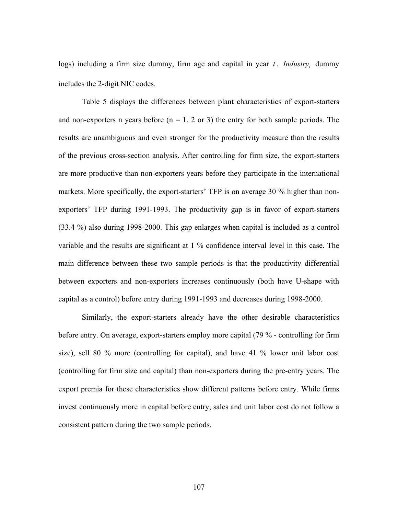logs) including a firm size dummy, firm age and capital in year  $t$ . *Industry*, dummy includes the 2-digit NIC codes.

Table 5 displays the differences between plant characteristics of export-starters and non-exporters n years before  $(n = 1, 2 \text{ or } 3)$  the entry for both sample periods. The results are unambiguous and even stronger for the productivity measure than the results of the previous cross-section analysis. After controlling for firm size, the export-starters are more productive than non-exporters years before they participate in the international markets. More specifically, the export-starters' TFP is on average 30 % higher than nonexporters' TFP during 1991-1993. The productivity gap is in favor of export-starters (33.4 %) also during 1998-2000. This gap enlarges when capital is included as a control variable and the results are significant at 1 % confidence interval level in this case. The main difference between these two sample periods is that the productivity differential between exporters and non-exporters increases continuously (both have U-shape with capital as a control) before entry during 1991-1993 and decreases during 1998-2000.

Similarly, the export-starters already have the other desirable characteristics before entry. On average, export-starters employ more capital (79 % - controlling for firm size), sell 80 % more (controlling for capital), and have 41 % lower unit labor cost (controlling for firm size and capital) than non-exporters during the pre-entry years. The export premia for these characteristics show different patterns before entry. While firms invest continuously more in capital before entry, sales and unit labor cost do not follow a consistent pattern during the two sample periods.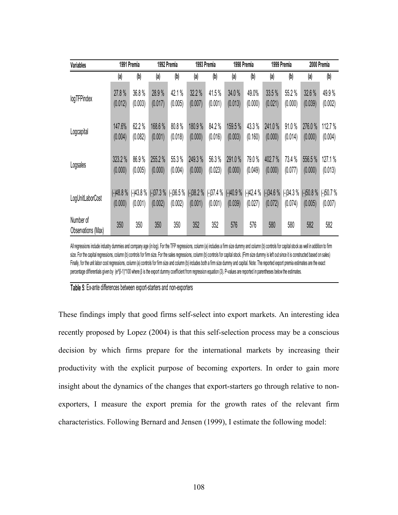| Variables                       |            | 1991 Premia |            | 1992 Premia |            | 1993 Premia |            | 1998 Premia |            | 1999 Premia |            | 2000 Premia |
|---------------------------------|------------|-------------|------------|-------------|------------|-------------|------------|-------------|------------|-------------|------------|-------------|
|                                 | (a)        | (b)         | (a)        | (b)         | (a)        | (b)         | (a)        | (b)         | (a)        | (b)         | (a)        | (b)         |
| logTFPindex                     | 27.8%      | 36.8%       | 28.9%      | 42.1%       | 32.2%      | 41.5%       | 34.0%      | 49.0%       | 33.5%      | 55.2%       | 32.6 %     | 49.9%       |
|                                 | (0.012)    | (0.003)     | (0.017)    | (0.005)     | (0.007)    | (0.001)     | (0.013)    | (0.000)     | (0.021)    | (0.000)     | (0.039)    | (0.002)     |
| Logcapital                      | 147.6%     | 62.2%       | 168.6%     | 80.8%       | 180.9%     | 84.2%       | 159.5 %    | 43.3%       | 241.0%     | 91.0%       | 276.0%     | 112.7 %     |
|                                 | (0.004)    | (0.082)     | (0.001)    | (0.018)     | (0.000)    | (0.016)     | (0.003)    | (0.160)     | (0.000)    | (0.014)     | (0.000)    | (0.004)     |
| Logsales                        | 323.2 %    | 86.9%       | 255.2%     | 55.3%       | 249.3 %    | 56.3%       | 291.0%     | 79.0%       | 402.7%     | 73.4 %      | 556.5%     | 127.1 %     |
|                                 | (0.000)    | (0.005)     | (0.000)    | (0.004)     | (0.000)    | (0.023)     | (0.000)    | (0.049)     | (0.000)    | (0.077)     | (0.000)    | (0.013)     |
| LogUnitLaborCost                | $(-)48.8%$ | $(-)43.8%$  | $(-)37.3%$ | $(-)36.5%$  | $(-)38.2%$ | $(-)37.4%$  | $(-)40.9%$ | $(-)42.4%$  | $(-)34.6%$ | $(-)34.3%$  | $(-)50.8%$ | $(-)50.7%$  |
|                                 | (0.000)    | (0.001)     | (0.002)    | (0.002)     | (0.001)    | (0.001)     | (0.039)    | (0.027)     | (0.072)    | (0.074)     | (0.005)    | (0.007)     |
| Number of<br>Observations (Max) | 350        | 350         | 350        | 350         | 352        | 352         | 576        | 576         | 580        | 580         | 582        | 582         |

All regressions include industry dummies and company age (in log). For the TFP regressions, column (a) includes a firm size dummy and column (b) controls for capital stock as well in addition to firm size. For the capital regressions, column (b) controls for firm size. For the sales regressions, column (b) controls for capital stock. (Firm size dummy is left out since it is constructed based on sales) Finally, for the unit labor cost regressions, column (a) controls for firm size and column (b) includes both a firm size dummy and capital. Note: The reported export premia estimates are the exact percentage differentials given by (e^β-1)\*100 where β is the export dummy coefficient from regression equation (3). P-values are reported in parentheses below the estimates.

#### **Table 5**: Ex-ante differences between export-starters and non-exporters

These findings imply that good firms self-select into export markets. An interesting idea recently proposed by Lopez (2004) is that this self-selection process may be a conscious decision by which firms prepare for the international markets by increasing their productivity with the explicit purpose of becoming exporters. In order to gain more insight about the dynamics of the changes that export-starters go through relative to nonexporters, I measure the export premia for the growth rates of the relevant firm characteristics. Following Bernard and Jensen (1999), I estimate the following model: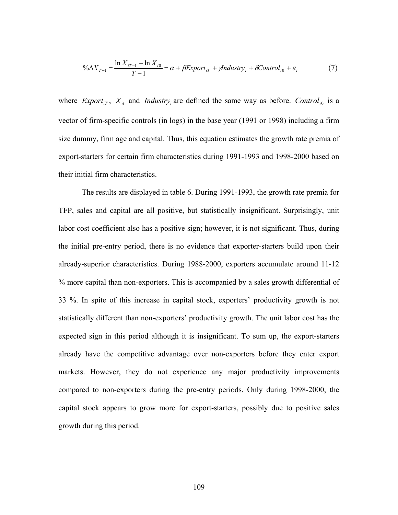$$
\% \Delta X_{T-1} = \frac{\ln X_{iT-1} - \ln X_{i0}}{T-1} = \alpha + \beta Export_{iT} + \gamma Industry_i + \delta Control_{i0} + \varepsilon_i
$$
 (7)

where *Export<sub>if</sub>*,  $X_{it}$  and *Industry<sub>i</sub>* are defined the same way as before. *Control<sub>i0</sub>* is a vector of firm-specific controls (in logs) in the base year (1991 or 1998) including a firm size dummy, firm age and capital. Thus, this equation estimates the growth rate premia of export-starters for certain firm characteristics during 1991-1993 and 1998-2000 based on their initial firm characteristics.

 The results are displayed in table 6. During 1991-1993, the growth rate premia for TFP, sales and capital are all positive, but statistically insignificant. Surprisingly, unit labor cost coefficient also has a positive sign; however, it is not significant. Thus, during the initial pre-entry period, there is no evidence that exporter-starters build upon their already-superior characteristics. During 1988-2000, exporters accumulate around 11-12 % more capital than non-exporters. This is accompanied by a sales growth differential of 33 %. In spite of this increase in capital stock, exporters' productivity growth is not statistically different than non-exporters' productivity growth. The unit labor cost has the expected sign in this period although it is insignificant. To sum up, the export-starters already have the competitive advantage over non-exporters before they enter export markets. However, they do not experience any major productivity improvements compared to non-exporters during the pre-entry periods. Only during 1998-2000, the capital stock appears to grow more for export-starters, possibly due to positive sales growth during this period.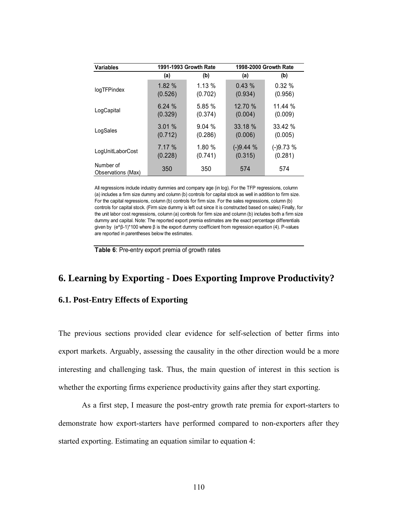| <b>Variables</b>                | 1991-1993 Growth Rate |          | 1998-2000 Growth Rate |            |
|---------------------------------|-----------------------|----------|-----------------------|------------|
|                                 | (a)                   | (b)      | (a)                   | (b)        |
| logTFPindex                     | 1.82%                 | $1.13\%$ | 0.43%                 | 0.32%      |
|                                 | (0.526)               | (0.702)  | (0.934)               | (0.956)    |
| LogCapital                      | 6.24%                 | 5.85%    | 12.70 %               | 11.44 %    |
|                                 | (0.329)               | (0.374)  | (0.004)               | (0.009)    |
| LogSales                        | 3.01%                 | 9.04%    | 33.18 %               | 33.42 %    |
|                                 | (0.712)               | (0.286)  | (0.006)               | (0.005)    |
| LogUnitLaborCost                | 7.17 %                | 1.80%    | $(-)9.44%$            | $(-)9.73%$ |
|                                 | (0.228)               | (0.741)  | (0.315)               | (0.281)    |
| Number of<br>Observations (Max) | 350                   | 350      | 574                   | 574        |

All regressions include industry dummies and company age (in log). For the TFP regressions, column (a) includes a firm size dummy and column (b) controls for capital stock as well in addition to firm size. For the capital regressions, column (b) controls for firm size. For the sales regressions, column (b) controls for capital stock. (Firm size dummy is left out since it is constructed based on sales) Finally, for the unit labor cost regressions, column (a) controls for firm size and column (b) includes both a firm size dummy and capital. Note: The reported export premia estimates are the exact percentage differentials given by (e^β-1)\*100 where β is the export dummy coefficient from regression equation (4). P-values are reported in parentheses below the estimates.

**Table 6**: Pre-entry export premia of growth rates

## **6. Learning by Exporting - Does Exporting Improve Productivity?**

### **6.1. Post-Entry Effects of Exporting**

The previous sections provided clear evidence for self-selection of better firms into export markets. Arguably, assessing the causality in the other direction would be a more interesting and challenging task. Thus, the main question of interest in this section is whether the exporting firms experience productivity gains after they start exporting.

As a first step, I measure the post-entry growth rate premia for export-starters to demonstrate how export-starters have performed compared to non-exporters after they started exporting. Estimating an equation similar to equation 4: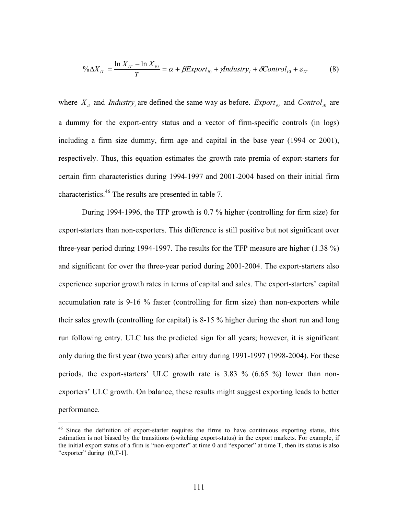$$
\% \Delta X_{iT} = \frac{\ln X_{iT} - \ln X_{i0}}{T} = \alpha + \beta Export_{i0} + \gamma Industry_i + \delta Control_{i0} + \varepsilon_{iT}
$$
(8)

where  $X_{it}$  and *Industry<sub>i</sub>* are defined the same way as before. *Export<sub>i0</sub>* and *Control<sub>i0</sub>* are a dummy for the export-entry status and a vector of firm-specific controls (in logs) including a firm size dummy, firm age and capital in the base year (1994 or 2001), respectively. Thus, this equation estimates the growth rate premia of export-starters for certain firm characteristics during 1994-1997 and 2001-2004 based on their initial firm characteristics.46 The results are presented in table 7.

 During 1994-1996, the TFP growth is 0.7 % higher (controlling for firm size) for export-starters than non-exporters. This difference is still positive but not significant over three-year period during 1994-1997. The results for the TFP measure are higher (1.38 %) and significant for over the three-year period during 2001-2004. The export-starters also experience superior growth rates in terms of capital and sales. The export-starters' capital accumulation rate is 9-16 % faster (controlling for firm size) than non-exporters while their sales growth (controlling for capital) is 8-15 % higher during the short run and long run following entry. ULC has the predicted sign for all years; however, it is significant only during the first year (two years) after entry during 1991-1997 (1998-2004). For these periods, the export-starters' ULC growth rate is 3.83 % (6.65 %) lower than nonexporters' ULC growth. On balance, these results might suggest exporting leads to better performance.

<u>.</u>

<sup>&</sup>lt;sup>46</sup> Since the definition of export-starter requires the firms to have continuous exporting status, this estimation is not biased by the transitions (switching export-status) in the export markets. For example, if the initial export status of a firm is "non-exporter" at time 0 and "exporter" at time T, then its status is also "exporter" during  $(0, T-1]$ .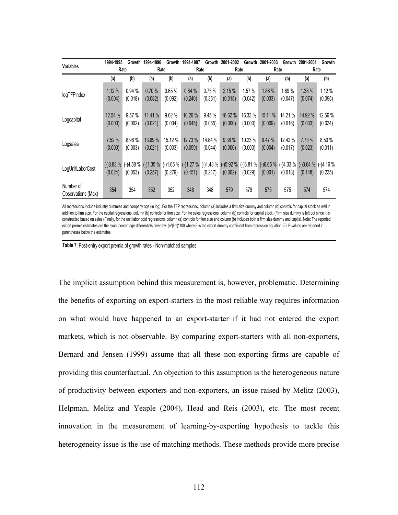|                                 | 1994-1995             | Growth               | 1994-1996             | Growth                | 1994-1997             | Growth             | 2001-2002                          | Growth                | 2001-2003             | Growth                | 2001-2004          | Growth                           |
|---------------------------------|-----------------------|----------------------|-----------------------|-----------------------|-----------------------|--------------------|------------------------------------|-----------------------|-----------------------|-----------------------|--------------------|----------------------------------|
| <b>Variables</b>                |                       | Rate                 | Rate                  |                       |                       | Rate               |                                    | Rate                  |                       | Rate                  | Rate               |                                  |
|                                 | (a)                   | (b)                  | (a)                   | (b)                   | (a)                   | (b)                | (a)                                | (b)                   | (a)                   | (b)                   | (a)                | (b)                              |
| logTFPindex                     | 1.12%<br>(0.004)      | 0.94%<br>(0.018)     | 0.70%<br>(0.082)      | 0.65%<br>(0.092)      | 0.84%<br>(0.240)      | 0.73%<br>(0.351)   | 2.15%<br>(0.015)                   | 1.57 %<br>(0.042)     | 1.86 %<br>(0.033)     | 1.69%<br>(0.047)      | 1.38%<br>(0.074)   | 1.12%<br>(0.095)                 |
| Logcapital                      | 12.54 %<br>(0.000)    | 9.57%<br>(0.002)     | 11.41 %<br>(0.021)    | 9.62%<br>(0.034)      | 10.26 %<br>(0.045)    | 9.45%<br>(0.065)   | 18.62 %<br>(0.000)                 | 16.33 %<br>(0.000)    | 15.11 %<br>(0.009)    | 14.21 %<br>(0.016)    | 14.92 %<br>(0.003) | 12.56 %<br>(0.034)               |
| Logsales                        | 7.52%<br>(0.000)      | 8.96 %<br>(0.003)    | 13.69 %<br>(0.021)    | 15.12 %<br>(0.003)    | 12.73 %<br>(0.059)    | 14.84 %<br>(0.044) | 9.38%<br>(0.000)                   | 10.23 %<br>(0.000)    | 9.47%<br>(0.004)      | 12.42 %<br>(0.017)    | 7.73 %<br>(0.023)  | 8.50 %<br>(0.011)                |
| LogUnitLaborCost                | $(-)3.83%$<br>(0.024) | (-)4.58 %<br>(0.053) | $(-)1.35%$<br>(0.257) | $(-)1.65%$<br>(0.279) | $(-)1.27%$<br>(0.151) | (0.217)            | $(-)1.43\%$ $(-)5.92\%$<br>(0.002) | $(-)6.81%$<br>(0.029) | $(-)6.65%$<br>(0.001) | $(-)4.33%$<br>(0.018) | (0.148)            | $(-)3.64\%$ (-)4.16 %<br>(0.235) |
| Number of<br>Observations (Max) | 354                   | 354                  | 352                   | 352                   | 348                   | 348                | 579                                | 579                   | 575                   | 575                   | 574                | 574                              |

All regressions include industry dummies and company age (in log). For the TFP regressions, column (a) includes a firm size dummy and column (b) controls for capital stock as well in addition to firm size. For the capital regressions, column (b) controls for firm size. For the sales regressions, column (b) controls for capital stock. (Firm size dummy is left out since it is constructed based on sales) Finally, for the unit labor cost regressions, column (a) controls for firm size and column (b) includes both a firm size dummy and capital. Note: The reported export premia estimates are the exact percentage differentials given by (e^β-1)\*100 where β is the export dummy coefficient from regression equation (5). P-values are reported in parentheses below the estimates.

**Table 7**: Post-entry export premia of growth rates - Non-matched samples

The implicit assumption behind this measurement is, however, problematic. Determining the benefits of exporting on export-starters in the most reliable way requires information on what would have happened to an export-starter if it had not entered the export markets, which is not observable. By comparing export-starters with all non-exporters, Bernard and Jensen (1999) assume that all these non-exporting firms are capable of providing this counterfactual. An objection to this assumption is the heterogeneous nature of productivity between exporters and non-exporters, an issue raised by Melitz (2003), Helpman, Melitz and Yeaple (2004), Head and Reis (2003), etc. The most recent innovation in the measurement of learning-by-exporting hypothesis to tackle this heterogeneity issue is the use of matching methods. These methods provide more precise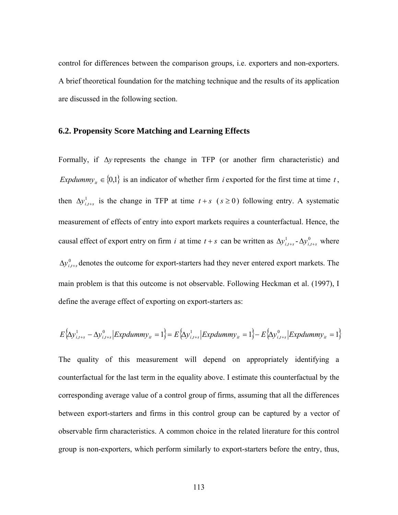control for differences between the comparison groups, i.e. exporters and non-exporters. A brief theoretical foundation for the matching technique and the results of its application are discussed in the following section.

#### **6.2. Propensity Score Matching and Learning Effects**

Formally, if Δ*y* represents the change in TFP (or another firm characteristic) and *Expdummy<sub>it</sub>*  $\in$  {0,1} is an indicator of whether firm *i* exported for the first time at time *t*, then  $\Delta y_{i,t+s}^1$  is the change in TFP at time  $t+s$  ( $s \ge 0$ ) following entry. A systematic measurement of effects of entry into export markets requires a counterfactual. Hence, the causal effect of export entry on firm *i* at time  $t + s$  can be written as  $\Delta y_{i,t+s}^1 - \Delta y_{i,t+s}^0$  where  $\Delta y_{i,t+s}^0$  denotes the outcome for export-starters had they never entered export markets. The main problem is that this outcome is not observable. Following Heckman et al. (1997), I define the average effect of exporting on export-starters as:

$$
E\left\{\Delta y_{i,t+s}^1 - \Delta y_{i,t+s}^0 \middle| Expdummy_{it} = 1 \right\} = E\left\{\Delta y_{i,t+s}^1 \middle| Expdummy_{it} = 1 \right\} - E\left\{\Delta y_{i,t+s}^0 \middle| Expdummy_{it} = 1 \right\}
$$

The quality of this measurement will depend on appropriately identifying a counterfactual for the last term in the equality above. I estimate this counterfactual by the corresponding average value of a control group of firms, assuming that all the differences between export-starters and firms in this control group can be captured by a vector of observable firm characteristics. A common choice in the related literature for this control group is non-exporters, which perform similarly to export-starters before the entry, thus,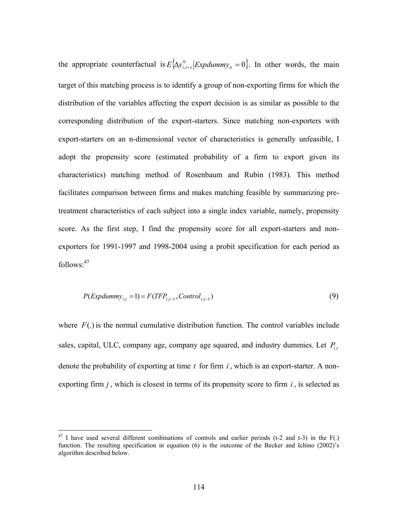the appropriate counterfactual is  $E\{\Delta y^0_{i,t+s} | Expdummy_{it} = 0\}$ . In other words, the main target of this matching process is to identify a group of non-exporting firms for which the distribution of the variables affecting the export decision is as similar as possible to the corresponding distribution of the export-starters. Since matching non-exporters with export-starters on an n-dimensional vector of characteristics is generally unfeasible, I adopt the propensity score (estimated probability of a firm to export given its characteristics) matching method of Rosenbaum and Rubin (1983). This method facilitates comparison between firms and makes matching feasible by summarizing pretreatment characteristics of each subject into a single index variable, namely, propensity score. As the first step, I find the propensity score for all export-starters and nonexporters for 1991-1997 and 1998-2004 using a probit specification for each period as follows:<sup>47</sup>

$$
P(\text{Expdummy}_{i,t} = 1) = F(\text{TFP}_{i,t-1}, \text{Control}_{i,t-1})
$$
\n
$$
(9)
$$

where  $F(.)$  is the normal cumulative distribution function. The control variables include sales, capital, ULC, company age, company age squared, and industry dummies. Let  $P_{i,t}$ denote the probability of exporting at time *t* for firm *i* , which is an export-starter. A nonexporting firm  $j$ , which is closest in terms of its propensity score to firm  $i$ , is selected as

1

 $47$  I have used several different combinations of controls and earlier periods (t-2 and t-3) in the F(.) function. The resulting specification in equation (6) is the outcome of the Becker and Ichino (2002)'s algorithm described below.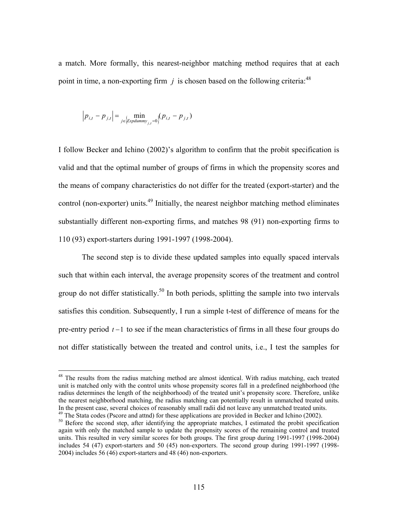a match. More formally, this nearest-neighbor matching method requires that at each point in time, a non-exporting firm  $j$  is chosen based on the following criteria:<sup>48</sup>

$$
|p_{i,t} - p_{j,t}| = \min_{j \in \left\{Expdummy_{j,t} = 0\right\}} (p_{i,t} - p_{j,t})
$$

 $\overline{a}$ 

I follow Becker and Ichino (2002)'s algorithm to confirm that the probit specification is valid and that the optimal number of groups of firms in which the propensity scores and the means of company characteristics do not differ for the treated (export-starter) and the control (non-exporter) units.<sup>49</sup> Initially, the nearest neighbor matching method eliminates substantially different non-exporting firms, and matches 98 (91) non-exporting firms to 110 (93) export-starters during 1991-1997 (1998-2004).

The second step is to divide these updated samples into equally spaced intervals such that within each interval, the average propensity scores of the treatment and control group do not differ statistically.<sup>50</sup> In both periods, splitting the sample into two intervals satisfies this condition. Subsequently, I run a simple t-test of difference of means for the pre-entry period *t* −1 to see if the mean characteristics of firms in all these four groups do not differ statistically between the treated and control units, i.e., I test the samples for

<sup>&</sup>lt;sup>48</sup> The results from the radius matching method are almost identical. With radius matching, each treated unit is matched only with the control units whose propensity scores fall in a predefined neighborhood (the radius determines the length of the neighborhood) of the treated unit's propensity score. Therefore, unlike the nearest neighborhood matching, the radius matching can potentially result in unmatched treated units.<br>In the present case, several choices of reasonably small radii did not leave any unmatched treated units.

<sup>&</sup>lt;sup>49</sup> The Stata codes (Pscore and attnd) for these applications are provided in Becker and Ichino (2002).<br><sup>50</sup> Before the second step, after identifying the appropriate matches, I estimated the probit specification again with only the matched sample to update the propensity scores of the remaining control and treated units. This resulted in very similar scores for both groups. The first group during 1991-1997 (1998-2004) includes 54 (47) export-starters and 50 (45) non-exporters. The second group during 1991-1997 (1998- 2004) includes 56 (46) export-starters and 48 (46) non-exporters.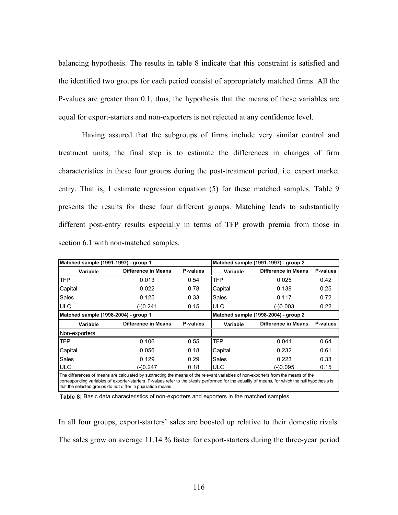balancing hypothesis. The results in table 8 indicate that this constraint is satisfied and the identified two groups for each period consist of appropriately matched firms. All the P-values are greater than 0.1, thus, the hypothesis that the means of these variables are equal for export-starters and non-exporters is not rejected at any confidence level.

Having assured that the subgroups of firms include very similar control and treatment units, the final step is to estimate the differences in changes of firm characteristics in these four groups during the post-treatment period, i.e. export market entry. That is, I estimate regression equation (5) for these matched samples. Table 9 presents the results for these four different groups. Matching leads to substantially different post-entry results especially in terms of TFP growth premia from those in section 6.1 with non-matched samples.

| Matched sample (1991-1997) - group 1 |                                                                                                                                                                                                                                                                                                                                                      |          |                 | Matched sample (1991-1997) - group 2 |          |
|--------------------------------------|------------------------------------------------------------------------------------------------------------------------------------------------------------------------------------------------------------------------------------------------------------------------------------------------------------------------------------------------------|----------|-----------------|--------------------------------------|----------|
| Variable                             | Difference in Means                                                                                                                                                                                                                                                                                                                                  | P-values | <b>Variable</b> | Difference in Means                  | P-values |
| <b>TFP</b>                           | 0.013                                                                                                                                                                                                                                                                                                                                                | 0.54     | TFP             | 0.025                                | 0.42     |
| Capital                              | 0.022                                                                                                                                                                                                                                                                                                                                                | 0.78     | Capital         | 0.138                                | 0.25     |
| Sales                                | 0.125                                                                                                                                                                                                                                                                                                                                                | 0.33     | Sales           | 0.117                                | 0.72     |
| <b>ULC</b>                           | $(-)0.241$                                                                                                                                                                                                                                                                                                                                           | 0.15     | <b>ULC</b>      | $(-)0.003$                           | 0.22     |
| Matched sample (1998-2004) - group 1 |                                                                                                                                                                                                                                                                                                                                                      |          |                 | Matched sample (1998-2004) - group 2 |          |
| Variable                             | Difference in Means                                                                                                                                                                                                                                                                                                                                  | P-values | Variable        | Difference in Means                  | P-values |
| Non-exporters                        |                                                                                                                                                                                                                                                                                                                                                      |          |                 |                                      |          |
| <b>TFP</b>                           | 0.106                                                                                                                                                                                                                                                                                                                                                | 0.55     | <b>TFP</b>      | 0.041                                | 0.64     |
| Capital                              | 0.056                                                                                                                                                                                                                                                                                                                                                | 0.18     | Capital         | 0.232                                | 0.61     |
| Sales                                | 0.129                                                                                                                                                                                                                                                                                                                                                | 0.29     | Sales           | 0.223                                | 0.33     |
| <b>ULC</b>                           | (-)0.247                                                                                                                                                                                                                                                                                                                                             | 0.18     | <b>ULC</b>      | (-)0.095                             | 0.15     |
|                                      | The differences of means are calculated by subtracting the means of the relevant variables of non-exporters from the means of the<br>corresponding variables of exporter-starters. P-values refer to the t-tests performed for the equality of means, for which the null hypothesis is<br>that the selected groups do not differ in pupulation means |          |                 |                                      |          |

**Table 8:** Basic data characteristics of non-exporters and exporters in the matched samples

In all four groups, export-starters' sales are boosted up relative to their domestic rivals. The sales grow on average 11.14 % faster for export-starters during the three-year period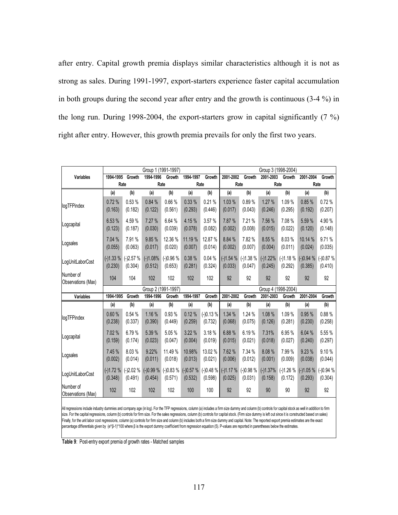after entry. Capital growth premia displays similar characteristics although it is not as strong as sales. During 1991-1997, export-starters experience faster capital accumulation in both groups during the second year after entry and the growth is continuous (3-4 %) in the long run. During 1998-2004, the export-starters grow in capital significantly (7 %) right after entry. However, this growth premia prevails for only the first two years.

|                                 |                       |                       | Group 1 (1991-1997)   |                       |                       |                       |                                            |                       |                       | Group 3 (1998-2004)   |                       |                       |
|---------------------------------|-----------------------|-----------------------|-----------------------|-----------------------|-----------------------|-----------------------|--------------------------------------------|-----------------------|-----------------------|-----------------------|-----------------------|-----------------------|
| Variables                       | 1994-1995             | Growth                | 1994-1996             | Growth                | 1994-1997             | Growth                | 2001-2002                                  | Growth                | 2001-2003             | Growth                | 2001-2004             | Growth                |
|                                 |                       | Rate                  |                       | Rate                  | Rate                  |                       | Rate                                       |                       |                       | Rate                  | Rate                  |                       |
|                                 | (a)                   | (b)                   | (a)                   | (b)                   | (a)                   | (b)                   | (a)                                        | (b)                   | (a)                   | (b)                   | (a)                   | (b)                   |
| logTFPindex                     | 0.72%<br>(0.163)      | 0.53%<br>(0.182)      | 0.84%<br>(0.122)      | 0.66%<br>(0.561)      | 0.33 %<br>(0.293)     | 0.21%<br>(0.446)      | 1.03%<br>(0.017)                           | 0.89%<br>(0.043)      | 1.27 %<br>(0.246)     | 1.09%<br>(0.295)      | 0.85%<br>(0.192)      | 0.72%<br>(0.207)      |
| Logcapital                      | 6.53 %<br>(0.123)     | 4.59%<br>(0.187)      | 7.27 %<br>(0.030)     | 6.64 %<br>(0.039)     | 4.15 %<br>(0.078)     | 3.57 %<br>(0.082)     | 7.87 %<br>(0.002)                          | 7.21%<br>(0.008)      | 7.56 %<br>(0.015)     | 7.08%<br>(0.022)      | 5.59 %<br>(0.120)     | 4.90%<br>(0.148)      |
| Logsales                        | 7.04 %<br>(0.055)     | 7.91 %<br>(0.063)     | 9.85%<br>(0.017)      | 12.36 %<br>(0.020)    | 11.19 %<br>(0.007)    | 12.87 %<br>(0.014)    | 8.84 %<br>(0.002)                          | 7.82 %<br>(0.007)     | 8.55 %<br>(0.004)     | 8.03%<br>(0.011)      | 10.14 %<br>(0.024)    | 9.71%<br>(0.035)      |
| LogUnitLaborCost                | $(-)1.33%$<br>(0.230) | $(-)2.57%$<br>(0.304) | $(-)1.08%$<br>(0.512) | $(-)0.96%$<br>(0.653) | 0.38 %<br>(0.281)     | 0.04%<br>(0.324)      | $(-)1.54%$<br>(0.033)                      | $(-)1.38%$<br>(0.047) | $(-)1.22%$<br>(0.245) | $(-)1.18%$<br>(0.292) | $(-)0.94%$<br>(0.385) | $(-)0.87%$<br>(0.410) |
| Number of<br>Observations (Max) | 104                   | 104                   | 102                   | 102                   | 102                   | 102                   | 92                                         | 92                    | 92                    | 92                    | 92                    | 92                    |
|                                 |                       |                       | Group 2 (1991-1997)   |                       |                       |                       |                                            |                       |                       | Group 4 (1998-2004)   |                       |                       |
| <b>Variables</b>                | 1994-1995             | Growth                | 1994-1996             | Growth                | 1994-1997             | Growth                | 2001-2002                                  | Growth                | 2001-2003             | Growth                | 2001-2004             | Growth                |
|                                 | (a)                   | (b)                   | (a)                   | (b)                   | (a)                   | (b)                   | (a)                                        | (b)                   | (a)                   | (b)                   | (a)                   | (b)                   |
| logTFPindex                     | 0.60%<br>(0.238)      | 0.54%<br>(0.337)      | 1.16 %<br>(0.390)     | 0.93%<br>(0.449)      | 0.12%<br>(0.259)      | $(-)0.13%$<br>(0.732) | 1.34%<br>(0.068)                           | 1.24 %<br>(0.075)     | 1.08 %<br>(0.126)     | 1.09%<br>(0.281)      | 0.95 %<br>(0.230)     | 0.88%<br>(0.258)      |
| Logcapital                      | 7.02 %<br>(0.159)     | 6.79%<br>(0.174)      | 5.39 %<br>(0.023)     | 5.05 %<br>(0.047)     | 3.22 %<br>(0.004)     | 3.18 %<br>(0.019)     | 6.88%<br>(0.015)                           | 6.19%<br>(0.021)      | 7.31%<br>(0.018)      | 6.95%<br>(0.027)      | 6.04 %<br>(0.240)     | 5.55 %<br>(0.297)     |
| Logsales                        | 7.45 %<br>(0.002)     | 8.03%<br>(0.014)      | 9.22%<br>(0.011)      | 11.49 %<br>(0.018)    | 10.98%<br>(0.013)     | 13.02 %<br>(0.021)    | 7.62 %<br>(0.006)                          | 7.34 %<br>(0.012)     | 8.08%<br>(0.001)      | 7.99%<br>(0.009)      | 9.23 %<br>(0.038)     | 9.10%<br>(0.044)      |
| LogUnitLaborCost                | $(-)1.72%$<br>(0.348) | $(-)2.02%$<br>(0.491) | $(-)0.99%$<br>(0.454) | $(-)0.83%$<br>(0.571) | $(-)0.57%$<br>(0.532) | (0.598)               | $(-)0.48\%$ (-)1.17 % (-)0.98 %<br>(0.025) | (0.031)               | $(-)1.37%$<br>(0.158) | $(-)1.26%$<br>(0.172) | $(-)1.05%$<br>(0.293) | $(-)0.94%$<br>(0.304) |
| Number of<br>Observations (Max) | 102                   | 102                   | 102                   | 102                   | 100                   | 100                   | 92                                         | 92                    | 90                    | 90                    | 92                    | 92                    |

All regressions include industry dummies and company age (in log). For the TFP regressions, column (a) includes a firm size dummy and column (b) controls for capital stock as well in addition to firm size. For the capital regressions, column (b) controls for firm size. For the sales regressions, column (b) controls for capital stock. (Firm size dummy is left out since it is constructed based on sales) Finally, for the unit labor cost regressions, column (a) controls for firm size and column (b) includes both a firm size dummy and capital. Note: The reported export premia estimates are the exact percentage differentials given by (e^β-1)\*100 where β is the export dummy coefficient from regression equation (5). P-values are reported in parentheses below the estimates.

**Table 9**: Post-entry export premia of growth rates - Matched samples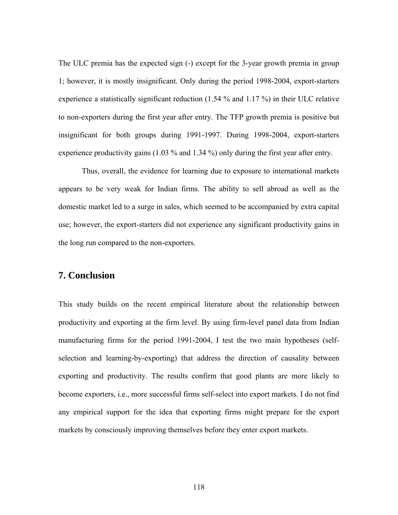The ULC premia has the expected sign (-) except for the 3-year growth premia in group 1; however, it is mostly insignificant. Only during the period 1998-2004, export-starters experience a statistically significant reduction (1.54 % and 1.17 %) in their ULC relative to non-exporters during the first year after entry. The TFP growth premia is positive but insignificant for both groups during 1991-1997. During 1998-2004, export-starters experience productivity gains (1.03 % and 1.34 %) only during the first year after entry.

Thus, overall, the evidence for learning due to exposure to international markets appears to be very weak for Indian firms. The ability to sell abroad as well as the domestic market led to a surge in sales, which seemed to be accompanied by extra capital use; however, the export-starters did not experience any significant productivity gains in the long run compared to the non-exporters.

### **7. Conclusion**

This study builds on the recent empirical literature about the relationship between productivity and exporting at the firm level. By using firm-level panel data from Indian manufacturing firms for the period 1991-2004, I test the two main hypotheses (selfselection and learning-by-exporting) that address the direction of causality between exporting and productivity. The results confirm that good plants are more likely to become exporters, i.e., more successful firms self-select into export markets. I do not find any empirical support for the idea that exporting firms might prepare for the export markets by consciously improving themselves before they enter export markets.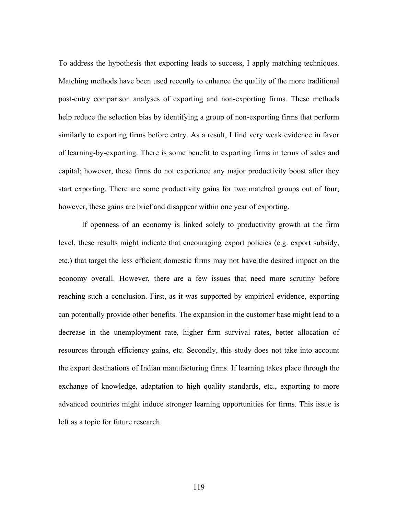To address the hypothesis that exporting leads to success, I apply matching techniques. Matching methods have been used recently to enhance the quality of the more traditional post-entry comparison analyses of exporting and non-exporting firms. These methods help reduce the selection bias by identifying a group of non-exporting firms that perform similarly to exporting firms before entry. As a result, I find very weak evidence in favor of learning-by-exporting. There is some benefit to exporting firms in terms of sales and capital; however, these firms do not experience any major productivity boost after they start exporting. There are some productivity gains for two matched groups out of four; however, these gains are brief and disappear within one year of exporting.

If openness of an economy is linked solely to productivity growth at the firm level, these results might indicate that encouraging export policies (e.g. export subsidy, etc.) that target the less efficient domestic firms may not have the desired impact on the economy overall. However, there are a few issues that need more scrutiny before reaching such a conclusion. First, as it was supported by empirical evidence, exporting can potentially provide other benefits. The expansion in the customer base might lead to a decrease in the unemployment rate, higher firm survival rates, better allocation of resources through efficiency gains, etc. Secondly, this study does not take into account the export destinations of Indian manufacturing firms. If learning takes place through the exchange of knowledge, adaptation to high quality standards, etc., exporting to more advanced countries might induce stronger learning opportunities for firms. This issue is left as a topic for future research.